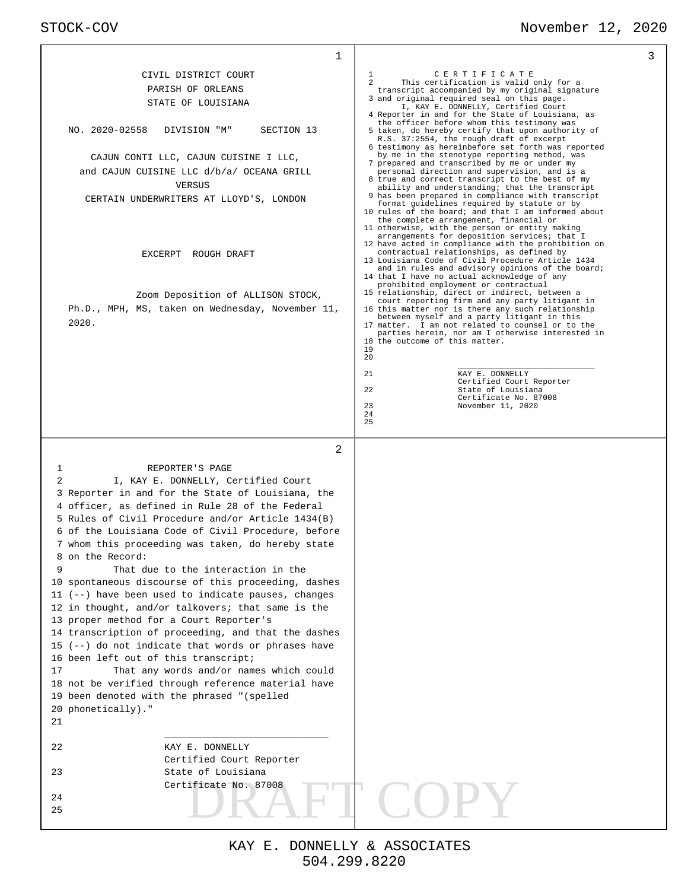# STOCK-COV November 12, 2020

| 1                                                                                                                                                                                                                                                                                                                                                                                                                                                                                                                                                                                                                                                                                                                                                                                                                                                                                                                                                                                                                                     | 3                                                                                                                                                                                                                                                                                                                                                                                                                                                                                                                                                                                                                                                                                                                                                                                                                                                                                                                                                                                                                                                                                                                                                                                                                                                                                                                                                                                                                                                                                                                                                                                                                                                                                                                                                                                                                                                          |
|---------------------------------------------------------------------------------------------------------------------------------------------------------------------------------------------------------------------------------------------------------------------------------------------------------------------------------------------------------------------------------------------------------------------------------------------------------------------------------------------------------------------------------------------------------------------------------------------------------------------------------------------------------------------------------------------------------------------------------------------------------------------------------------------------------------------------------------------------------------------------------------------------------------------------------------------------------------------------------------------------------------------------------------|------------------------------------------------------------------------------------------------------------------------------------------------------------------------------------------------------------------------------------------------------------------------------------------------------------------------------------------------------------------------------------------------------------------------------------------------------------------------------------------------------------------------------------------------------------------------------------------------------------------------------------------------------------------------------------------------------------------------------------------------------------------------------------------------------------------------------------------------------------------------------------------------------------------------------------------------------------------------------------------------------------------------------------------------------------------------------------------------------------------------------------------------------------------------------------------------------------------------------------------------------------------------------------------------------------------------------------------------------------------------------------------------------------------------------------------------------------------------------------------------------------------------------------------------------------------------------------------------------------------------------------------------------------------------------------------------------------------------------------------------------------------------------------------------------------------------------------------------------------|
| CIVIL DISTRICT COURT<br>PARISH OF ORLEANS<br>STATE OF LOUISIANA<br>NO. 2020-02558<br>DIVISION "M"<br>SECTION 13<br>CAJUN CONTI LLC, CAJUN CUISINE I LLC,<br>and CAJUN CUISINE LLC d/b/a/ OCEANA GRILL<br>VERSUS<br>CERTAIN UNDERWRITERS AT LLOYD'S, LONDON<br>EXCERPT ROUGH DRAFT<br>Zoom Deposition of ALLISON STOCK,<br>Ph.D., MPH, MS, taken on Wednesday, November 11,<br>2020.                                                                                                                                                                                                                                                                                                                                                                                                                                                                                                                                                                                                                                                   | 1<br>CERTIFICATE<br>This certification is valid only for a<br>$\mathcal{L}$<br>transcript accompanied by my original signature<br>3 and original required seal on this page.<br>I, KAY E. DONNELLY, Certified Court<br>4 Reporter in and for the State of Louisiana, as<br>the officer before whom this testimony was<br>5 taken, do hereby certify that upon authority of<br>R.S. 37:2554, the rough draft of excerpt<br>6 testimony as hereinbefore set forth was reported<br>by me in the stenotype reporting method, was<br>7 prepared and transcribed by me or under my<br>personal direction and supervision, and is a<br>8 true and correct transcript to the best of my<br>ability and understanding; that the transcript<br>9 has been prepared in compliance with transcript<br>format guidelines required by statute or by<br>10 rules of the board; and that I am informed about<br>the complete arrangement, financial or<br>11 otherwise, with the person or entity making<br>arrangements for deposition services; that I<br>12 have acted in compliance with the prohibition on<br>contractual relationships, as defined by<br>13 Louisiana Code of Civil Procedure Article 1434<br>and in rules and advisory opinions of the board;<br>14 that I have no actual acknowledge of any<br>prohibited employment or contractual<br>15 relationship, direct or indirect, between a<br>court reporting firm and any party litigant in<br>16 this matter nor is there any such relationship<br>between myself and a party litigant in this<br>17 matter. I am not related to counsel or to the<br>parties herein, nor am I otherwise interested in<br>18 the outcome of this matter.<br>19<br>20<br>21<br>KAY E. DONNELLY<br>Certified Court Reporter<br>22<br>State of Louisiana<br>Certificate No. 87008<br>23<br>November 11, 2020<br>24<br>25 |
| 2<br>REPORTER'S PAGE<br>1<br>$\overline{a}$<br>I, KAY E. DONNELLY, Certified Court<br>3 Reporter in and for the State of Louisiana, the<br>4 officer, as defined in Rule 28 of the Federal<br>5 Rules of Civil Procedure and/or Article 1434(B)<br>6 of the Louisiana Code of Civil Procedure, before<br>7 whom this proceeding was taken, do hereby state<br>8 on the Record:<br>9<br>That due to the interaction in the<br>10 spontaneous discourse of this proceeding, dashes<br>$11$ (--) have been used to indicate pauses, changes<br>12 in thought, and/or talkovers; that same is the<br>13 proper method for a Court Reporter's<br>14 transcription of proceeding, and that the dashes<br>15 $(--)$ do not indicate that words or phrases have<br>16 been left out of this transcript;<br>That any words and/or names which could<br>17<br>18 not be verified through reference material have<br>19 been denoted with the phrased "(spelled<br>20 phonetically)."<br>21<br>22<br>KAY E. DONNELLY<br>Certified Court Reporter |                                                                                                                                                                                                                                                                                                                                                                                                                                                                                                                                                                                                                                                                                                                                                                                                                                                                                                                                                                                                                                                                                                                                                                                                                                                                                                                                                                                                                                                                                                                                                                                                                                                                                                                                                                                                                                                            |
| State of Louisiana<br>23<br>Certificate No. 87008<br>24<br>25                                                                                                                                                                                                                                                                                                                                                                                                                                                                                                                                                                                                                                                                                                                                                                                                                                                                                                                                                                         |                                                                                                                                                                                                                                                                                                                                                                                                                                                                                                                                                                                                                                                                                                                                                                                                                                                                                                                                                                                                                                                                                                                                                                                                                                                                                                                                                                                                                                                                                                                                                                                                                                                                                                                                                                                                                                                            |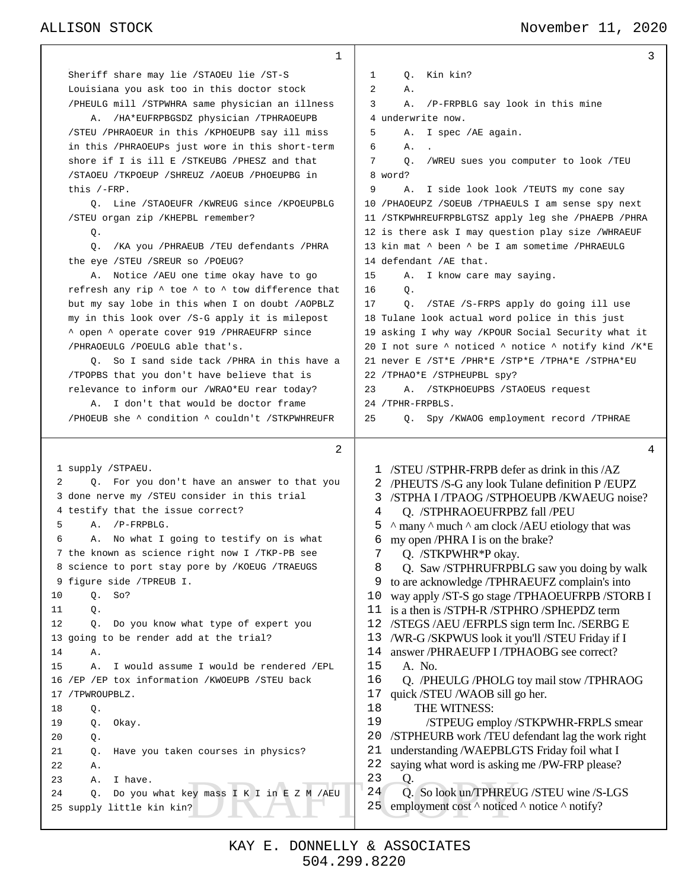### ALLISON STOCK November 11, 2020

| 1                                                                     | 3                                                                      |
|-----------------------------------------------------------------------|------------------------------------------------------------------------|
| Sheriff share may lie / STAOEU lie / ST-S                             | Kin kin?<br>1<br>$\circ$ .                                             |
| Louisiana you ask too in this doctor stock                            | 2<br>Α.                                                                |
| /PHEULG mill /STPWHRA same physician an illness                       | 3<br>/P-FRPBLG say look in this mine<br>Α.                             |
| /HA*EUFRPBGSDZ physician /TPHRAOEUPB<br>Α.                            | 4 underwrite now.                                                      |
| /STEU /PHRAOEUR in this /KPHOEUPB say ill miss                        | 5<br>I spec /AE again.<br>Α.                                           |
| in this /PHRAOEUPs just wore in this short-term                       | 6<br>Α.                                                                |
| shore if I is ill E /STKEUBG /PHESZ and that                          | 7<br>0.<br>/WREU sues you computer to look /TEU                        |
| /STAOEU /TKPOEUP /SHREUZ /AOEUB /PHOEUPBG in                          | 8 word?                                                                |
| this $/-FRP$ .                                                        | 9<br>Α.<br>I side look look /TEUTS my cone say                         |
| Q. Line / STAOEUFR / KWREUG since / KPOEUPBLG                         | 10 / PHAOEUPZ / SOEUB / TPHAEULS I am sense spy next                   |
| /STEU organ zip /KHEPBL remember?                                     | 11 / STKPWHREUFRPBLGTSZ apply leg she / PHAEPB / PHRA                  |
| Q.                                                                    | 12 is there ask I may question play size /WHRAEUF                      |
| /KA you /PHRAEUB /TEU defendants /PHRA<br>Q.                          | 13 kin mat $\land$ been $\land$ be I am sometime /PHRAEULG             |
| the eye / STEU / SREUR so / POEUG?                                    | 14 defendant /AE that.                                                 |
| A. Notice / AEU one time okay have to go                              | 15<br>I know care may saying.<br>Α.                                    |
| refresh any rip $\wedge$ toe $\wedge$ to $\wedge$ tow difference that | 16<br>Ο.                                                               |
| but my say lobe in this when I on doubt /AOPBLZ                       | Q. /STAE /S-FRPS apply do going ill use<br>17                          |
| my in this look over /S-G apply it is milepost                        | 18 Tulane look actual word police in this just                         |
| ^ open ^ operate cover 919 / PHRAEUFRP since                          | 19 asking I why way / KPOUR Social Security what it                    |
| /PHRAOEULG /POEULG able that's.                                       | 20 I not sure ^ noticed ^ notice ^ notify kind /K*E                    |
| 0. So I sand side tack / PHRA in this have a                          | 21 never E /ST*E /PHR*E /STP*E /TPHA*E /STPHA*EU                       |
| TPOPBS that you don't have believe that is                            | 22 /TPHAO*E /STPHEUPBL spy?                                            |
| relevance to inform our /WRAO*EU rear today?                          | 23<br>A. / STKPHOEUPBS / STAOEUS request                               |
| I don't that would be doctor frame<br>А.                              | 24 / TPHR-FRPBLS.                                                      |
| /PHOEUB she ^ condition ^ couldn't /STKPWHREUFR                       | 25<br>Q. Spy /KWAOG employment record /TPHRAE                          |
|                                                                       |                                                                        |
|                                                                       |                                                                        |
| 2                                                                     | 4                                                                      |
| 1 supply /STPAEU.                                                     | /STEU/STPHR-FRPB defer as drink in this/AZ<br>1.                       |
| Q. For you don't have an answer to that you<br>2                      | /PHEUTS /S-G any look Tulane definition P / EUPZ                       |
| 3 done nerve my /STEU consider in this trial                          | /STPHA I/TPAOG /STPHOEUPB /KWAEUG noise?<br>3                          |
| 4 testify that the issue correct?                                     | Q. /STPHRAOEUFRPBZ fall /PEU<br>4                                      |
| 5<br>$/P$ -FRPBLG.<br>Α.                                              | 5<br>$\land$ many $\land$ much $\land$ am clock /AEU etiology that was |
| A. No what I going to testify on is what<br>6                         | 6<br>my open /PHRA I is on the brake?                                  |
| 7 the known as science right now I /TKP-PB see                        | Q. /STKPWHR*P okay.<br>7                                               |
| science to port stay pore by /KOEUG /TRAEUGS                          | Q. Saw /STPHRUFRPBLG saw you doing by walk<br>8                        |
| figure side /TPREUB I.<br>9                                           | to are acknowledge /TPHRAEUFZ complain's into<br>9                     |
| 10<br>So?<br>Q.                                                       | way apply /ST-S go stage /TPHAOEUFRPB /STORB I<br>10                   |
| 11<br>Q.                                                              | 11<br>is a then is /STPH-R /STPHRO /SPHEPDZ term                       |
| 12<br>Do you know what type of expert you<br>Q.                       | 12<br>/STEGS /AEU /EFRPLS sign term Inc. /SERBG E                      |
| going to be render add at the trial?<br>13                            | /WR-G /SKPWUS look it you'll /STEU Friday if I<br>13                   |
| 14<br>Α.                                                              | 14<br>answer /PHRAEUFP I /TPHAOBG see correct?                         |
| 15<br>Α.<br>I would assume I would be rendered /EPL                   | 15<br>A. No.                                                           |
| /EP /EP tox information /KWOEUPB / STEU back<br>16                    | 16<br>Q. /PHEULG /PHOLG toy mail stow /TPHRAOG                         |
| /TPWROUPBLZ.<br>17                                                    | 17<br>quick/STEU/WAOB sill go her.                                     |
| 18<br>Q.                                                              | 18<br>THE WITNESS:                                                     |
| 19<br>Q.<br>Okay.                                                     | 19<br>/STPEUG employ /STKPWHR-FRPLS smear                              |
| 20<br>Q.                                                              | 20<br>/STPHEURB work /TEU defendant lag the work right                 |
| 21<br>Have you taken courses in physics?<br>Q.                        | 21<br>understanding /WAEPBLGTS Friday foil what I                      |
| 22<br>Α.                                                              | 22<br>saying what word is asking me /PW-FRP please?                    |
| 23<br>I have.<br>Α.                                                   | 23<br>Q.                                                               |
| Do you what key mass I K I in E Z M /AEU<br>24<br>Q.                  | 24<br>Q. So look un/TPHREUG /STEU wine /S-LGS                          |
| 25 supply little kin kin?                                             | employment cost $\land$ noticed $\land$ notice $\land$ notify?<br>25   |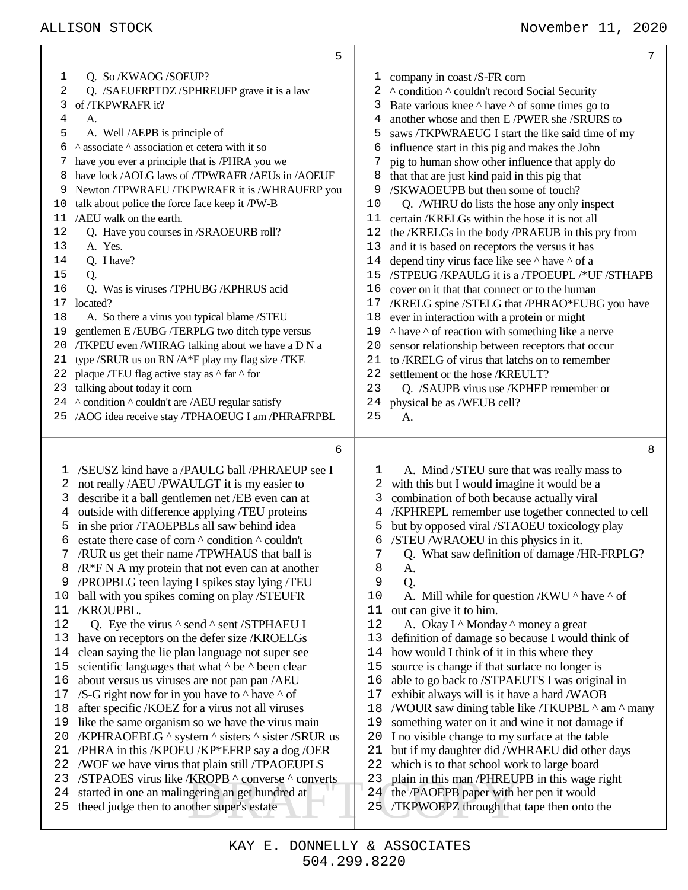|          | 5                                                                                                         |                                                                                                      | 7 |
|----------|-----------------------------------------------------------------------------------------------------------|------------------------------------------------------------------------------------------------------|---|
| 1        | Q. So /KWAOG /SOEUP?                                                                                      | company in coast /S-FR corn<br>ı                                                                     |   |
| 2        | Q. /SAEUFRPTDZ/SPHREUFP grave it is a law                                                                 | A condition A couldn't record Social Security<br>2                                                   |   |
| 3        | of /TKPWRAFR it?                                                                                          | Bate various knee $\wedge$ have $\wedge$ of some times go to<br>3                                    |   |
| 4        | А.                                                                                                        | another whose and then E/PWER she/SRURS to<br>4                                                      |   |
| 5        | A. Well /AEPB is principle of                                                                             | 5<br>saws /TKPWRAEUG I start the like said time of my                                                |   |
| 6        | ^ associate ^ association et cetera with it so                                                            | influence start in this pig and makes the John<br>6                                                  |   |
|          | have you ever a principle that is /PHRA you we                                                            | pig to human show other influence that apply do<br>7                                                 |   |
| 8        | have lock /AOLG laws of /TPWRAFR /AEUs in /AOEUF                                                          | that that are just kind paid in this pig that<br>8                                                   |   |
| 9        | Newton /TPWRAEU /TKPWRAFR it is /WHRAUFRP you                                                             | /SKWAOEUPB but then some of touch?<br>9                                                              |   |
| 10       | talk about police the force face keep it /PW-B                                                            | 10<br>Q. /WHRU do lists the hose any only inspect                                                    |   |
| 11       | /AEU walk on the earth.                                                                                   | 11<br>certain/KRELGs within the hose it is not all                                                   |   |
| 12       | Q. Have you courses in /SRAOEURB roll?                                                                    | the /KRELGs in the body /PRAEUB in this pry from<br>12                                               |   |
| 13       | A. Yes.                                                                                                   | 13<br>and it is based on receptors the versus it has                                                 |   |
| 14       | Q. I have?                                                                                                | depend tiny virus face like see ^ have ^ of a<br>14                                                  |   |
| 15<br>16 | Q.<br>Q. Was is viruses /TPHUBG /KPHRUS acid                                                              | /STPEUG /KPAULG it is a /TPOEUPL /*UF /STHAPB<br>15<br>16                                            |   |
| 17       | located?                                                                                                  | cover on it that that connect or to the human<br>/KRELG spine /STELG that /PHRAO*EUBG you have<br>17 |   |
| 18       | A. So there a virus you typical blame /STEU                                                               | ever in interaction with a protein or might<br>18                                                    |   |
| 19       | gentlemen E/EUBG/TERPLG two ditch type versus                                                             | $\land$ have $\land$ of reaction with something like a nerve<br>19                                   |   |
| 20       | /TKPEU even /WHRAG talking about we have a D N a                                                          | sensor relationship between receptors that occur<br>20                                               |   |
| 21       | type /SRUR us on RN /A*F play my flag size /TKE                                                           | to /KRELG of virus that latchs on to remember<br>21                                                  |   |
| 22       | plaque /TEU flag active stay as $\wedge$ far $\wedge$ for                                                 | 22<br>settlement or the hose /KREULT?                                                                |   |
| 23       | talking about today it corn                                                                               | 23<br>Q. /SAUPB virus use /KPHEP remember or                                                         |   |
|          | 24 ^ condition ^ couldn't are /AEU regular satisfy                                                        | 24<br>physical be as /WEUB cell?                                                                     |   |
|          | 25 /AOG idea receive stay /TPHAOEUG I am /PHRAFRPBL                                                       | 25<br>A.                                                                                             |   |
|          |                                                                                                           |                                                                                                      |   |
|          |                                                                                                           |                                                                                                      |   |
|          | 6                                                                                                         |                                                                                                      | 8 |
| ı        | /SEUSZ kind have a /PAULG ball /PHRAEUP see I                                                             | 1                                                                                                    |   |
| 2        | not really /AEU /PWAULGT it is my easier to                                                               | A. Mind /STEU sure that was really mass to<br>with this but I would imagine it would be a<br>2       |   |
| 3        | describe it a ball gentlemen net /EB even can at                                                          | combination of both because actually viral<br>3                                                      |   |
| 4        | outside with difference applying /TEU proteins                                                            | /KPHREPL remember use together connected to cell<br>4                                                |   |
| 5        | in she prior /TAOEPBLs all saw behind idea                                                                | but by opposed viral /STAOEU toxicology play<br>5                                                    |   |
| 6        | estate there case of corn $\wedge$ condition $\wedge$ couldn't                                            | /STEU /WRAOEU in this physics in it.<br>6                                                            |   |
| 7        | /RUR us get their name /TPWHAUS that ball is                                                              | Q. What saw definition of damage /HR-FRPLG?<br>7                                                     |   |
| 8        | $/R*FN$ A my protein that not even can at another                                                         | 8<br>A.                                                                                              |   |
| 9        | /PROPBLG teen laying I spikes stay lying /TEU                                                             | 9<br>Q.                                                                                              |   |
| 10       | ball with you spikes coming on play /STEUFR                                                               | 10<br>A. Mill while for question /KWU $\land$ have $\land$ of                                        |   |
| 11       | /KROUPBL.                                                                                                 | out can give it to him.<br>11                                                                        |   |
| 12       | Q. Eye the virus $\wedge$ send $\wedge$ sent /STPHAEU I                                                   | 12<br>A. Okay I ^ Monday ^ money a great                                                             |   |
| 13       | have on receptors on the defer size /KROELGs                                                              | definition of damage so because I would think of<br>13                                               |   |
| 14       | clean saying the lie plan language not super see                                                          | how would I think of it in this where they<br>14                                                     |   |
| 15<br>16 | scientific languages that what $\wedge$ be $\wedge$ been clear                                            | source is change if that surface no longer is<br>15<br>16                                            |   |
| 17       | about versus us viruses are not pan pan /AEU<br>/S-G right now for in you have to $\land$ have $\land$ of | able to go back to /STPAEUTS I was original in<br>exhibit always will is it have a hard /WAOB<br>17  |   |
| 18       | after specific /KOEZ for a virus not all viruses                                                          | /WOUR saw dining table like /TKUPBL ^ am ^ many<br>18                                                |   |
| 19       | like the same organism so we have the virus main                                                          | something water on it and wine it not damage if<br>19                                                |   |
| 20       | /KPHRAOEBLG ^ system ^ sisters ^ sister /SRUR us                                                          | I no visible change to my surface at the table<br>20                                                 |   |
| 21       | /PHRA in this /KPOEU /KP*EFRP say a dog /OER                                                              | but if my daughter did /WHRAEU did other days<br>21                                                  |   |
|          | 22 /WOF we have virus that plain still /TPAOEUPLS                                                         | which is to that school work to large board<br>22                                                    |   |
|          | 23 /STPAOES virus like /KROPB ^ converse ^ converts                                                       | plain in this man /PHREUPB in this wage right<br>23                                                  |   |
| 24       | started in one an malingering an get hundred at                                                           | the /PAOEPB paper with her pen it would<br>24 <sub>l</sub>                                           |   |
| 25       | theed judge then to another super's estate                                                                | TKPWOEPZ through that tape then onto the<br>25                                                       |   |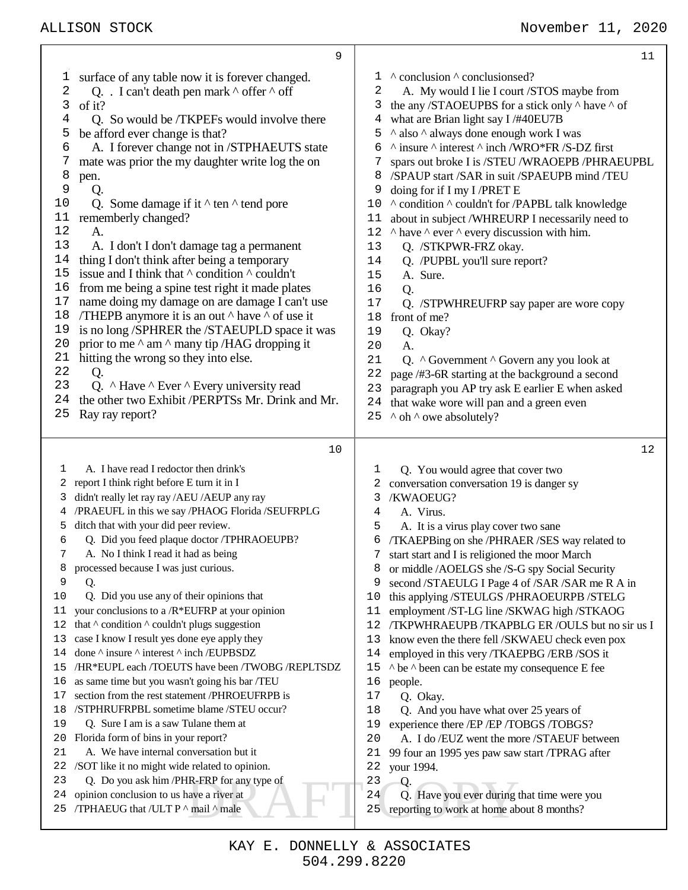|             | 9                                                                                                 |                                                                       | 11 |
|-------------|---------------------------------------------------------------------------------------------------|-----------------------------------------------------------------------|----|
| ı           | surface of any table now it is forever changed.                                                   | ^ conclusion ^ conclusionsed?<br>1                                    |    |
| 2           | Q. . I can't death pen mark $\wedge$ offer $\wedge$ off                                           | A. My would I lie I court /STOS maybe from<br>2                       |    |
| 3           | of it?                                                                                            | 3<br>the any /STAOEUPBS for a stick only $\wedge$ have $\wedge$ of    |    |
| 4           | Q. So would be /TKPEFs would involve there                                                        | what are Brian light say I /#40EU7B<br>4                              |    |
| 5           | be afford ever change is that?                                                                    | ^ also ^ always done enough work I was<br>5                           |    |
| 6           | A. I forever change not in /STPHAEUTS state                                                       | $\land$ insure $\land$ interest $\land$ inch /WRO*FR /S-DZ first<br>6 |    |
| 7           | mate was prior the my daughter write log the on                                                   | spars out broke I is /STEU /WRAOEPB /PHRAEUPBL<br>7                   |    |
| 8           | pen.                                                                                              | /SPAUP start /SAR in suit /SPAEUPB mind /TEU<br>8                     |    |
| $\mathsf 9$ | Q.                                                                                                | 9<br>doing for if I my I/PRET E                                       |    |
| 10          | Q. Some damage if it $\wedge$ ten $\wedge$ tend pore                                              | 10<br>^ condition ^ couldn't for /PAPBL talk knowledge                |    |
| 11          | rememberly changed?                                                                               | about in subject /WHREURP I necessarily need to<br>11                 |    |
| 12          | A.                                                                                                | 12<br>$\land$ have $\land$ ever $\land$ every discussion with him.    |    |
| 13          | A. I don't I don't damage tag a permanent                                                         | 13<br>Q. /STKPWR-FRZ okay.                                            |    |
| 14<br>15    | thing I don't think after being a temporary                                                       | 14<br>Q. /PUPBL you'll sure report?                                   |    |
| 16          | issue and I think that $\wedge$ condition $\wedge$ couldn't                                       | 15<br>A. Sure.                                                        |    |
| 17          | from me being a spine test right it made plates<br>name doing my damage on are damage I can't use | 16<br>Q.<br>17                                                        |    |
| 18          | /THEPB anymore it is an out $\wedge$ have $\wedge$ of use it                                      | Q. /STPWHREUFRP say paper are wore copy<br>18<br>front of me?         |    |
| 19          | is no long /SPHRER the /STAEUPLD space it was                                                     | 19                                                                    |    |
| 20          | prior to me $\land$ am $\land$ many tip /HAG dropping it                                          | Q. Okay?<br>20<br>A.                                                  |    |
| 21          | hitting the wrong so they into else.                                                              | 21<br>Q. ^ Government ^ Govern any you look at                        |    |
| 22          | Q.                                                                                                | 22<br>page /#3-6R starting at the background a second                 |    |
| 23          | Q. $\land$ Have $\land$ Ever $\land$ Every university read                                        | 23<br>paragraph you AP try ask E earlier E when asked                 |    |
| 24          | the other two Exhibit /PERPTSs Mr. Drink and Mr.                                                  | that wake wore will pan and a green even<br>24                        |    |
| 25          | Ray ray report?                                                                                   | ^ oh ^ owe absolutely?<br>25                                          |    |
|             |                                                                                                   |                                                                       |    |
|             | 10                                                                                                |                                                                       | 12 |
|             |                                                                                                   |                                                                       |    |
| 1           | A. I have read I redoctor then drink's                                                            | Q. You would agree that cover two<br>1                                |    |
| 2           | report I think right before E turn it in I                                                        | conversation conversation 19 is danger sy<br>2                        |    |
|             | didn't really let ray ray /AEU /AEUP any ray                                                      | /KWAOEUG?<br>3                                                        |    |
|             | /PRAEUFL in this we say /PHAOG Florida /SEUFRPLG                                                  | A. Virus.<br>4                                                        |    |
| 5           | ditch that with your did peer review.                                                             | 5<br>A. It is a virus play cover two sane                             |    |
| 6           | Q. Did you feed plaque doctor /TPHRAOEUPB?                                                        | /TKAEPBing on she /PHRAER /SES way related to<br>6                    |    |
| 7           | A. No I think I read it had as being                                                              | start start and I is religioned the moor March<br>7                   |    |
| 8           | processed because I was just curious.                                                             | or middle /AOELGS she /S-G spy Social Security<br>8                   |    |
| 9           | Q.                                                                                                | second /STAEULG I Page 4 of /SAR /SAR me R A in<br>9                  |    |
| 10          | Q. Did you use any of their opinions that                                                         | this applying /STEULGS /PHRAOEURPB /STELG<br>10                       |    |
| 11          | your conclusions to a /R*EUFRP at your opinion                                                    | employment /ST-LG line /SKWAG high /STKAOG<br>11                      |    |
| 12          | that $\wedge$ condition $\wedge$ couldn't plugs suggestion                                        | /TKPWHRAEUPB /TKAPBLG ER /OULS but no sir us I<br>12                  |    |
| 13          | case I know I result yes done eye apply they                                                      | 13<br>know even the there fell /SKWAEU check even pox                 |    |
| 14          | done ^ insure ^ interest ^ inch /EUPBSDZ                                                          | employed in this very /TKAEPBG /ERB /SOS it<br>14                     |    |
| 15          | /HR*EUPL each /TOEUTS have been /TWOBG /REPLTSDZ                                                  | ^ be ^ been can be estate my consequence E fee<br>15                  |    |
| 16          | as same time but you wasn't going his bar /TEU                                                    | 16<br>people.                                                         |    |
| 17<br>18    | section from the rest statement /PHROEUFRPB is                                                    | 17<br>Q. Okay.                                                        |    |
| 19          | /STPHRUFRPBL sometime blame /STEU occur?                                                          | 18<br>Q. And you have what over 25 years of                           |    |
| 20          | Q. Sure I am is a saw Tulane them at                                                              | experience there /EP /EP /TOBGS /TOBGS?<br>19                         |    |
| 21          | Florida form of bins in your report?<br>A. We have internal conversation but it                   | 20<br>A. I do /EUZ went the more /STAEUF between<br>21                |    |
| 22          | /SOT like it no might wide related to opinion.                                                    | 99 four an 1995 yes paw saw start /TPRAG after<br>22<br>your 1994.    |    |
| 23          | Q. Do you ask him /PHR-FRP for any type of                                                        | 23<br>Q.                                                              |    |
| 24          | opinion conclusion to us have a river at                                                          | 24<br>Q. Have you ever during that time were you                      |    |
| 25          | /TPHAEUG that /ULT P ^ mail ^ male                                                                | reporting to work at home about 8 months?<br>25                       |    |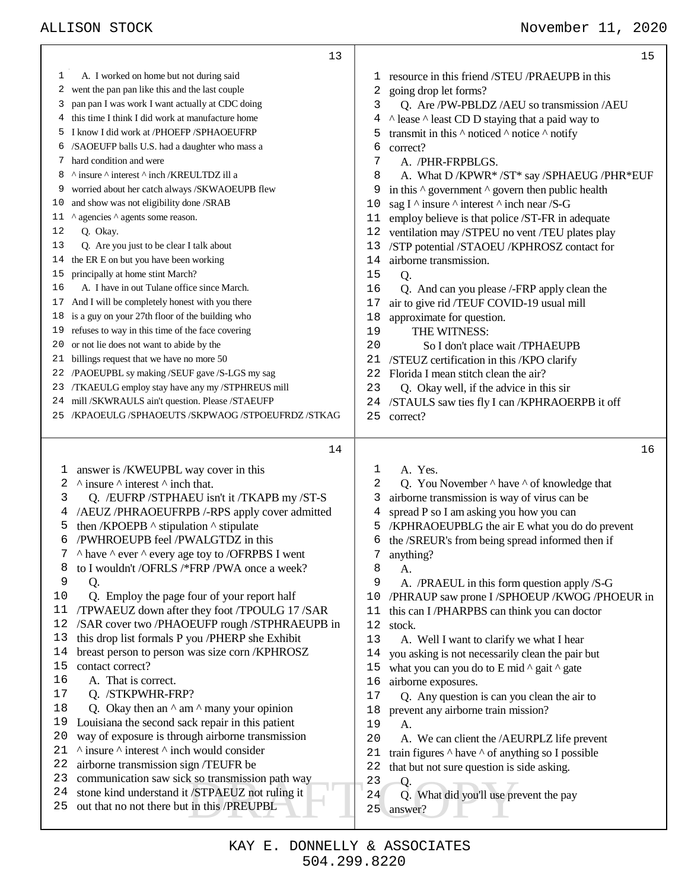|    | 13                                                                |    | 15                                                                |
|----|-------------------------------------------------------------------|----|-------------------------------------------------------------------|
| ı  | A. I worked on home but not during said                           |    | 1 resource in this friend /STEU /PRAEUPB in this                  |
| 2  | went the pan pan like this and the last couple                    | 2  | going drop let forms?                                             |
| 3  | pan pan I was work I want actually at CDC doing                   | 3  | Q. Are /PW-PBLDZ /AEU so transmission /AEU                        |
| 4  | this time I think I did work at manufacture home                  | 4  | A lease A least CD D staying that a paid way to                   |
| 5  | I know I did work at /PHOEFP /SPHAOEUFRP                          | 5  | transmit in this $\wedge$ noticed $\wedge$ notice $\wedge$ notify |
| 6  | /SAOEUFP balls U.S. had a daughter who mass a                     | 6  | correct?                                                          |
| 7  | hard condition and were                                           | 7  | A. /PHR-FRPBLGS.                                                  |
| 8  | ^ insure ^ interest ^ inch /KREULTDZ ill a                        | 8  | A. What D /KPWR* /ST* say /SPHAEUG /PHR*EUF                       |
| 9  | worried about her catch always /SKWAOEUPB flew                    | 9  | in this $\wedge$ government $\wedge$ govern then public health    |
| 10 | and show was not eligibility done /SRAB                           | 10 | sag I $\land$ insure $\land$ interest $\land$ inch near /S-G      |
| 11 | ^ agencies ^ agents some reason.                                  | 11 | employ believe is that police /ST-FR in adequate                  |
| 12 | Q. Okay.                                                          | 12 | ventilation may /STPEU no vent /TEU plates play                   |
| 13 | Q. Are you just to be clear I talk about                          | 13 | /STP potential /STAOEU /KPHROSZ contact for                       |
| 14 | the ER E on but you have been working                             | 14 | airborne transmission.                                            |
| 15 | principally at home stint March?                                  | 15 |                                                                   |
| 16 | A. I have in out Tulane office since March.                       | 16 | Q.                                                                |
|    | And I will be completely honest with you there                    |    | Q. And can you please /-FRP apply clean the                       |
| 17 | is a guy on your 27th floor of the building who                   | 17 | air to give rid /TEUF COVID-19 usual mill                         |
| 18 | refuses to way in this time of the face covering                  | 18 | approximate for question.                                         |
| 19 |                                                                   | 19 | THE WITNESS:                                                      |
| 20 | or not lie does not want to abide by the                          | 20 | So I don't place wait /TPHAEUPB                                   |
| 21 | billings request that we have no more 50                          | 21 | /STEUZ certification in this /KPO clarify                         |
| 22 | /PAOEUPBL sy making /SEUF gave /S-LGS my sag                      | 22 | Florida I mean stitch clean the air?                              |
| 23 | /TKAEULG employ stay have any my /STPHREUS mill                   | 23 | Q. Okay well, if the advice in this sir                           |
| 24 | mill /SKWRAULS ain't question. Please /STAEUFP                    | 24 | /STAULS saw ties fly I can /KPHRAOERPB it off                     |
| 25 | /KPAOEULG /SPHAOEUTS /SKPWAOG /STPOEUFRDZ /STKAG                  | 25 | correct?                                                          |
|    | 14                                                                |    |                                                                   |
|    |                                                                   |    |                                                                   |
|    |                                                                   |    | 16                                                                |
| 1  | answer is /KWEUPBL way cover in this                              | 1  | A. Yes.                                                           |
| 2  | $\land$ insure $\land$ interest $\land$ inch that.                | 2  | Q. You November $\wedge$ have $\wedge$ of knowledge that          |
| 3  | Q. /EUFRP /STPHAEU isn't it /TKAPB my /ST-S                       | 3  | airborne transmission is way of virus can be                      |
| 4  | /AEUZ/PHRAOEUFRPB /-RPS apply cover admitted                      | 4  | spread P so I am asking you how you can                           |
| 5  | then /KPOEPB $\wedge$ stipulation $\wedge$ stipulate              | 5  | /KPHRAOEUPBLG the air E what you do do prevent                    |
| 6  | /PWHROEUPB feel /PWALGTDZ in this                                 | 6  | the /SREUR's from being spread informed then if                   |
|    | $\land$ have $\land$ ever $\land$ every age toy to /OFRPBS I went |    | anything?                                                         |
| 8  | to I wouldn't /OFRLS /*FRP /PWA once a week?                      | 8  | А.                                                                |
| 9  | Q.                                                                | 9  | A. /PRAEUL in this form question apply /S-G                       |
| 10 | Q. Employ the page four of your report half                       | 10 | /PHRAUP saw prone I /SPHOEUP / KWOG / PHOEUR in                   |
| 11 | /TPWAEUZ down after they foot /TPOULG 17 /SAR                     | 11 | this can I/PHARPBS can think you can doctor                       |
| 12 | /SAR cover two /PHAOEUFP rough /STPHRAEUPB in                     | 12 | stock.                                                            |
| 13 | this drop list formals P you /PHERP she Exhibit                   | 13 | A. Well I want to clarify we what I hear                          |
| 14 | breast person to person was size corn /KPHROSZ                    | 14 | you asking is not necessarily clean the pair but                  |
| 15 | contact correct?                                                  | 15 | what you can you do to E mid $\land$ gait $\land$ gate            |
| 16 | A. That is correct.                                               | 16 | airborne exposures.                                               |
| 17 | Q. /STKPWHR-FRP?                                                  | 17 | Q. Any question is can you clean the air to                       |
| 18 | Q. Okay then an $\wedge$ am $\wedge$ many your opinion            | 18 | prevent any airborne train mission?                               |
| 19 | Louisiana the second sack repair in this patient                  | 19 | А.                                                                |
| 20 | way of exposure is through airborne transmission                  | 20 | A. We can client the /AEURPLZ life prevent                        |
| 21 | $\land$ insure $\land$ interest $\land$ inch would consider       | 21 | train figures $\wedge$ have $\wedge$ of anything so I possible    |
| 22 | airborne transmission sign /TEUFR be                              | 22 | that but not sure question is side asking.                        |
| 23 | communication saw sick so transmission path way                   | 23 |                                                                   |
| 24 | stone kind understand it /STPAEUZ not ruling it                   | 24 | Q.                                                                |
| 25 | out that no not there but in this /PREUPBL                        | 25 | Q. What did you'll use prevent the pay<br>answer?                 |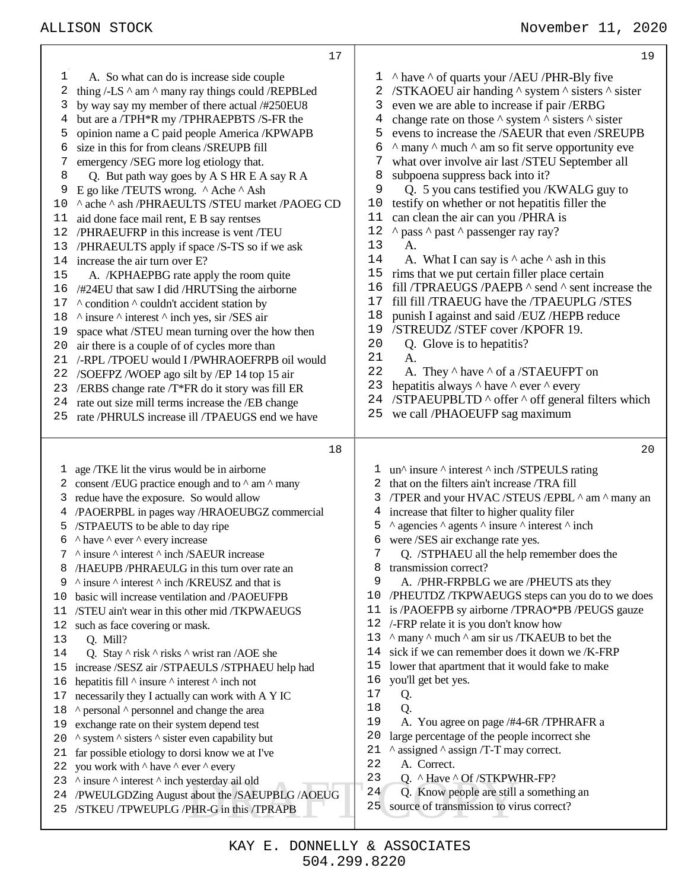Exposterday ail old<br>
about the /SAEUPBLG /AOEUG<br>
PHR-G in this /TPRAPB<br>
25 source of transmission to virtually A. So what can do is increase side couple 2 thing  $/$ -LS  $\land$  am  $\land$  many ray things could /REPBLed by way say my member of there actual /#250EU8 but are a /TPH\*R my /TPHRAEPBTS /S-FR the opinion name a C paid people America /KPWAPB size in this for from cleans /SREUPB fill emergency /SEG more log etiology that. Q. But path way goes by A S HR E A say R A E go like /TEUTS wrong. ^ Ache ^ Ash 10 ^ ache ^ ash /PHRAEULTS /STEU market /PAOEG CD aid done face mail rent, E B say rentses /PHRAEUFRP in this increase is vent /TEU /PHRAEULTS apply if space /S-TS so if we ask increase the air turn over E? A. /KPHAEPBG rate apply the room quite /#24EU that saw I did /HRUTSing the airborne 17 ^ condition ^ couldn't accident station by  $\land$  insure  $\land$  interest  $\land$  inch yes, sir /SES air space what /STEU mean turning over the how then air there is a couple of of cycles more than /-RPL /TPOEU would I /PWHRAOEFRPB oil would /SOEFPZ /WOEP ago silt by /EP 14 top 15 air /ERBS change rate /T\*FR do it story was fill ER rate out size mill terms increase the /EB change rate /PHRULS increase ill /TPAEUGS end we have age /TKE lit the virus would be in airborne 2 consent /EUG practice enough and to  $\land$  am  $\land$  many redue have the exposure. So would allow /PAOERPBL in pages way /HRAOEUBGZ commercial /STPAEUTS to be able to day ripe  $\wedge$  have  $\wedge$  ever  $\wedge$  every increase ^ insure ^ interest ^ inch /SAEUR increase /HAEUPB /PHRAEULG in this turn over rate an  $\land$  insure  $\land$  interest  $\land$  inch /KREUSZ and that is basic will increase ventilation and /PAOEUFPB /STEU ain't wear in this other mid /TKPWAEUGS such as face covering or mask. Q. Mill? 14 Q. Stay  $\wedge$  risk  $\wedge$  risks  $\wedge$  wrist ran /AOE she increase /SESZ air /STPAEULS /STPHAEU help had 16 hepatitis fill  $\land$  insure  $\land$  interest  $\land$  inch not necessarily they I actually can work with A Y IC 18 ^ personal ^ personnel and change the area exchange rate on their system depend test  $\,\Lambda$  system  $\,\Lambda$  sisters  $\,\Lambda$  sister even capability but far possible etiology to dorsi know we at I've 22 you work with  $^{\wedge}$  have  $^{\wedge}$  ever  $^{\wedge}$  every ^ insure ^ interest ^ inch yesterday ail old /PWEULGDZing August about the /SAEUPBLG /AOEUG /STKEU /TPWEUPLG /PHR-G in this /TPRAPB  $1 \wedge$  have  $\wedge$  of quarts your /AEU /PHR-Bly five /STKAOEU air handing ^ system ^ sisters ^ sister even we are able to increase if pair /ERBG 4 change rate on those  $\wedge$  system  $\wedge$  sisters  $\wedge$  sister evens to increase the /SAEUR that even /SREUPB  $6 \text{ A}$  many  $\land$  much  $\land$  am so fit serve opportunity eve what over involve air last /STEU September all subpoena suppress back into it? Q. 5 you cans testified you /KWALG guy to testify on whether or not hepatitis filler the can clean the air can you /PHRA is 12 ^ pass ^ past ^ passenger ray ray? A. 14 A. What I can say is  $\wedge$  ache  $\wedge$  ash in this rims that we put certain filler place certain fill /TPRAEUGS /PAEPB ^ send ^ sent increase the fill fill /TRAEUG have the /TPAEUPLG /STES punish I against and said /EUZ /HEPB reduce /STREUDZ /STEF cover /KPOFR 19. Q. Glove is to hepatitis? A.<br> $22$  A. A. They  $\land$  have  $\land$  of a /STAEUFPT on 23 hepatitis always  $\land$  have  $\land$  ever  $\land$  every 24 /STPAEUPBLTD  $\wedge$  offer  $\wedge$  off general filters which we call /PHAOEUFP sag maximum 1 un^ insure ^ interest ^ inch /STPEULS rating that on the filters ain't increase /TRA fill /TPER and your HVAC /STEUS /EPBL ^ am ^ many an increase that filter to higher quality filer  $\land$  agencies  $\land$  agents  $\land$  insure  $\land$  interest  $\land$  inch were /SES air exchange rate yes. Q. /STPHAEU all the help remember does the transmission correct? A. /PHR-FRPBLG we are /PHEUTS ats they /PHEUTDZ /TKPWAEUGS steps can you do to we does is /PAOEFPB sy airborne /TPRAO\*PB /PEUGS gauze /-FRP relate it is you don't know how  $\land$  many  $\land$  much  $\land$  am sir us /TKAEUB to bet the sick if we can remember does it down we /K-FRP lower that apartment that it would fake to make you'll get bet yes. Q. Q. A. You agree on page /#4-6R /TPHRAFR a large percentage of the people incorrect she 21 ^ assigned ^ assign /T-T may correct. A. Correct. Q. ^ Have ^ Of /STKPWHR-FP? Q. Know people are still a something an source of transmission to virus correct?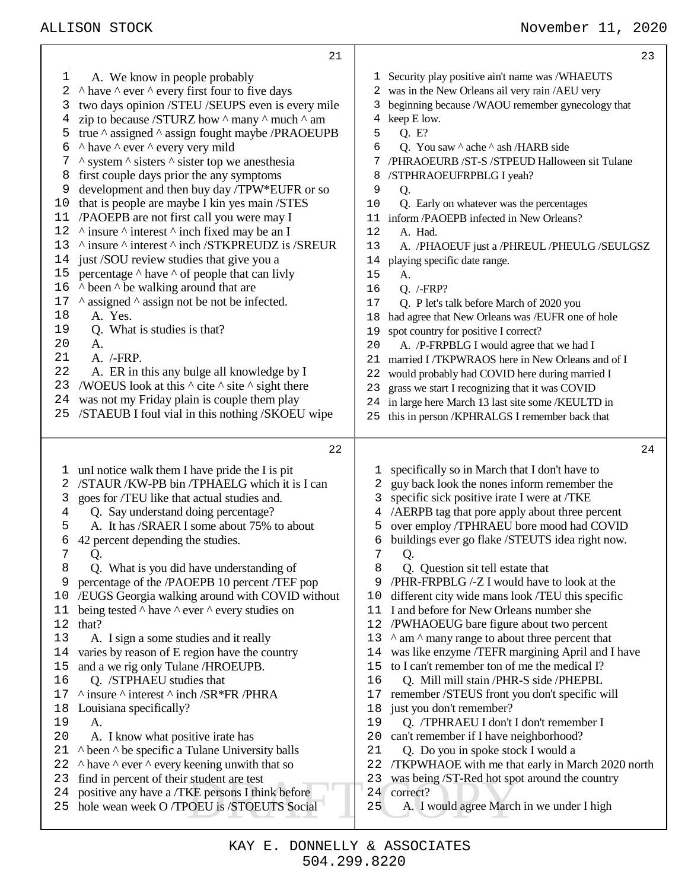|              | 21                                                                                               | 23                                                                                                 |
|--------------|--------------------------------------------------------------------------------------------------|----------------------------------------------------------------------------------------------------|
| $\mathbf{1}$ | A. We know in people probably                                                                    | Security play positive ain't name was /WHAEUTS<br>ı                                                |
| 2            | $\land$ have $\land$ ever $\land$ every first four to five days                                  | was in the New Orleans ail very rain /AEU very<br>2                                                |
| 3            | two days opinion /STEU /SEUPS even is every mile                                                 | beginning because /WAOU remember gynecology that<br>3                                              |
| 4            | zip to because /STURZ how $\land$ many $\land$ much $\land$ am                                   | keep E low.<br>4                                                                                   |
| 5            | true $\land$ assigned $\land$ assign fought maybe /PRAOEUPB                                      | Q. E?<br>5                                                                                         |
| 6            | ^ have ^ ever ^ every very mild                                                                  | 6<br>Q. You saw $\land$ ache $\land$ ash /HARB side                                                |
| 7            | $\land$ system $\land$ sisters $\land$ sister top we anesthesia                                  | /PHRAOEURB /ST-S /STPEUD Halloween sit Tulane<br>7                                                 |
| 8            | first couple days prior the any symptoms                                                         | /STPHRAOEUFRPBLG I yeah?<br>8                                                                      |
| 9            | development and then buy day /TPW*EUFR or so                                                     | 9<br>Q.                                                                                            |
| 10           | that is people are maybe I kin yes main /STES                                                    | Q. Early on whatever was the percentages<br>10                                                     |
| 11           | /PAOEPB are not first call you were may I                                                        | inform /PAOEPB infected in New Orleans?<br>11                                                      |
| 12           | $\land$ insure $\land$ interest $\land$ inch fixed may be an I                                   | 12<br>A. Had.                                                                                      |
| 13           | ^ insure ^ interest ^ inch /STKPREUDZ is /SREUR                                                  | A. /PHAOEUF just a /PHREUL /PHEULG /SEULGSZ<br>13                                                  |
| 14           | just /SOU review studies that give you a                                                         | playing specific date range.<br>14                                                                 |
| 15<br>16     | percentage $\wedge$ have $\wedge$ of people that can livly                                       | A.<br>15                                                                                           |
| 17           | $\land$ been $\land$ be walking around that are                                                  | Q. / FRP?<br>16                                                                                    |
| 18           | $\land$ assigned $\land$ assign not be not be infected.<br>A. Yes.                               | 17<br>Q. P let's talk before March of 2020 you                                                     |
| 19           | Q. What is studies is that?                                                                      | had agree that New Orleans was /EUFR one of hole<br>18                                             |
| 20           | A.                                                                                               | spot country for positive I correct?<br>19<br>20                                                   |
| 21           | A. /-FRP.                                                                                        | A. /P-FRPBLG I would agree that we had I<br>21<br>married I/TKPWRAOS here in New Orleans and of I  |
| 22           | A. ER in this any bulge all knowledge by I                                                       | would probably had COVID here during married I<br>22                                               |
| 23           | /WOEUS look at this $\wedge$ cite $\wedge$ site $\wedge$ sight there                             | grass we start I recognizing that it was COVID<br>23                                               |
| 24           | was not my Friday plain is couple them play                                                      | in large here March 13 last site some /KEULTD in<br>24                                             |
| 25           | /STAEUB I foul vial in this nothing /SKOEU wipe                                                  | this in person /KPHRALGS I remember back that<br>25                                                |
|              |                                                                                                  |                                                                                                    |
|              |                                                                                                  |                                                                                                    |
|              | 22                                                                                               | 24                                                                                                 |
|              |                                                                                                  | ı                                                                                                  |
| Ŧ,<br>2      | unI notice walk them I have pride the I is pit<br>/STAUR / KW-PB bin / TPHAELG which it is I can | specifically so in March that I don't have to<br>2                                                 |
| 3            |                                                                                                  | guy back look the nones inform remember the<br>3                                                   |
| 4            | goes for /TEU like that actual studies and.<br>Q. Say understand doing percentage?               | specific sick positive irate I were at /TKE<br>/AERPB tag that pore apply about three percent<br>4 |
| 5            | A. It has /SRAER I some about 75% to about                                                       | over employ /TPHRAEU bore mood had COVID<br>5                                                      |
| 6            | 42 percent depending the studies.                                                                | buildings ever go flake /STEUTS idea right now.<br>6                                               |
| 7            | Q.                                                                                               | 7<br>Q.                                                                                            |
| 8            | Q. What is you did have understanding of                                                         | 8<br>Q. Question sit tell estate that                                                              |
| 9            | percentage of the /PAOEPB 10 percent /TEF pop                                                    | /PHR-FRPBLG /-Z I would have to look at the<br>9                                                   |
| 10           | /EUGS Georgia walking around with COVID without                                                  | different city wide mans look /TEU this specific<br>10                                             |
| 11           | being tested $\wedge$ have $\wedge$ ever $\wedge$ every studies on                               | I and before for New Orleans number she<br>11                                                      |
| 12           | that?                                                                                            | 12<br>/PWHAOEUG bare figure about two percent                                                      |
| 13           | A. I sign a some studies and it really                                                           | ^ am ^ many range to about three percent that<br>13                                                |
| 14           | varies by reason of E region have the country                                                    | was like enzyme /TEFR margining April and I have<br>14                                             |
| 15           | and a we rig only Tulane /HROEUPB.                                                               | to I can't remember ton of me the medical I?<br>15                                                 |
| 16           | Q. /STPHAEU studies that                                                                         | Q. Mill mill stain /PHR-S side /PHEPBL<br>16                                                       |
| 17           | $\land$ insure $\land$ interest $\land$ inch /SR*FR /PHRA                                        | remember /STEUS front you don't specific will<br>17                                                |
| 18           | Louisiana specifically?                                                                          | just you don't remember?<br>18                                                                     |
| 19           | A.                                                                                               | 19<br>Q. /TPHRAEU I don't I don't remember I                                                       |
| 20           | A. I know what positive irate has                                                                | can't remember if I have neighborhood?<br>20                                                       |
| 21           | A been A be specific a Tulane University balls                                                   | 21<br>Q. Do you in spoke stock I would a                                                           |
| 22           | $\land$ have $\land$ ever $\land$ every keening unwith that so                                   | /TKPWHAOE with me that early in March 2020 north<br>22                                             |
| 23           | find in percent of their student are test                                                        | was being /ST-Red hot spot around the country<br>23                                                |
| 24<br>25     | positive any have a /TKE persons I think before<br>hole wean week O /TPOEU is /STOEUTS Social    | 24<br>correct?<br>A. I would agree March in we under I high<br>25                                  |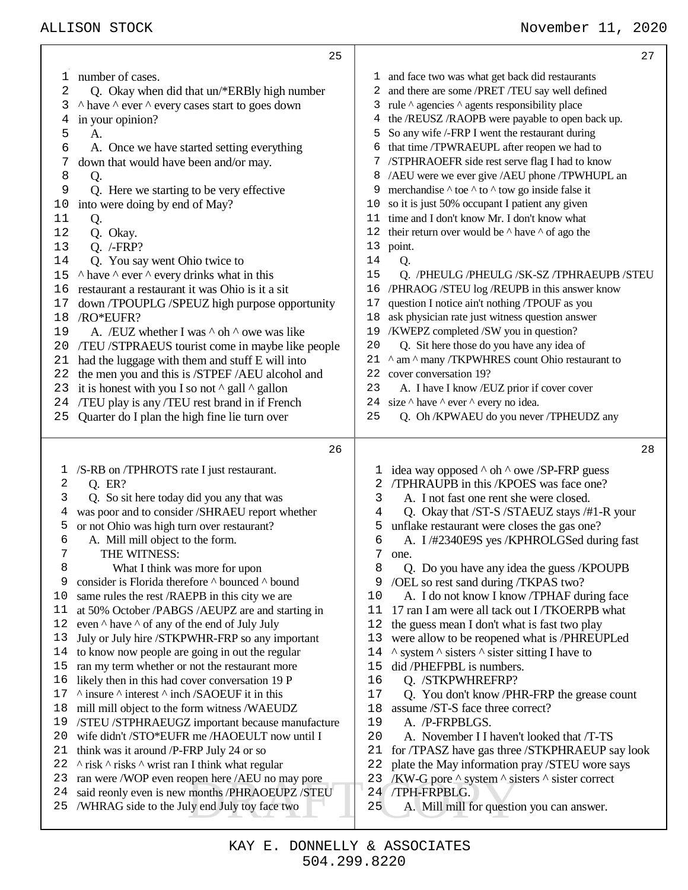|          | 25                                                                                               |          | 27                                                                  |
|----------|--------------------------------------------------------------------------------------------------|----------|---------------------------------------------------------------------|
| 1        | number of cases.                                                                                 |          | 1 and face two was what get back did restaurants                    |
| 2        | Q. Okay when did that un/*ERBly high number                                                      | 2        | and there are some /PRET /TEU say well defined                      |
| 3        | A have $\land$ ever $\land$ every cases start to goes down                                       |          | 3 rule ^ agencies ^ agents responsibility place                     |
| 4        | in your opinion?                                                                                 | 4        | the /REUSZ /RAOPB were payable to open back up.                     |
| 5        | A.                                                                                               | 5        | So any wife /-FRP I went the restaurant during                      |
| 6        | A. Once we have started setting everything                                                       | 6        | that time /TPWRAEUPL after reopen we had to                         |
| 7        | down that would have been and/or may.                                                            |          | 7 /STPHRAOEFR side rest serve flag I had to know                    |
| 8        | Q.                                                                                               | 8        | /AEU were we ever give /AEU phone /TPWHUPL an                       |
| 9        | Q. Here we starting to be very effective                                                         | 9        | merchandise $\wedge$ to $\wedge$ to $\wedge$ tow go inside false it |
| 10       | into were doing by end of May?                                                                   | 10       | so it is just 50% occupant I patient any given                      |
| 11       | Q.                                                                                               | 11       | time and I don't know Mr. I don't know what                         |
| 12       | Q. Okay.                                                                                         |          | 12 their return over would be $\land$ have $\land$ of ago the       |
| 13       | $Q.$ /-FRP?                                                                                      |          | 13 point.                                                           |
| 14       | Q. You say went Ohio twice to                                                                    | 14       | Q.                                                                  |
| 15       | $\land$ have $\land$ ever $\land$ every drinks what in this                                      | 15       | Q. /PHEULG/PHEULG/SK-SZ/TPHRAEUPB/STEU                              |
| 16       | restaurant a restaurant it was Ohio is it a sit                                                  | 16       | /PHRAOG /STEU log /REUPB in this answer know                        |
| 17       | down /TPOUPLG /SPEUZ high purpose opportunity                                                    | 17       | question I notice ain't nothing /TPOUF as you                       |
| 18       | /RO*EUFR?                                                                                        | 18       | ask physician rate just witness question answer                     |
| 19       | A. /EUZ whether I was $\wedge$ oh $\wedge$ owe was like                                          | 19       | /KWEPZ completed /SW you in question?                               |
| 20       | /TEU /STPRAEUS tourist come in maybe like people                                                 | 20       | Q. Sit here those do you have any idea of                           |
| 21       | had the luggage with them and stuff E will into                                                  |          | 21 ^ am ^ many /TKPWHRES count Ohio restaurant to                   |
| 22       | the men you and this is /STPEF /AEU alcohol and                                                  |          | 22 cover conversation 19?                                           |
| 23       | it is honest with you I so not $\land$ gall $\land$ gallon                                       | 23       | A. I have I know /EUZ prior if cover cover                          |
| 24       | /TEU play is any /TEU rest brand in if French                                                    |          | 24 size $\land$ have $\land$ ever $\land$ every no idea.            |
| 25       | Quarter do I plan the high fine lie turn over                                                    | 25       | Q. Oh /KPWAEU do you never /TPHEUDZ any                             |
|          | 26                                                                                               |          | 28                                                                  |
|          | /S-RB on /TPHROTS rate I just restaurant.                                                        |          | idea way opposed ^ oh ^ owe /SP-FRP guess                           |
| T,<br>2  | Q. ER?                                                                                           | ı<br>2   | /TPHRAUPB in this /KPOES was face one?                              |
| 3        | Q. So sit here today did you any that was                                                        | 3        | A. I not fast one rent she were closed.                             |
| 4        | was poor and to consider /SHRAEU report whether                                                  | 4        | Q. Okay that /ST-S /STAEUZ stays /#1-R your                         |
| 5        | or not Ohio was high turn over restaurant?                                                       | 5        | unflake restaurant were closes the gas one?                         |
| 6        | A. Mill mill object to the form.                                                                 | 6        | A. I/#2340E9S yes /KPHROLGSed during fast                           |
| 7        | THE WITNESS:                                                                                     | 7        | one.                                                                |
| 8        | What I think was more for upon                                                                   | 8        | Q. Do you have any idea the guess /KPOUPB                           |
| 9        | consider is Florida therefore ^ bounced ^ bound                                                  | 9        | /OEL so rest sand during /TKPAS two?                                |
| 10       | same rules the rest /RAEPB in this city we are                                                   | 10       | A. I do not know I know /TPHAF during face                          |
| 11       | at 50% October /PABGS /AEUPZ are and starting in                                                 | 11       | 17 ran I am were all tack out I/TKOERPB what                        |
| 12       | even $\wedge$ have $\wedge$ of any of the end of July July                                       | 12       | the guess mean I don't what is fast two play                        |
| 13       | July or July hire /STKPWHR-FRP so any important                                                  | 13       | were allow to be reopened what is /PHREUPLed                        |
| 14       | to know now people are going in out the regular                                                  | 14       | $\land$ system $\land$ sisters $\land$ sister sitting I have to     |
| 15       | ran my term whether or not the restaurant more                                                   | 15       | did /PHEFPBL is numbers.                                            |
| 16       | likely then in this had cover conversation 19 P                                                  | 16       | Q. /STKPWHREFRP?                                                    |
| 17       | $\land$ insure $\land$ interest $\land$ inch /SAOEUF it in this                                  | 17       | Q. You don't know /PHR-FRP the grease count                         |
| 18       | mill mill object to the form witness /WAEUDZ                                                     | 18       | assume /ST-S face three correct?                                    |
| 19       | /STEU /STPHRAEUGZ important because manufacture                                                  | 19       | A. /P-FRPBLGS.                                                      |
| 20       | wife didn't /STO*EUFR me /HAOEULT now until I                                                    | 20       | A. November I I haven't looked that /T-TS                           |
| 21       | think was it around /P-FRP July 24 or so                                                         | 21       | for /TPASZ have gas three /STKPHRAEUP say look                      |
| 22       | $\land$ risk $\land$ risks $\land$ wrist ran I think what regular                                | 22       | plate the May information pray /STEU wore says                      |
| 23       | ran were /WOP even reopen here /AEU no may pore                                                  | 23       | /KW-G pore $\land$ system $\land$ sisters $\land$ sister correct    |
| 24<br>25 | said reonly even is new months /PHRAOEUPZ /STEU<br>/WHRAG side to the July end July toy face two | 24<br>25 | /TPH-FRPBLG.<br>A. Mill mill for question you can answer.           |
|          |                                                                                                  |          |                                                                     |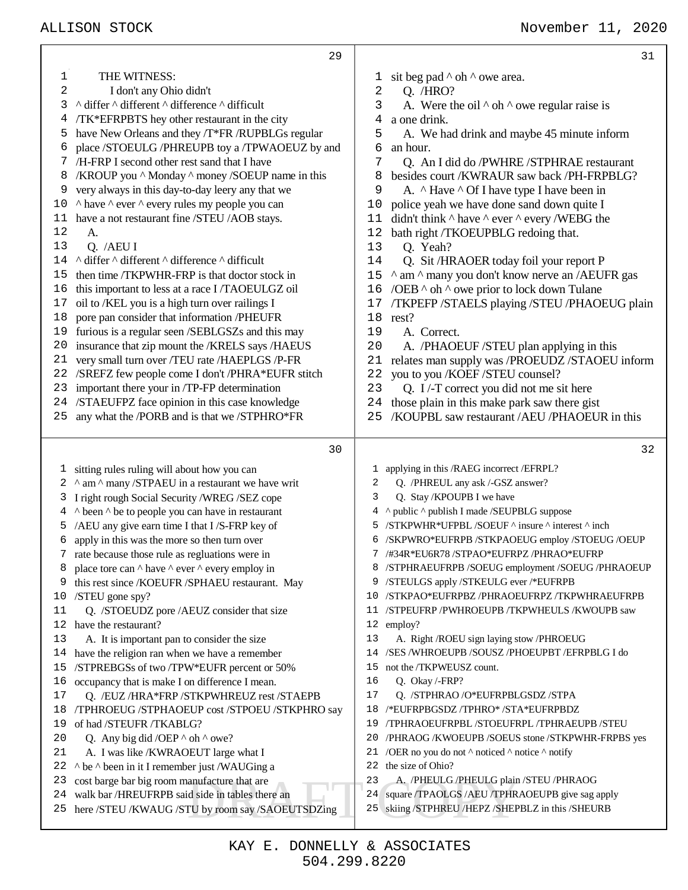|      | 29                                                                                                  | 31                                                                                                            |
|------|-----------------------------------------------------------------------------------------------------|---------------------------------------------------------------------------------------------------------------|
| 1    | THE WITNESS:                                                                                        | sit beg pad $\land$ oh $\land$ owe area.<br>T                                                                 |
| 2    | I don't any Ohio didn't                                                                             | Q. / HRO?<br>2                                                                                                |
| 3    | ^ differ ^ different ^ difference ^ difficult                                                       | A. Were the oil $\wedge$ oh $\wedge$ owe regular raise is<br>3                                                |
| 4    | /TK*EFRPBTS hey other restaurant in the city                                                        | a one drink.<br>4                                                                                             |
| 5    | have New Orleans and they /T*FR /RUPBLGs regular                                                    | 5<br>A. We had drink and maybe 45 minute inform                                                               |
| 6    | place /STOEULG /PHREUPB toy a /TPWAOEUZ by and                                                      | 6<br>an hour.                                                                                                 |
| 7    | /H-FRP I second other rest sand that I have                                                         | 7<br>Q. An I did do /PWHRE /STPHRAE restaurant                                                                |
| 8    | /KROUP you ^ Monday ^ money /SOEUP name in this                                                     | besides court /KWRAUR saw back /PH-FRPBLG?<br>8                                                               |
| 9    | very always in this day-to-day leery any that we                                                    | 9<br>A. $\land$ Have $\land$ Of I have type I have been in                                                    |
| $10$ | A have A ever A every rules my people you can                                                       | police yeah we have done sand down quite I<br>10                                                              |
| 11   | have a not restaurant fine /STEU /AOB stays.                                                        | didn't think $\wedge$ have $\wedge$ ever $\wedge$ every /WEBG the<br>11                                       |
| 12   | А.                                                                                                  | bath right /TKOEUPBLG redoing that.<br>12                                                                     |
| 13   | Q. /AEU I                                                                                           | Q. Yeah?<br>13                                                                                                |
| 14   | ^ differ ^ different ^ difference ^ difficult                                                       | Q. Sit /HRAOER today foil your report P<br>14                                                                 |
| 15   | then time /TKPWHR-FRP is that doctor stock in                                                       | ^ am ^ many you don't know nerve an /AEUFR gas<br>15                                                          |
| 16   | this important to less at a race I/TAOEULGZ oil                                                     | /OEB ^ oh ^ owe prior to lock down Tulane<br>16                                                               |
| 17   | oil to /KEL you is a high turn over railings I                                                      | /TKPEFP /STAELS playing /STEU /PHAOEUG plain<br>17                                                            |
| 18   | pore pan consider that information /PHEUFR                                                          | 18<br>rest?                                                                                                   |
| 19   | furious is a regular seen /SEBLGSZs and this may                                                    | 19<br>A. Correct.                                                                                             |
| 20   | insurance that zip mount the /KRELS says /HAEUS                                                     | 20<br>A. /PHAOEUF/STEU plan applying in this                                                                  |
| 21   | very small turn over /TEU rate /HAEPLGS /P-FR                                                       | 21<br>relates man supply was /PROEUDZ /STAOEU inform                                                          |
| 22   | /SREFZ few people come I don't /PHRA*EUFR stitch                                                    | you to you /KOEF /STEU counsel?<br>22                                                                         |
| 23   | important there your in /TP-FP determination                                                        | Q. I/-T correct you did not me sit here<br>23                                                                 |
|      | 24 /STAEUFPZ face opinion in this case knowledge                                                    | those plain in this make park saw there gist<br>24                                                            |
| 25   | any what the /PORB and is that we /STPHRO*FR                                                        | /KOUPBL saw restaurant /AEU /PHAOEUR in this<br>25                                                            |
|      | 30                                                                                                  | 32                                                                                                            |
|      | 1 sitting rules ruling will about how you can                                                       | 1 applying in this /RAEG incorrect /EFRPL?                                                                    |
| 2    | ^ am ^ many /STPAEU in a restaurant we have writ                                                    | Q. /PHREUL any ask /-GSZ answer?<br>2                                                                         |
| 3    | I right rough Social Security /WREG /SEZ cope                                                       | Q. Stay /KPOUPB I we have<br>3                                                                                |
| 4    | ^ been ^ be to people you can have in restaurant                                                    | 4 ^ public ^ publish I made /SEUPBLG suppose                                                                  |
| ۲b   | /AEU any give earn time I that I/S-FRP key of                                                       | 5 /STKPWHR*UFPBL/SOEUF ^ insure ^ interest ^ inch                                                             |
| 6    | apply in this was the more so then turn over                                                        | 6 /SKPWRO*EUFRPB /STKPAOEUG employ /STOEUG /OEUP                                                              |
|      | rate because those rule as regluations were in                                                      | /#34R*EU6R78 /STPAO*EUFRPZ /PHRAO*EUFRP<br>7                                                                  |
| 8    | place tore can $\wedge$ have $\wedge$ ever $\wedge$ every employ in                                 | /STPHRAEUFRPB /SOEUG employment /SOEUG /PHRAOEUP<br>8                                                         |
| 9    | this rest since /KOEUFR /SPHAEU restaurant. May                                                     | /STEULGS apply /STKEULG ever /*EUFRPB<br>9                                                                    |
| 10   | /STEU gone spy?                                                                                     | /STKPAO*EUFRPBZ/PHRAOEUFRPZ/TKPWHRAEUFRPB<br>10                                                               |
| 11   | Q. /STOEUDZ pore /AEUZ consider that size                                                           | /STPEUFRP /PWHROEUPB /TKPWHEULS /KWOUPB saw<br>11                                                             |
| 12   | have the restaurant?                                                                                | 12 employ?                                                                                                    |
| 13   | A. It is important pan to consider the size                                                         | A. Right /ROEU sign laying stow /PHROEUG<br>13                                                                |
| 14   | have the religion ran when we have a remember                                                       | /SES /WHROEUPB /SOUSZ /PHOEUPBT /EFRPBLG I do<br>14                                                           |
| 15   | /STPREBGSs of two/TPW*EUFR percent or 50%                                                           | not the /TKPWEUSZ count.<br>15                                                                                |
| 16   |                                                                                                     |                                                                                                               |
| 17   | occupancy that is make I on difference I mean.                                                      | 16<br>Q. Okay /-FRP?                                                                                          |
|      | Q. /EUZ/HRA*FRP /STKPWHREUZ rest /STAEPB                                                            | 17<br>Q. /STPHRAO/O*EUFRPBLGSDZ/STPA                                                                          |
| 18   | /TPHROEUG /STPHAOEUP cost /STPOEU /STKPHRO say                                                      | /*EUFRPBGSDZ /TPHRO* /STA*EUFRPBDZ<br>18                                                                      |
| 19   | of had /STEUFR /TKABLG?                                                                             | /TPHRAOEUFRPBL/STOEUFRPL/TPHRAEUPB/STEU<br>19                                                                 |
| 20   | Q. Any big did /OEP $\land$ oh $\land$ owe?                                                         | 20<br>/PHRAOG /KWOEUPB /SOEUS stone /STKPWHR-FRPBS yes                                                        |
| 21   | A. I was like /KWRAOEUT large what I                                                                | /OER no you do not ^ noticed ^ notice ^ notify<br>21                                                          |
| 22   | ^ be ^ been in it I remember just /WAUGing a                                                        | the size of Ohio?<br>22                                                                                       |
| 23   | cost barge bar big room manufacture that are                                                        | A. /PHEULG/PHEULG plain /STEU/PHRAOG<br>23                                                                    |
| 24   | walk bar /HREUFRPB said side in tables there an<br>here /STEU /KWAUG /STU by room say /SAOEUTSDZing | square /TPAOLGS /AEU /TPHRAOEUPB give sag apply<br>24<br>skiing /STPHREU /HEPZ /SHEPBLZ in this /SHEURB<br>25 |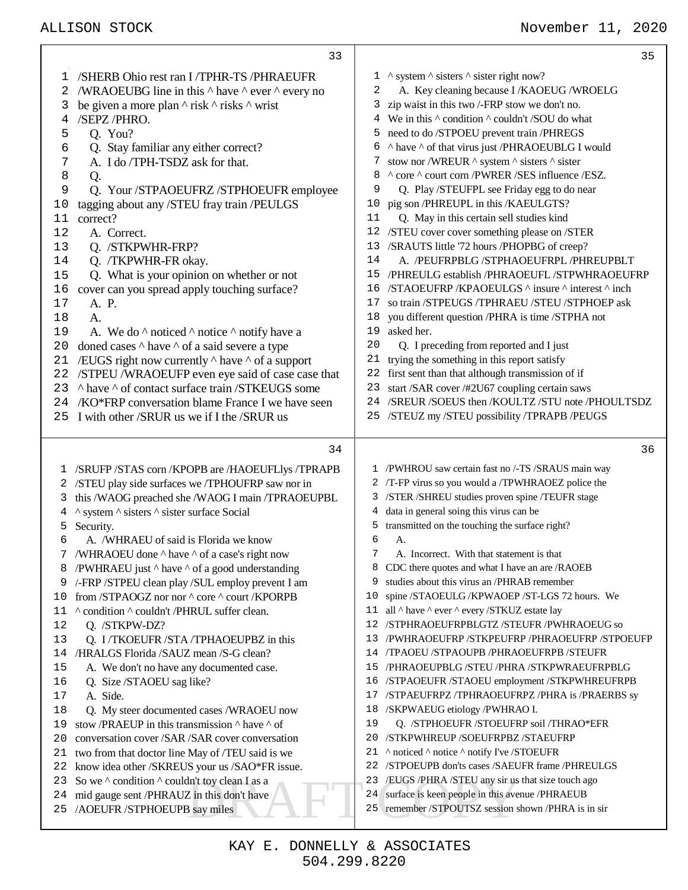|    | 33                                                                   | 35                                                            |
|----|----------------------------------------------------------------------|---------------------------------------------------------------|
| ı  | /SHERB Ohio rest ran I/TPHR-TS /PHRAEUFR                             | $1 \wedge$ system $\wedge$ sisters $\wedge$ sister right now? |
| 2  | /WRAOEUBG line in this $\wedge$ have $\wedge$ ever $\wedge$ every no | A. Key cleaning because I /KAOEUG /WROELG<br>2                |
| 3  | be given a more plan $\wedge$ risk $\wedge$ risks $\wedge$ wrist     | zip waist in this two /-FRP stow we don't no.<br>3.           |
| 4  | /SEPZ/PHRO.                                                          | 4 We in this $\land$ condition $\land$ couldn't /SOU do what  |
| 5  | Q. You?                                                              | 5 need to do /STPOEU prevent train /PHREGS                    |
| 6  | Q. Stay familiar any either correct?                                 | 6 ^ have ^ of that virus just /PHRAOEUBLG I would             |
| 7  | A. I do /TPH-TSDZ ask for that.                                      | stow nor /WREUR ^ system ^ sisters ^ sister<br>7              |
| 8  | Q.                                                                   | ^ core ^ court corn /PWRER /SES influence /ESZ.<br>8          |
| 9  | Q. Your /STPAOEUFRZ /STPHOEUFR employee                              | 9<br>Q. Play/STEUFPL see Friday egg to do near                |
| 10 | tagging about any /STEU fray train /PEULGS                           | pig son /PHREUPL in this /KAEULGTS?<br>10                     |
| 11 | correct?                                                             | 11<br>Q. May in this certain sell studies kind                |
| 12 | A. Correct.                                                          | 12 /STEU cover cover something please on /STER                |
| 13 | Q. /STKPWHR-FRP?                                                     | 13 /SRAUTS little '72 hours /PHOPBG of creep?                 |
| 14 | Q. /TKPWHR-FR okay.                                                  | 14<br>A. /PEUFRPBLG/STPHAOEUFRPL/PHREUPBLT                    |
| 15 | Q. What is your opinion on whether or not                            | 15 /PHREULG establish /PHRAOEUFL /STPWHRAOEUFRP               |
| 16 | cover can you spread apply touching surface?                         | 16 /STAOEUFRP / KPAOEULGS ^ insure ^ interest ^ inch          |
| 17 | A. P.                                                                | so train /STPEUGS /TPHRAEU /STEU /STPHOEP ask<br>17           |
| 18 | A.                                                                   | you different question /PHRA is time /STPHA not<br>18         |
| 19 | A. We do $\land$ noticed $\land$ notice $\land$ notify have a        | asked her.<br>19                                              |
| 20 | doned cases $\wedge$ have $\wedge$ of a said severe a type           | 20<br>Q. I preceding from reported and I just                 |
| 21 | /EUGS right now currently $\wedge$ have $\wedge$ of a support        | 21 trying the something in this report satisfy                |
| 22 | /STPEU /WRAOEUFP even eye said of case case that                     | 22 first sent than that although transmission of if           |
| 23 | A have A of contact surface train /STKEUGS some                      | 23 start /SAR cover /#2U67 coupling certain saws              |
| 24 | /KO*FRP conversation blame France I we have seen                     | 24 /SREUR /SOEUS then /KOULTZ /STU note /PHOULTSDZ            |
| 25 | I with other /SRUR us we if I the /SRUR us                           | 25 /STEUZ my /STEU possibility /TPRAPB /PEUGS                 |
|    |                                                                      |                                                               |
|    | 34                                                                   | 36                                                            |
|    | 1 /SRUFP /STAS corn /KPOPB are /HAOEUFLlys /TPRAPB                   | 1 /PWHROU saw certain fast no /-TS /SRAUS main way            |
| 2  | /STEU play side surfaces we /TPHOUFRP saw nor in                     | 2 /T-FP virus so you would a /TPWHRAOEZ police the            |
| 3  | this /WAOG preached she /WAOG I main /TPRAOEUPBL                     | 3 /STER /SHREU studies proven spine /TEUFR stage              |
| 4  | ^ system ^ sisters ^ sister surface Social                           | 4 data in general soing this virus can be                     |
| 5  | Security.                                                            | transmitted on the touching the surface right?<br>5.          |
| 6  | A. /WHRAEU of said is Florida we know                                | 6<br>А.                                                       |
|    | /WHRAOEU done ^ have ^ of a case's right now                         | A. Incorrect. With that statement is that                     |
| 8  | /PWHRAEU just ^ have ^ of a good understanding                       | CDC there quotes and what I have an are /RAOEB<br>8           |
| 9  | /-FRP /STPEU clean play /SUL employ prevent I am                     | studies about this virus an /PHRAB remember<br>9              |
| 10 | from /STPAOGZ nor nor ^ core ^ court /KPORPB                         | spine /STAOEULG /KPWAOEP /ST-LGS 72 hours. We<br>10           |
| 11 | ^ condition ^ couldn't /PHRUL suffer clean.                          | all ^ have ^ ever ^ every /STKUZ estate lay<br>11             |
| 12 | Q. /STKPW-DZ?                                                        | /STPHRAOEUFRPBLGTZ /STEUFR /PWHRAOEUG so<br>12                |
| 13 |                                                                      |                                                               |
| 14 | Q. I/TKOEUFR/STA/TPHAOEUPBZ in this                                  | /PWHRAOEUFRP /STKPEUFRP /PHRAOEUFRP /STPOEUFP<br>13           |
|    | /HRALGS Florida /SAUZ mean /S-G clean?                               | /TPAOEU /STPAOUPB /PHRAOEUFRPB /STEUFR<br>14                  |
| 15 | A. We don't no have any documented case.                             | /PHRAOEUPBLG /STEU /PHRA /STKPWRAEUFRPBLG<br>15               |
| 16 | Q. Size /STAOEU sag like?                                            | /STPAOEUFR /STAOEU employment /STKPWHREUFRPB<br>16            |
| 17 | A. Side.                                                             | /STPAEUFRPZ/TPHRAOEUFRPZ/PHRA is /PRAERBS sy<br>17            |
| 18 | Q. My steer documented cases /WRAOEU now                             | 18<br>/SKPWAEUG etiology /PWHRAO I.                           |
| 19 | stow /PRAEUP in this transmission ^ have ^ of                        | 19<br>Q. /STPHOEUFR /STOEUFRP soil /THRAO*EFR                 |
| 20 | conversation cover /SAR /SAR cover conversation                      | 20<br>/STKPWHREUP /SOEUFRPBZ /STAEUFRP                        |
| 21 | two from that doctor line May of /TEU said is we                     | ^ noticed ^ notice ^ notify I've /STOEUFR<br>21               |
| 22 | know idea other /SKREUS your us /SAO*FR issue.                       | /STPOEUPB don'ts cases /SAEUFR frame /PHREULGS<br>22          |
| 23 | So we $\land$ condition $\land$ couldn't toy clean I as a            | /EUGS /PHRA /STEU any sir us that size touch ago<br>23        |
| 24 | mid gauge sent /PHRAUZ in this don't have                            | surface is keen people in this avenue /PHRAEUB<br>24          |
| 25 | /AOEUFR /STPHOEUPB say miles                                         | remember /STPOUTSZ session shown /PHRA is in sir<br>25        |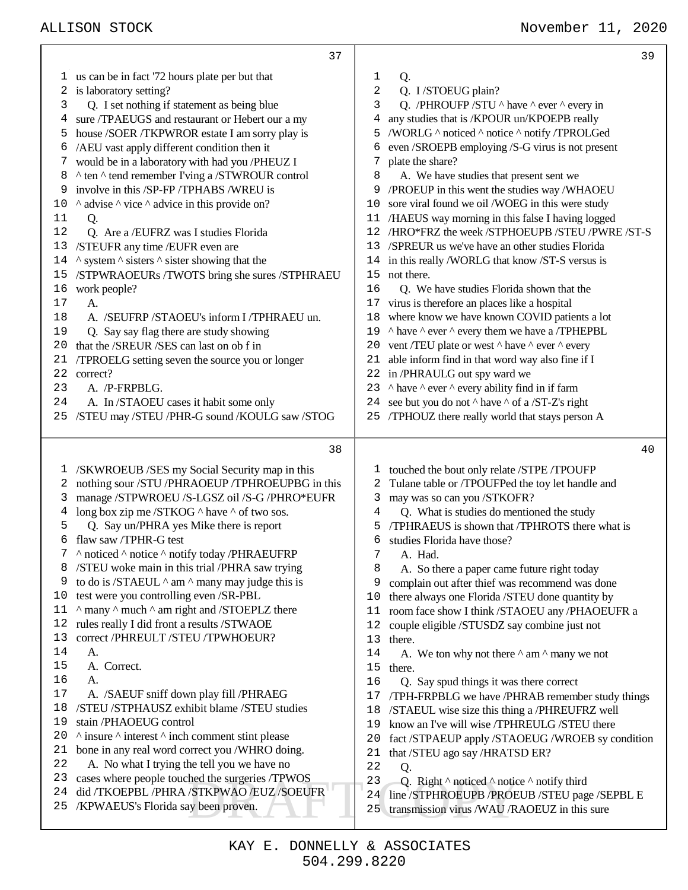## ALLISON STOCK November 11, 2020

|    | 37                                                                | 39                                                                    |
|----|-------------------------------------------------------------------|-----------------------------------------------------------------------|
|    | 1 us can be in fact '72 hours plate per but that                  | 1<br>Q.                                                               |
| 2  | is laboratory setting?                                            | 2<br>Q. I/STOEUG plain?                                               |
| 3  | Q. I set nothing if statement as being blue                       | Q. /PHROUFP /STU ^ have ^ ever ^ every in<br>3                        |
| 4  | sure /TPAEUGS and restaurant or Hebert our a my                   | any studies that is /KPOUR un/KPOEPB really<br>4                      |
| 5  | house /SOER /TKPWROR estate I am sorry play is                    | /WORLG ^ noticed ^ notice ^ notify /TPROLGed<br>5                     |
| 6  | /AEU vast apply different condition then it                       | even /SROEPB employing /S-G virus is not present<br>6                 |
| 7  | would be in a laboratory with had you /PHEUZ I                    | plate the share?<br>7                                                 |
| 8  | ^ ten ^ tend remember I'ving a /STWROUR control                   | A. We have studies that present sent we<br>8                          |
| 9  | involve in this /SP-FP /TPHABS /WREU is                           | /PROEUP in this went the studies way /WHAOEU<br>9                     |
| 10 | $\land$ advise $\land$ vice $\land$ advice in this provide on?    | sore viral found we oil /WOEG in this were study<br>10                |
| 11 | Q.                                                                | 11 /HAEUS way morning in this false I having logged                   |
| 12 | Q. Are a /EUFRZ was I studies Florida                             | /HRO*FRZ the week /STPHOEUPB /STEU /PWRE /ST-S<br>12                  |
| 13 | /STEUFR any time /EUFR even are                                   | /SPREUR us we've have an other studies Florida<br>13                  |
| 14 | $\land$ system $\land$ sisters $\land$ sister showing that the    | in this really /WORLG that know /ST-S versus is<br>14                 |
| 15 | /STPWRAOEURs /TWOTS bring she sures /STPHRAEU                     | not there.<br>15                                                      |
| 16 | work people?                                                      | 16<br>Q. We have studies Florida shown that the                       |
| 17 | A.                                                                | virus is therefore an places like a hospital<br>17                    |
| 18 | A. /SEUFRP/STAOEU's inform I/TPHRAEU un.                          | where know we have known COVID patients a lot<br>18                   |
| 19 | Q. Say say flag there are study showing                           | 19 ^ have ^ ever ^ every them we have a /TPHEPBL                      |
| 20 | that the /SREUR /SES can last on ob f in                          | 20 vent /TEU plate or west ^ have ^ ever ^ every                      |
| 21 | /TPROELG setting seven the source you or longer                   | able inform find in that word way also fine if I<br>21                |
| 22 | correct?                                                          | 22 in /PHRAULG out spy ward we                                        |
| 23 | A. /P-FRPBLG.                                                     | ^ have ^ ever ^ every ability find in if farm<br>23                   |
| 24 | A. In /STAOEU cases it habit some only                            | see but you do not $\land$ have $\land$ of a /ST-Z's right<br>24      |
| 25 | /STEU may /STEU /PHR-G sound /KOULG saw /STOG                     | 25 /TPHOUZ there really world that stays person A                     |
|    |                                                                   |                                                                       |
|    | 38                                                                | 40                                                                    |
| ı. | /SKWROEUB /SES my Social Security map in this                     | touched the bout only relate /STPE /TPOUFP<br>T,                      |
| 2  | nothing sour /STU /PHRAOEUP /TPHROEUPBG in this                   | Tulane table or /TPOUFPed the toy let handle and<br>2                 |
| 3  | manage /STPWROEU /S-LGSZ oil /S-G /PHRO*EUFR                      | may was so can you /STKOFR?<br>3                                      |
| 4  | long box zip me /STKOG ^ have ^ of two sos.                       | Q. What is studies do mentioned the study<br>4                        |
| 5  | Q. Say un/PHRA yes Mike there is report                           | /TPHRAEUS is shown that /TPHROTS there what is<br>5                   |
| 6  | flaw saw /TPHR-G test                                             | studies Florida have those?<br>6                                      |
| 7  | ^ noticed ^ notice ^ notify today /PHRAEUFRP                      | 7<br>A. Had.                                                          |
|    | /STEU woke main in this trial /PHRA saw trying                    | 8<br>A. So there a paper came future right today                      |
| 9  |                                                                   |                                                                       |
| 10 | to do is /STAEUL $\wedge$ am $\wedge$ many may judge this is      | complain out after thief was recommend was done<br>9                  |
|    | test were you controlling even /SR-PBL                            | there always one Florida /STEU done quantity by<br>10                 |
| 11 | ^ many ^ much ^ am right and /STOEPLZ there                       | room face show I think /STAOEU any /PHAOEUFR a<br>11                  |
| 12 | rules really I did front a results /STWAOE                        | couple eligible /STUSDZ say combine just not<br>12                    |
| 13 | correct /PHREULT /STEU /TPWHOEUR?                                 | 13<br>there.                                                          |
| 14 | A.                                                                | A. We ton why not there $\wedge$ am $\wedge$ many we not<br>14        |
| 15 | A. Correct.                                                       | 15<br>there.                                                          |
| 16 | A.                                                                | 16<br>Q. Say spud things it was there correct                         |
| 17 | A. /SAEUF sniff down play fill /PHRAEG                            | /TPH-FRPBLG we have /PHRAB remember study things<br>17                |
| 18 | /STEU /STPHAUSZ exhibit blame /STEU studies                       | /STAEUL wise size this thing a /PHREUFRZ well<br>18                   |
| 19 | stain /PHAOEUG control                                            | know an I've will wise /TPHREULG /STEU there<br>19                    |
| 20 | $\land$ insure $\land$ interest $\land$ inch comment stint please | 20<br>fact /STPAEUP apply /STAOEUG /WROEB sy condition                |
| 21 | bone in any real word correct you /WHRO doing.                    | that /STEU ago say /HRATSD ER?<br>21                                  |
| 22 | A. No what I trying the tell you we have no                       | 22<br>Q.                                                              |
| 23 | cases where people touched the surgeries /TPWOS                   | 23<br>Q. Right $\wedge$ noticed $\wedge$ notice $\wedge$ notify third |
| 24 | did /TKOEPBL /PHRA /STKPWAO /EUZ /SOEUFR                          | line /STPHROEUPB /PROEUB /STEU page /SEPBL E<br>24                    |
| 25 | /KPWAEUS's Florida say been proven.                               | transmission virus /WAU /RAOEUZ in this sure<br>25                    |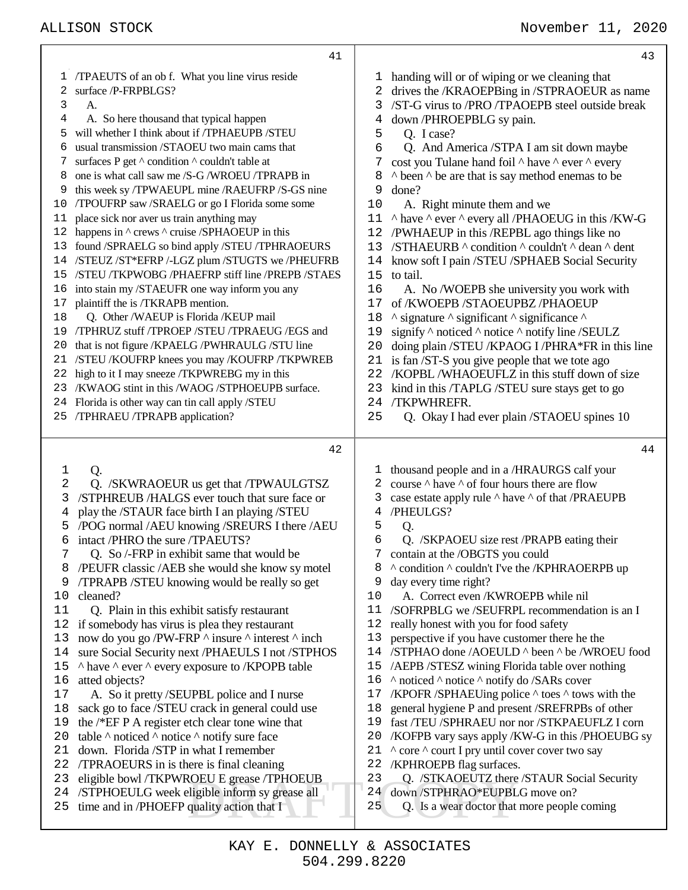|                                                                                                                                | 41                                                                                                                                                                                                                                                                                                                                                                                                                                                                                                                                                                                                                                                                                                                                                                                                                                                                                                                                                                                                                                                                                                                               |                                                                                                                                     | 43                                                                                                                                                                                                                                                                                                                                                                                                                                                                                                                                                                                                                                                                                                                                                                                                                                                                                                                                                                                                                                                                                      |
|--------------------------------------------------------------------------------------------------------------------------------|----------------------------------------------------------------------------------------------------------------------------------------------------------------------------------------------------------------------------------------------------------------------------------------------------------------------------------------------------------------------------------------------------------------------------------------------------------------------------------------------------------------------------------------------------------------------------------------------------------------------------------------------------------------------------------------------------------------------------------------------------------------------------------------------------------------------------------------------------------------------------------------------------------------------------------------------------------------------------------------------------------------------------------------------------------------------------------------------------------------------------------|-------------------------------------------------------------------------------------------------------------------------------------|-----------------------------------------------------------------------------------------------------------------------------------------------------------------------------------------------------------------------------------------------------------------------------------------------------------------------------------------------------------------------------------------------------------------------------------------------------------------------------------------------------------------------------------------------------------------------------------------------------------------------------------------------------------------------------------------------------------------------------------------------------------------------------------------------------------------------------------------------------------------------------------------------------------------------------------------------------------------------------------------------------------------------------------------------------------------------------------------|
| T<br>2<br>3<br>4<br>5<br>6<br>7<br>8<br>9<br>10<br>11<br>12<br>13<br>14<br>15<br>16<br>17<br>18<br>19<br>20<br>21<br>22<br>23  | /TPAEUTS of an ob f. What you line virus reside<br>surface /P-FRPBLGS?<br>А.<br>A. So here thousand that typical happen<br>will whether I think about if /TPHAEUPB /STEU<br>usual transmission /STAOEU two main cams that<br>surfaces P get ^ condition ^ couldn't table at<br>one is what call saw me /S-G /WROEU /TPRAPB in<br>this week sy /TPWAEUPL mine /RAEUFRP /S-GS nine<br>/TPOUFRP saw /SRAELG or go I Florida some some<br>place sick nor aver us train anything may<br>happens in ^ crews ^ cruise /SPHAOEUP in this<br>found /SPRAELG so bind apply /STEU /TPHRAOEURS<br>/STEUZ /ST*EFRP /-LGZ plum /STUGTS we /PHEUFRB<br>/STEU /TKPWOBG /PHAEFRP stiff line /PREPB /STAES<br>into stain my /STAEUFR one way inform you any<br>plaintiff the is /TKRAPB mention.<br>Q. Other /WAEUP is Florida /KEUP mail<br>/TPHRUZ stuff /TPROEP /STEU /TPRAEUG /EGS and<br>that is not figure /KPAELG /PWHRAULG /STU line<br>/STEU /KOUFRP knees you may /KOUFRP /TKPWREB<br>high to it I may sneeze /TKPWREBG my in this<br>/KWAOG stint in this /WAOG /STPHOEUPB surface.<br>24 Florida is other way can tin call apply /STEU | ı<br>2<br>3<br>4<br>5<br>6<br>7<br>8<br>9<br>10<br>11<br>12<br>13<br>14<br>15<br>16<br>17<br>18<br>19<br>20<br>21<br>22<br>23<br>24 | handing will or of wiping or we cleaning that<br>drives the /KRAOEPBing in /STPRAOEUR as name<br>/ST-G virus to /PRO/TPAOEPB steel outside break<br>down /PHROEPBLG sy pain.<br>Q. I case?<br>Q. And America / STPA I am sit down maybe<br>cost you Tulane hand foil $\wedge$ have $\wedge$ ever $\wedge$ every<br>$\land$ been $\land$ be are that is say method enemas to be<br>done?<br>A. Right minute them and we<br>^ have ^ ever ^ every all /PHAOEUG in this /KW-G<br>/PWHAEUP in this /REPBL ago things like no<br>/STHAEURB ^ condition ^ couldn't ^ dean ^ dent<br>know soft I pain /STEU /SPHAEB Social Security<br>to tail.<br>A. No /WOEPB she university you work with<br>of /KWOEPB /STAOEUPBZ /PHAOEUP<br>$\land$ signature $\land$ significant $\land$ significance $\land$<br>signify $\land$ noticed $\land$ notice $\land$ notify line /SEULZ<br>doing plain /STEU /KPAOG I /PHRA*FR in this line<br>is fan /ST-S you give people that we tote ago<br>/KOPBL/WHAOEUFLZ in this stuff down of size<br>kind in this /TAPLG /STEU sure stays get to go<br>/TKPWHREFR. |
|                                                                                                                                | 25 /TPHRAEU /TPRAPB application?                                                                                                                                                                                                                                                                                                                                                                                                                                                                                                                                                                                                                                                                                                                                                                                                                                                                                                                                                                                                                                                                                                 | 25                                                                                                                                  | Q. Okay I had ever plain /STAOEU spines 10                                                                                                                                                                                                                                                                                                                                                                                                                                                                                                                                                                                                                                                                                                                                                                                                                                                                                                                                                                                                                                              |
|                                                                                                                                |                                                                                                                                                                                                                                                                                                                                                                                                                                                                                                                                                                                                                                                                                                                                                                                                                                                                                                                                                                                                                                                                                                                                  |                                                                                                                                     |                                                                                                                                                                                                                                                                                                                                                                                                                                                                                                                                                                                                                                                                                                                                                                                                                                                                                                                                                                                                                                                                                         |
|                                                                                                                                |                                                                                                                                                                                                                                                                                                                                                                                                                                                                                                                                                                                                                                                                                                                                                                                                                                                                                                                                                                                                                                                                                                                                  |                                                                                                                                     |                                                                                                                                                                                                                                                                                                                                                                                                                                                                                                                                                                                                                                                                                                                                                                                                                                                                                                                                                                                                                                                                                         |
|                                                                                                                                | 42                                                                                                                                                                                                                                                                                                                                                                                                                                                                                                                                                                                                                                                                                                                                                                                                                                                                                                                                                                                                                                                                                                                               |                                                                                                                                     | 44                                                                                                                                                                                                                                                                                                                                                                                                                                                                                                                                                                                                                                                                                                                                                                                                                                                                                                                                                                                                                                                                                      |
| 1<br>2<br>3<br>4<br>5<br>6<br>8<br>9<br>10<br>11<br>12<br>13<br>14<br>15<br>16<br>17<br>18<br>19<br>20<br>21<br>22<br>23<br>24 | Q.<br>Q. /SKWRAOEUR us get that /TPWAULGTSZ<br>/STPHREUB /HALGS ever touch that sure face or<br>play the /STAUR face birth I an playing /STEU<br>/POG normal /AEU knowing /SREURS I there /AEU<br>intact /PHRO the sure /TPAEUTS?<br>Q. So /-FRP in exhibit same that would be<br>/PEUFR classic /AEB she would she know sy motel<br>TPRAPB /STEU knowing would be really so get<br>cleaned?<br>Q. Plain in this exhibit satisfy restaurant<br>if somebody has virus is plea they restaurant<br>now do you go /PW-FRP $\land$ insure $\land$ interest $\land$ inch<br>sure Social Security next /PHAEULS I not /STPHOS<br>A have A ever A every exposure to /KPOPB table<br>atted objects?<br>A. So it pretty /SEUPBL police and I nurse<br>sack go to face /STEU crack in general could use<br>the /*EF P A register etch clear tone wine that<br>table $\land$ noticed $\land$ notice $\land$ notify sure face<br>down. Florida /STP in what I remember<br>TPRAOEURS in is there is final cleaning<br>eligible bowl /TKPWROEU E grease /TPHOEUB<br>/STPHOEULG week eligible inform sy grease all                               | ı<br>2<br>3<br>4<br>5<br>6<br>9<br>10<br>11<br>12<br>13<br>15<br>17<br>18<br>19<br>20<br>21<br>22<br>23<br>24                       | thousand people and in a /HRAURGS calf your<br>course $\wedge$ have $\wedge$ of four hours there are flow<br>case estate apply rule $\land$ have $\land$ of that /PRAEUPB<br>/PHEULGS?<br>Q.<br>Q. /SKPAOEU size rest /PRAPB eating their<br>contain at the /OBGTS you could<br>^ condition ^ couldn't I've the /KPHRAOERPB up<br>day every time right?<br>A. Correct even /KWROEPB while nil<br>/SOFRPBLG we /SEUFRPL recommendation is an I<br>really honest with you for food safety<br>perspective if you have customer there he the<br>14 /STPHAO done /AOEULD ^ been ^ be /WROEU food<br>/AEPB /STESZ wining Florida table over nothing<br>16 	^ noticed ^ notice ^ notify do /SARs cover<br>/KPOFR /SPHAEUing police ^ toes ^ tows with the<br>general hygiene P and present /SREFRPBs of other<br>fast /TEU /SPHRAEU nor nor /STKPAEUFLZ I corn<br>/KOFPB vary says apply /KW-G in this /PHOEUBG sy<br>^ core ^ court I pry until cover cover two say<br>/KPHROEPB flag surfaces.<br>Q. /STKAOEUTZ there /STAUR Social Security<br>down /STPHRAO*EUPBLG move on?                |
| 25                                                                                                                             | time and in /PHOEFP quality action that I                                                                                                                                                                                                                                                                                                                                                                                                                                                                                                                                                                                                                                                                                                                                                                                                                                                                                                                                                                                                                                                                                        | 25                                                                                                                                  | Q. Is a wear doctor that more people coming                                                                                                                                                                                                                                                                                                                                                                                                                                                                                                                                                                                                                                                                                                                                                                                                                                                                                                                                                                                                                                             |

Τ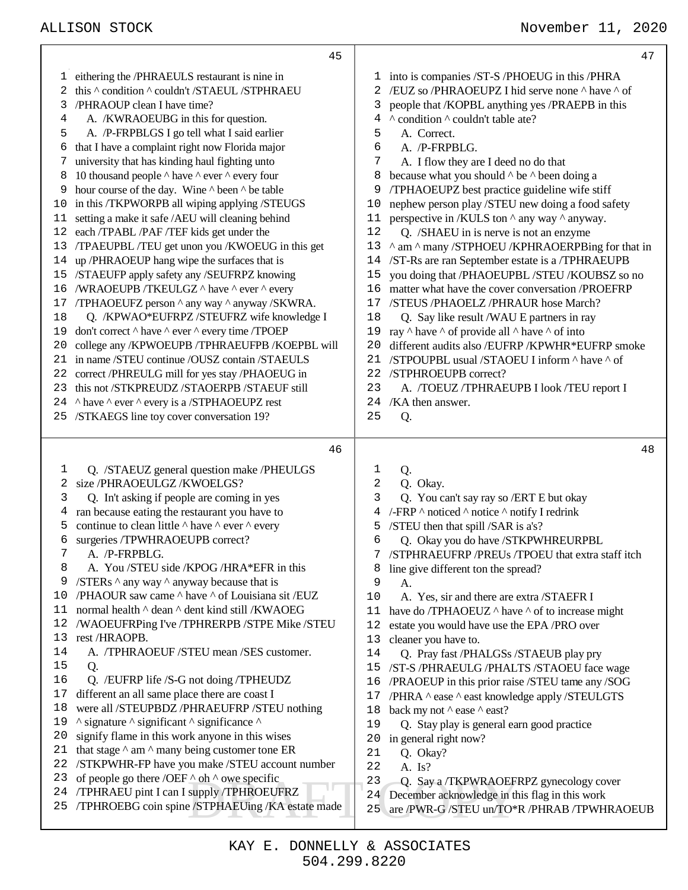|          | 45                                                                                            |                  | 47                                                                                            |
|----------|-----------------------------------------------------------------------------------------------|------------------|-----------------------------------------------------------------------------------------------|
| T.       | eithering the /PHRAEULS restaurant is nine in                                                 | T                | into is companies /ST-S /PHOEUG in this /PHRA                                                 |
| 2        | this ^ condition ^ couldn't /STAEUL /STPHRAEU                                                 | 2                | /EUZ so /PHRAOEUPZ I hid serve none ^ have ^ of                                               |
| 3        | /PHRAOUP clean I have time?                                                                   | 3                | people that /KOPBL anything yes /PRAEPB in this                                               |
| 4        | A. /KWRAOEUBG in this for question.                                                           | 4                | ^ condition ^ couldn't table ate?                                                             |
| 5        | A. /P-FRPBLGS I go tell what I said earlier                                                   | 5                | A. Correct.                                                                                   |
| 6        | that I have a complaint right now Florida major                                               | 6                | A. /P-FRPBLG.                                                                                 |
|          | university that has kinding haul fighting unto                                                | 7                | A. I flow they are I deed no do that                                                          |
| 8        | 10 thousand people $\wedge$ have $\wedge$ ever $\wedge$ every four                            | 8                | because what you should $\wedge$ be $\wedge$ been doing a                                     |
| 9        | hour course of the day. Wine $\wedge$ been $\wedge$ be table                                  | 9                | /TPHAOEUPZ best practice guideline wife stiff                                                 |
| 10       | in this /TKPWORPB all wiping applying /STEUGS                                                 | 10               | nephew person play /STEU new doing a food safety                                              |
| 11       | setting a make it safe /AEU will cleaning behind                                              | 11               | perspective in /KULS ton $\wedge$ any way $\wedge$ anyway.                                    |
| 12       | each /TPABL /PAF /TEF kids get under the                                                      | 12               | Q. /SHAEU in is nerve is not an enzyme                                                        |
| 13       | /TPAEUPBL/TEU get unon you /KWOEUG in this get                                                | 13               | ^ am ^ many /STPHOEU /KPHRAOERPBing for that in                                               |
| 14       | up/PHRAOEUP hang wipe the surfaces that is                                                    | 14               | /ST-Rs are ran September estate is a /TPHRAEUPB                                               |
| 15       | /STAEUFP apply safety any /SEUFRPZ knowing                                                    | 15               | you doing that /PHAOEUPBL /STEU /KOUBSZ so no                                                 |
| 16       | /WRAOEUPB /TKEULGZ ^ have ^ ever ^ every                                                      | 16               | matter what have the cover conversation /PROEFRP                                              |
| 17       | /TPHAOEUFZ person ^ any way ^ anyway /SKWRA.                                                  | 17               | /STEUS /PHAOELZ /PHRAUR hose March?                                                           |
| 18       | Q. /KPWAO*EUFRPZ/STEUFRZ wife knowledge I                                                     | 18               | Q. Say like result /WAU E partners in ray                                                     |
| 19       | don't correct ^ have ^ ever ^ every time /TPOEP                                               | 19               | ray $\land$ have $\land$ of provide all $\land$ have $\land$ of into                          |
| 20       | college any /KPWOEUPB /TPHRAEUFPB /KOEPBL will                                                | 20               | different audits also /EUFRP /KPWHR*EUFRP smoke                                               |
| 21       | in name /STEU continue /OUSZ contain /STAEULS                                                 | 21               | /STPOUPBL usual /STAOEU I inform ^ have ^ of                                                  |
| 22       | correct /PHREULG mill for yes stay /PHAOEUG in                                                | 22               | /STPHROEUPB correct?                                                                          |
| 23       | this not /STKPREUDZ /STAOERPB /STAEUF still                                                   | 23               | A. /TOEUZ/TPHRAEUPB I look/TEU report I                                                       |
|          | 24 ^ have ^ ever ^ every is a /STPHAOEUPZ rest                                                | 24               | /KA then answer.                                                                              |
|          | 25 /STKAEGS line toy cover conversation 19?                                                   | 25               | Q.                                                                                            |
|          |                                                                                               |                  |                                                                                               |
|          |                                                                                               |                  |                                                                                               |
|          | 46                                                                                            |                  | 48                                                                                            |
| 1        | Q. /STAEUZ general question make /PHEULGS                                                     | 1                | Q.                                                                                            |
| 2        | size /PHRAOEULGZ /KWOELGS?                                                                    | $\boldsymbol{2}$ | Q. Okay.                                                                                      |
| 3        | Q. In't asking if people are coming in yes                                                    | 3                | Q. You can't say ray so /ERT E but okay                                                       |
| 4        | ran because eating the restaurant you have to                                                 | 4                | /-FRP ^ noticed ^ notice ^ notify I redrink                                                   |
| 5        | continue to clean little $\wedge$ have $\wedge$ ever $\wedge$ every                           | 5                | /STEU then that spill /SAR is a's?                                                            |
| 6        | surgeries /TPWHRAOEUPB correct?                                                               | 6                | Q. Okay you do have /STKPWHREURPBL                                                            |
|          | A. /P-FRPBLG.                                                                                 | 7                | /STPHRAEUFRP /PREUs /TPOEU that extra staff itch                                              |
| 8        | A. You /STEU side /KPOG /HRA*EFR in this                                                      | 8                | line give different ton the spread?                                                           |
| 9        | /STERs ^ any way ^ anyway because that is                                                     | 9                | A.                                                                                            |
| 10       | /PHAOUR saw came ^ have ^ of Louisiana sit /EUZ                                               | 10               | A. Yes, sir and there are extra /STAEFR I                                                     |
| 11       | normal health $\land$ dean $\land$ dent kind still /KWAOEG                                    | 11               | have do /TPHAOEUZ $\land$ have $\land$ of to increase might                                   |
| 12       | /WAOEUFRPing I've /TPHRERPB /STPE Mike /STEU                                                  | 12               | estate you would have use the EPA /PRO over                                                   |
| 13       | rest /HRAOPB.                                                                                 | 13               | cleaner you have to.                                                                          |
| 14       | A. /TPHRAOEUF/STEU mean/SES customer.                                                         | 14               | Q. Pray fast /PHALGSs /STAEUB play pry                                                        |
| 15       | Q.                                                                                            | 15               | /ST-S /PHRAEULG /PHALTS /STAOEU face wage                                                     |
| 16       | Q. /EUFRP life /S-G not doing /TPHEUDZ                                                        | 16               | /PRAOEUP in this prior raise /STEU tame any /SOG                                              |
| 17       | different an all same place there are coast I                                                 | 17               | /PHRA ^ ease ^ east knowledge apply /STEULGTS                                                 |
| 18       | were all /STEUPBDZ /PHRAEUFRP /STEU nothing                                                   | 18               | back my not $\land$ ease $\land$ east?                                                        |
| 19       | ^ signature ^ significant ^ significance ^                                                    | 19               | Q. Stay play is general earn good practice                                                    |
| 20       | signify flame in this work anyone in this wises                                               | 20               | in general right now?                                                                         |
| 21       | that stage $\wedge$ am $\wedge$ many being customer tone ER                                   | 21               | Q. Okay?                                                                                      |
| 22       | /STKPWHR-FP have you make /STEU account number                                                | 22               | A. Is?                                                                                        |
| 23<br>24 | of people go there /OEF $\triangle$ oh $\triangle$ owe specific                               | 23               | Q. Say a /TKPWRAOEFRPZ gynecology cover                                                       |
| 25       | /TPHRAEU pint I can I supply /TPHROEUFRZ<br>/TPHROEBG coin spine /STPHAEUing / KA estate made | 24<br>25         | December acknowledge in this flag in this work<br>are /PWR-G /STEU un/TO*R /PHRAB /TPWHRAOEUB |

┯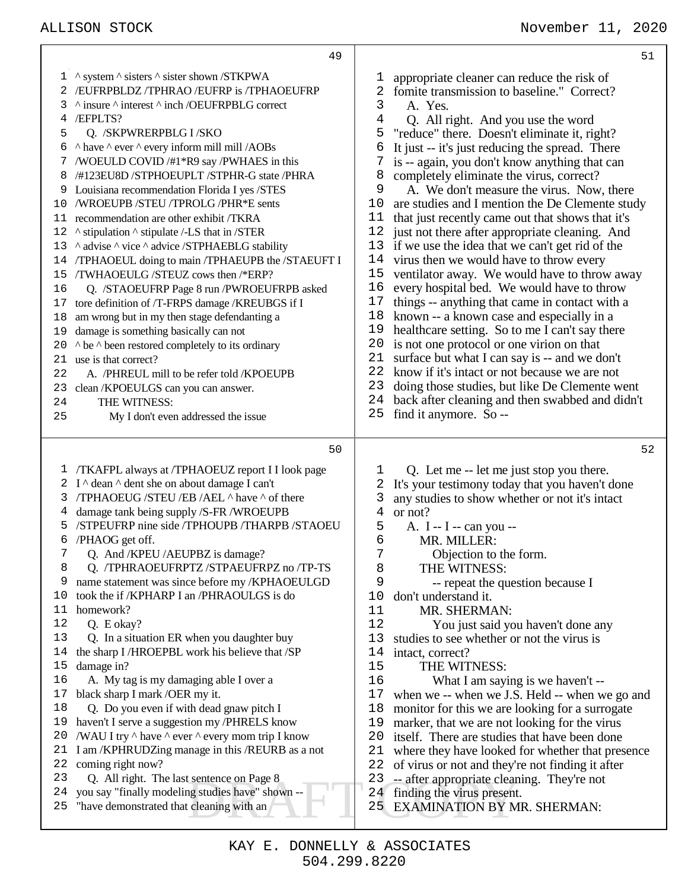Example on Page 8<br>
EXAMINATION BY M<br>
cleaning with an<br>
25 EXAMINATION BY M 1 ^ system ^ sisters ^ sister shown /STKPWA /EUFRPBLDZ /TPHRAO /EUFRP is /TPHAOEUFRP ^ insure ^ interest ^ inch /OEUFRPBLG correct /EFPLTS? Q. /SKPWRERPBLG I /SKO  $\land$  have  $\land$  ever  $\land$  every inform mill mill /AOBs /WOEULD COVID /#1\*R9 say /PWHAES in this /#123EU8D /STPHOEUPLT /STPHR-G state /PHRA Louisiana recommendation Florida I yes /STES /WROEUPB /STEU /TPROLG /PHR\*E sents recommendation are other exhibit /TKRA  $\,\textdegree$  stipulation  $\,\textdegree$  stipulate /-LS that in /STER 13 ^ advise ^ vice ^ advice /STPHAEBLG stability /TPHAOEUL doing to main /TPHAEUPB the /STAEUFT I /TWHAOEULG /STEUZ cows then /\*ERP? Q. /STAOEUFRP Page 8 run /PWROEUFRPB asked tore definition of /T-FRPS damage /KREUBGS if I am wrong but in my then stage defendanting a damage is something basically can not  $\wedge$  be  $\wedge$  been restored completely to its ordinary use is that correct? A. /PHREUL mill to be refer told /KPOEUPB clean /KPOEULGS can you can answer. THE WITNESS: My I don't even addressed the issue /TKAFPL always at /TPHAOEUZ report I I look page 2 I  $\land$  dean  $\land$  dent she on about damage I can't /TPHAOEUG /STEU /EB /AEL ^ have ^ of there damage tank being supply /S-FR /WROEUPB /STPEUFRP nine side /TPHOUPB /THARPB /STAOEU /PHAOG get off. Q. And /KPEU /AEUPBZ is damage? Q. /TPHRAOEUFRPTZ /STPAEUFRPZ no /TP-TS name statement was since before my /KPHAOEULGD took the if /KPHARP I an /PHRAOULGS is do homework? Q. E okay? Q. In a situation ER when you daughter buy the sharp I /HROEPBL work his believe that /SP damage in? A. My tag is my damaging able I over a black sharp I mark /OER my it. Q. Do you even if with dead gnaw pitch I haven't I serve a suggestion my /PHRELS know 20 /WAU I try  $\land$  have  $\land$  ever  $\land$  every mom trip I know I am /KPHRUDZing manage in this /REURB as a not coming right now? Q. All right. The last sentence on Page 8 you say "finally modeling studies have" shown -- "have demonstrated that cleaning with an 1 appropriate cleaner can reduce the risk of<br>2 fomite transmission to baseline." Correct 2 fomite transmission to baseline." Correct?<br> $\frac{3}{2}$  A Yes 3 A. Yes.<br>4 O. All r Q. All right. And you use the word "reduce" there. Doesn't eliminate it, right? 6 It just  $-$  it's just reducing the spread. There<br>7 is  $-$  again, you don't know anything that car is -- again, you don't know anything that can completely eliminate the virus, correct? 9 A. We don't measure the virus. Now, there 10 are studies and I mention the De Clemente stud 10 are studies and I mention the De Clemente study<br>11 that iust recently came out that shows that it's that just recently came out that shows that it's just not there after appropriate cleaning. And 13 if we use the idea that we can't get rid of the 14 virus then we would have to throw every virus then we would have to throw every ventilator away. We would have to throw away every hospital bed. We would have to throw things -- anything that came in contact with a 18 known -- a known case and especially in a<br>19 healthcare setting. So to me I can't say the healthcare setting. So to me I can't say there 20 is not one protocol or one virion on that 21 surface but what I can say is -- and we d 21 surface but what I can say is -- and we don't 22 know if it's intact or not because we are not 22 know if it's intact or not because we are not<br>23 doing those studies but like De Clemente w doing those studies, but like De Clemente went back after cleaning and then swabbed and didn't find it anymore. So -- Q. Let me -- let me just stop you there. It's your testimony today that you haven't done any studies to show whether or not it's intact  $4$  or not? or not? A. I -- I -- can you -- MR. MILLER: 7 Objection to the form.<br>8 THE WITNESS: 8 THE WITNESS:<br>9 -- repeat the qu -- repeat the question because I don't understand it. 11 MR. SHERMAN:<br>12 You just said you You just said you haven't done any studies to see whether or not the virus is 14 intact, correct?<br>15 THE WIT THE WITNESS: What I am saying is we haven't -- when we -- when we J.S. Held -- when we go and monitor for this we are looking for a surrogate 19 marker, that we are not looking for the virus<br>20 itself There are studies that have been done itself. There are studies that have been done where they have looked for whether that presence of virus or not and they're not finding it after -- after appropriate cleaning. They're not finding the virus present. EXAMINATION BY MR. SHERMAN: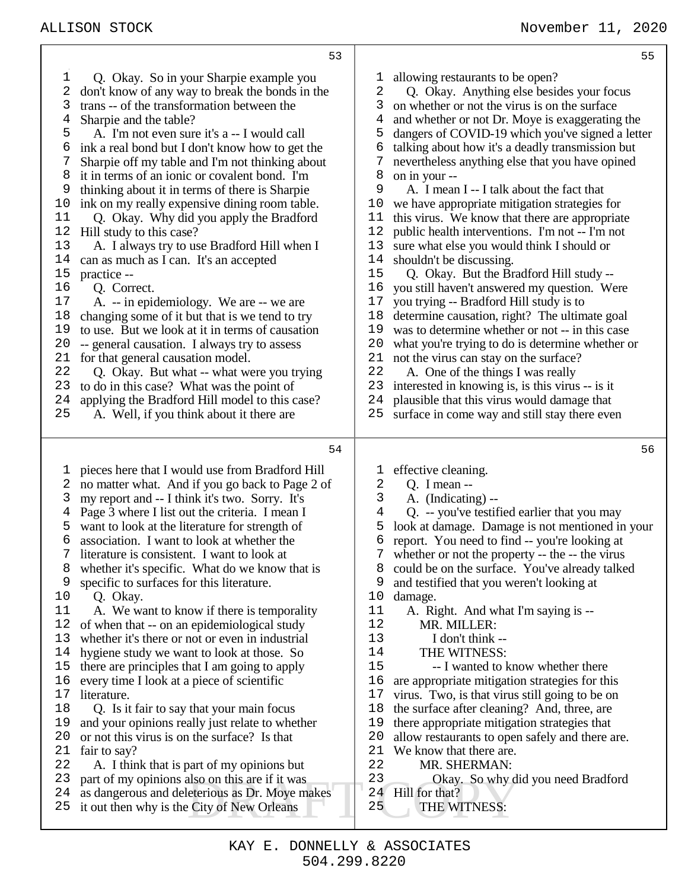| 53                                              | 55                                               |
|-------------------------------------------------|--------------------------------------------------|
| $\mathbf{1}$                                    | allowing restaurants to be open?                 |
| Q. Okay. So in your Sharpie example you         | ı                                                |
| 2                                               | Q. Okay. Anything else besides your focus        |
| don't know of any way to break the bonds in the | 2                                                |
| 3                                               | 3                                                |
| trans -- of the transformation between the      | on whether or not the virus is on the surface    |
| 4                                               | 4                                                |
| Sharpie and the table?                          | and whether or not Dr. Moye is exaggerating the  |
| 5                                               | 5                                                |
| A. I'm not even sure it's a -- I would call     | dangers of COVID-19 which you've signed a letter |
| ink a real bond but I don't know how to get the | talking about how it's a deadly transmission but |
| 6                                               | 6                                                |
| 7                                               | 7                                                |
| Sharpie off my table and I'm not thinking about | nevertheless anything else that you have opined  |
| 8                                               | 8                                                |
| it in terms of an ionic or covalent bond. I'm   | on in your --                                    |
| 9                                               | 9                                                |
| thinking about it in terms of there is Sharpie  | A. I mean I -- I talk about the fact that        |
| ink on my really expensive dining room table.   | we have appropriate mitigation strategies for    |
| 10                                              | 10                                               |
| 11                                              | this virus. We know that there are appropriate   |
| Q. Okay. Why did you apply the Bradford         | 11                                               |
| 12                                              | 12                                               |
| Hill study to this case?                        | public health interventions. I'm not -- I'm not  |
| 13                                              | 13                                               |
| A. I always try to use Bradford Hill when I     | sure what else you would think I should or       |
| 14                                              | 14                                               |
| can as much as I can. It's an accepted          | shouldn't be discussing.                         |
| $15$                                            | 15                                               |
| practice --                                     | Q. Okay. But the Bradford Hill study --          |
| 16                                              | 16                                               |
| Q. Correct.                                     | you still haven't answered my question. Were     |
| 17                                              | 17                                               |
| A. -- in epidemiology. We are -- we are         | you trying -- Bradford Hill study is to          |
| 18                                              | determine causation, right? The ultimate goal    |
| changing some of it but that is we tend to try  | 18                                               |
| 19                                              | was to determine whether or not -- in this case  |
| to use. But we look at it in terms of causation | 19                                               |
| 20                                              | 20                                               |
| -- general causation. I always try to assess    | what you're trying to do is determine whether or |
| 21                                              | 21                                               |
| for that general causation model.               | not the virus can stay on the surface?           |
| 22                                              | 22                                               |
| Q. Okay. But what -- what were you trying       | A. One of the things I was really                |
| 23                                              | 23                                               |
| to do in this case? What was the point of       | interested in knowing is, is this virus -- is it |
| 24                                              | plausible that this virus would damage that      |
| applying the Bradford Hill model to this case?  | 24                                               |
| 25                                              | 25                                               |
| A. Well, if you think about it there are        | surface in come way and still stay there even    |
| 54                                              | 56                                               |
| pieces here that I would use from Bradford Hill | effective cleaning.                              |
| l,                                              | ı                                                |
| 2                                               | 2                                                |
| no matter what. And if you go back to Page 2 of | $Q.$ I mean $-$                                  |
| 3                                               | 3                                                |
| my report and -- I think it's two. Sorry. It's  | A. (Indicating) --                               |
| Page 3 where I list out the criteria. I mean I  | 4                                                |
| 4                                               | Q. -- you've testified earlier that you may      |
| want to look at the literature for strength of  | look at damage. Damage is not mentioned in your  |
| 5                                               | 5                                                |
| association. I want to look at whether the      | report. You need to find -- you're looking at    |
| 6                                               | 6                                                |
| literature is consistent. I want to look at     | whether or not the property -- the -- the virus  |
| 7                                               | 7                                                |
| whether it's specific. What do we know that is  | could be on the surface. You've already talked   |
| 8                                               | 8                                                |
| specific to surfaces for this literature.       | and testified that you weren't looking at        |
| 9                                               | 9                                                |
| 10                                              | 10                                               |
| Q. Okay.                                        | damage.                                          |
| 11                                              | 11                                               |
| A. We want to know if there is temporality      | A. Right. And what I'm saying is --              |
| 12                                              | 12                                               |
| of when that -- on an epidemiological study     | MR. MILLER:                                      |
| whether it's there or not or even in industrial | 13                                               |
| 13                                              | I don't think --                                 |
| hygiene study we want to look at those. So      | 14                                               |
| 14                                              | THE WITNESS:                                     |
| there are principles that I am going to apply   | 15                                               |
| 15                                              | -- I wanted to know whether there                |
| every time I look at a piece of scientific      | 16                                               |
| 16                                              | are appropriate mitigation strategies for this   |
| 17                                              | 17                                               |
| literature.                                     | virus. Two, is that virus still going to be on   |
| 18                                              | 18                                               |
| Q. Is it fair to say that your main focus       | the surface after cleaning? And, three, are      |
| and your opinions really just relate to whether | there appropriate mitigation strategies that     |
| 19                                              | 19                                               |
| or not this virus is on the surface? Is that    | allow restaurants to open safely and there are.  |
| 20                                              | 20                                               |
| 21                                              | 21                                               |
| fair to say?                                    | We know that there are.                          |
| 22                                              | 22                                               |
| A. I think that is part of my opinions but      | MR. SHERMAN:                                     |
| 23                                              | 23                                               |
| part of my opinions also on this are if it was  | Okay. So why did you need Bradford               |
| as dangerous and deleterious as Dr. Moye makes  | Hill for that?                                   |
| 24                                              | 24                                               |
| it out then why is the City of New Orleans      | 25                                               |
| 25                                              | THE WITNESS:                                     |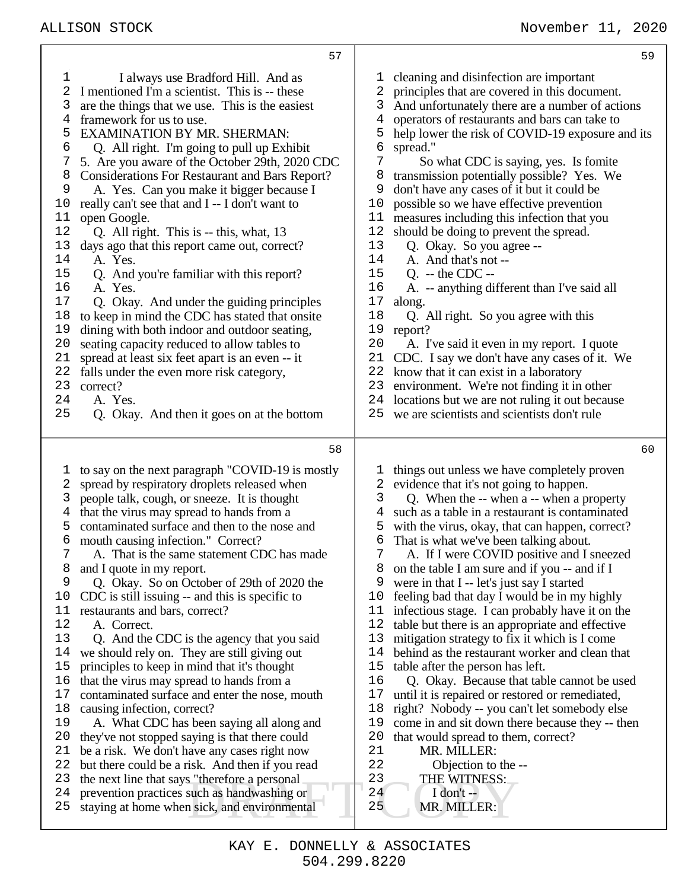|                                                                                                                                           | 57                                                                                                                                                                                                                                                                                                                                                                                                                                                                                                                                                                                                                                                                                                                                                                                                                                                                                                                                                                                                                                                                                                                                              |                                                                                                                                              | 59                                                                                                                                                                                                                                                                                                                                                                                                                                                                                                                                                                                                                                                                                                                                                                                                                                                                                                                                                                                                                                                         |
|-------------------------------------------------------------------------------------------------------------------------------------------|-------------------------------------------------------------------------------------------------------------------------------------------------------------------------------------------------------------------------------------------------------------------------------------------------------------------------------------------------------------------------------------------------------------------------------------------------------------------------------------------------------------------------------------------------------------------------------------------------------------------------------------------------------------------------------------------------------------------------------------------------------------------------------------------------------------------------------------------------------------------------------------------------------------------------------------------------------------------------------------------------------------------------------------------------------------------------------------------------------------------------------------------------|----------------------------------------------------------------------------------------------------------------------------------------------|------------------------------------------------------------------------------------------------------------------------------------------------------------------------------------------------------------------------------------------------------------------------------------------------------------------------------------------------------------------------------------------------------------------------------------------------------------------------------------------------------------------------------------------------------------------------------------------------------------------------------------------------------------------------------------------------------------------------------------------------------------------------------------------------------------------------------------------------------------------------------------------------------------------------------------------------------------------------------------------------------------------------------------------------------------|
| 1<br>2<br>3<br>4<br>5<br>6<br>7<br>8<br>9<br>10<br>11<br>12<br>13<br>14<br>15<br>16<br>17<br>18<br>19<br>20<br>21<br>22<br>23<br>24<br>25 | I always use Bradford Hill. And as<br>I mentioned I'm a scientist. This is -- these<br>are the things that we use. This is the easiest<br>framework for us to use.<br><b>EXAMINATION BY MR. SHERMAN:</b><br>Q. All right. I'm going to pull up Exhibit<br>5. Are you aware of the October 29th, 2020 CDC<br><b>Considerations For Restaurant and Bars Report?</b><br>A. Yes. Can you make it bigger because I<br>really can't see that and I -- I don't want to<br>open Google.<br>Q. All right. This is -- this, what, 13<br>days ago that this report came out, correct?<br>A. Yes.<br>Q. And you're familiar with this report?<br>A. Yes.<br>Q. Okay. And under the guiding principles<br>to keep in mind the CDC has stated that onsite<br>dining with both indoor and outdoor seating,<br>seating capacity reduced to allow tables to<br>spread at least six feet apart is an even -- it<br>falls under the even more risk category,<br>correct?<br>A. Yes.<br>Q. Okay. And then it goes on at the bottom                                                                                                                                  | T<br>2<br>3<br>4<br>5<br>6<br>7<br>8<br>9<br>10<br>11<br>12<br>13<br>14<br>15<br>16<br>17<br>18<br>19<br>20<br>21<br>22<br>23<br>24<br>25    | cleaning and disinfection are important<br>principles that are covered in this document.<br>And unfortunately there are a number of actions<br>operators of restaurants and bars can take to<br>help lower the risk of COVID-19 exposure and its<br>spread."<br>So what CDC is saying, yes. Is fomite<br>transmission potentially possible? Yes. We<br>don't have any cases of it but it could be<br>possible so we have effective prevention<br>measures including this infection that you<br>should be doing to prevent the spread.<br>Q. Okay. So you agree --<br>A. And that's not --<br>$Q. -$ the CDC $-$<br>A. -- anything different than I've said all<br>along.<br>Q. All right. So you agree with this<br>report?<br>A. I've said it even in my report. I quote<br>CDC. I say we don't have any cases of it. We<br>know that it can exist in a laboratory<br>environment. We're not finding it in other<br>locations but we are not ruling it out because<br>we are scientists and scientists don't rule                                         |
|                                                                                                                                           |                                                                                                                                                                                                                                                                                                                                                                                                                                                                                                                                                                                                                                                                                                                                                                                                                                                                                                                                                                                                                                                                                                                                                 |                                                                                                                                              |                                                                                                                                                                                                                                                                                                                                                                                                                                                                                                                                                                                                                                                                                                                                                                                                                                                                                                                                                                                                                                                            |
|                                                                                                                                           | 58                                                                                                                                                                                                                                                                                                                                                                                                                                                                                                                                                                                                                                                                                                                                                                                                                                                                                                                                                                                                                                                                                                                                              |                                                                                                                                              | 60                                                                                                                                                                                                                                                                                                                                                                                                                                                                                                                                                                                                                                                                                                                                                                                                                                                                                                                                                                                                                                                         |
| 1<br>2<br>3<br>4<br>5<br>6<br>7<br>8<br>9<br>10<br>11<br>12<br>13<br>14<br>15<br>16<br>17<br>18<br>19<br>20<br>21<br>22<br>23<br>24<br>25 | to say on the next paragraph "COVID-19 is mostly<br>spread by respiratory droplets released when<br>people talk, cough, or sneeze. It is thought<br>that the virus may spread to hands from a<br>contaminated surface and then to the nose and<br>mouth causing infection." Correct?<br>A. That is the same statement CDC has made<br>and I quote in my report.<br>Q. Okay. So on October of 29th of 2020 the<br>CDC is still issuing -- and this is specific to<br>restaurants and bars, correct?<br>A. Correct.<br>Q. And the CDC is the agency that you said<br>we should rely on. They are still giving out<br>principles to keep in mind that it's thought<br>that the virus may spread to hands from a<br>contaminated surface and enter the nose, mouth<br>causing infection, correct?<br>A. What CDC has been saying all along and<br>they've not stopped saying is that there could<br>be a risk. We don't have any cases right now<br>but there could be a risk. And then if you read<br>the next line that says "therefore a personal<br>prevention practices such as handwashing or<br>staying at home when sick, and environmental | 3<br>4<br>5<br>6<br>$7\phantom{.}$<br>8<br>9<br>10<br>11<br>12<br>13<br>14<br>15<br>16<br>17<br>18<br>19<br>20<br>21<br>22<br>23<br>24<br>25 | things out unless we have completely proven<br>evidence that it's not going to happen.<br>Q. When the -- when a -- when a property<br>such as a table in a restaurant is contaminated<br>with the virus, okay, that can happen, correct?<br>That is what we've been talking about.<br>A. If I were COVID positive and I sneezed<br>on the table I am sure and if you -- and if I<br>were in that I -- let's just say I started<br>feeling bad that day I would be in my highly<br>infectious stage. I can probably have it on the<br>table but there is an appropriate and effective<br>mitigation strategy to fix it which is I come<br>behind as the restaurant worker and clean that<br>table after the person has left.<br>Q. Okay. Because that table cannot be used<br>until it is repaired or restored or remediated,<br>right? Nobody -- you can't let somebody else<br>come in and sit down there because they -- then<br>that would spread to them, correct?<br>MR. MILLER:<br>Objection to the --<br>THE WITNESS:<br>I don't $-$<br>MR. MILLER: |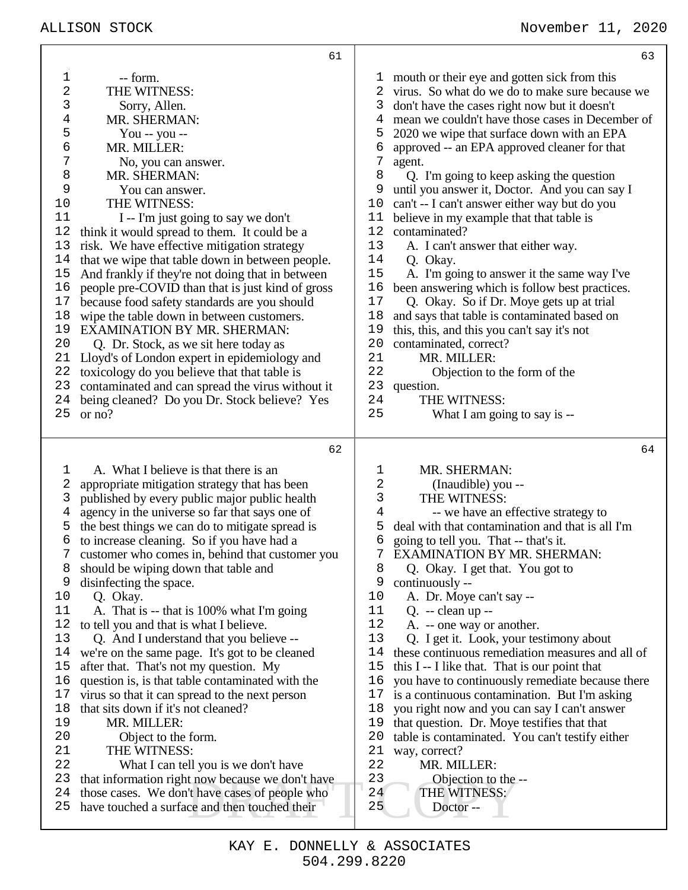|    | 61                                                                                    |    | 63                                               |
|----|---------------------------------------------------------------------------------------|----|--------------------------------------------------|
| 1  | -- form.                                                                              | ı, | mouth or their eye and gotten sick from this     |
| 2  | THE WITNESS:                                                                          | 2  | virus. So what do we do to make sure because we  |
| 3  | Sorry, Allen.                                                                         | 3  | don't have the cases right now but it doesn't    |
| 4  | MR. SHERMAN:                                                                          | 4  | mean we couldn't have those cases in December of |
| 5  | You -- you --                                                                         | 5  | 2020 we wipe that surface down with an EPA       |
| б  |                                                                                       | 6  |                                                  |
|    | MR. MILLER:                                                                           |    | approved -- an EPA approved cleaner for that     |
| 7  | No, you can answer.                                                                   | 7  | agent.                                           |
| 8  | MR. SHERMAN:                                                                          | 8  | Q. I'm going to keep asking the question         |
| 9  | You can answer.                                                                       | 9  | until you answer it, Doctor. And you can say I   |
| 10 | THE WITNESS:                                                                          | 10 | can't -- I can't answer either way but do you    |
| 11 | I -- I'm just going to say we don't                                                   | 11 | believe in my example that that table is         |
| 12 | think it would spread to them. It could be a                                          | 12 | contaminated?                                    |
| 13 | risk. We have effective mitigation strategy                                           | 13 | A. I can't answer that either way.               |
| 14 | that we wipe that table down in between people.                                       | 14 | Q. Okay.                                         |
| 15 | And frankly if they're not doing that in between                                      | 15 | A. I'm going to answer it the same way I've      |
| 16 | people pre-COVID than that is just kind of gross                                      | 16 | been answering which is follow best practices.   |
| 17 | because food safety standards are you should                                          | 17 | Q. Okay. So if Dr. Moye gets up at trial         |
| 18 | wipe the table down in between customers.                                             | 18 | and says that table is contaminated based on     |
| 19 | <b>EXAMINATION BY MR. SHERMAN:</b>                                                    | 19 | this, this, and this you can't say it's not      |
| 20 | Q. Dr. Stock, as we sit here today as                                                 | 20 | contaminated, correct?                           |
| 21 | Lloyd's of London expert in epidemiology and                                          | 21 | MR. MILLER:                                      |
| 22 | toxicology do you believe that that table is                                          | 22 | Objection to the form of the                     |
|    |                                                                                       |    |                                                  |
| 23 | contaminated and can spread the virus without it                                      | 23 | question.                                        |
| 24 | being cleaned? Do you Dr. Stock believe? Yes                                          | 24 | THE WITNESS:                                     |
| 25 | or no?                                                                                | 25 | What I am going to say is --                     |
|    |                                                                                       |    |                                                  |
|    | 62                                                                                    |    | 64                                               |
| 1  | A. What I believe is that there is an                                                 | ı  | MR. SHERMAN:                                     |
| 2  |                                                                                       |    |                                                  |
| 3  |                                                                                       |    |                                                  |
|    | appropriate mitigation strategy that has been                                         | 2  | (Inaudible) you --                               |
|    | published by every public major public health                                         | 3  | THE WITNESS:                                     |
| 4  | agency in the universe so far that says one of                                        | 4  | -- we have an effective strategy to              |
| 5  | the best things we can do to mitigate spread is                                       | 5  | deal with that contamination and that is all I'm |
| б  | to increase cleaning. So if you have had a                                            | 6  | going to tell you. That -- that's it.            |
| 7  | customer who comes in, behind that customer you                                       |    | 7 EXAMINATION BY MR. SHERMAN:                    |
| 8  | should be wiping down that table and                                                  | 8  | Q. Okay. I get that. You got to                  |
| 9  | disinfecting the space.                                                               | 9  | continuously --                                  |
| 10 | Q. Okay.                                                                              | 10 | A. Dr. Moye can't say --                         |
| 11 | A. That is -- that is 100% what I'm going                                             | 11 | $Q. - clean up -$                                |
| 12 | to tell you and that is what I believe.                                               | 12 | A. -- one way or another.                        |
| 13 | Q. And I understand that you believe --                                               | 13 | Q. I get it. Look, your testimony about          |
| 14 | we're on the same page. It's got to be cleaned                                        | 14 | these continuous remediation measures and all of |
| 15 | after that. That's not my question. My                                                | 15 | this I -- I like that. That is our point that    |
| 16 | question is, is that table contaminated with the                                      | 16 | you have to continuously remediate because there |
| 17 |                                                                                       | 17 |                                                  |
| 18 | virus so that it can spread to the next person<br>that sits down if it's not cleaned? | 18 | is a continuous contamination. But I'm asking    |
| 19 |                                                                                       | 19 | you right now and you can say I can't answer     |
|    | MR. MILLER:                                                                           |    | that question. Dr. Moye testifies that that      |
| 20 | Object to the form.                                                                   | 20 | table is contaminated. You can't testify either  |
| 21 | THE WITNESS:                                                                          | 21 | way, correct?                                    |
| 22 | What I can tell you is we don't have                                                  | 22 | MR. MILLER:                                      |
| 23 | that information right now because we don't have                                      | 23 | Objection to the --                              |
| 24 | those cases. We don't have cases of people who                                        | 24 | THE WITNESS:                                     |
| 25 | have touched a surface and then touched their                                         | 25 | Doctor --                                        |

Τ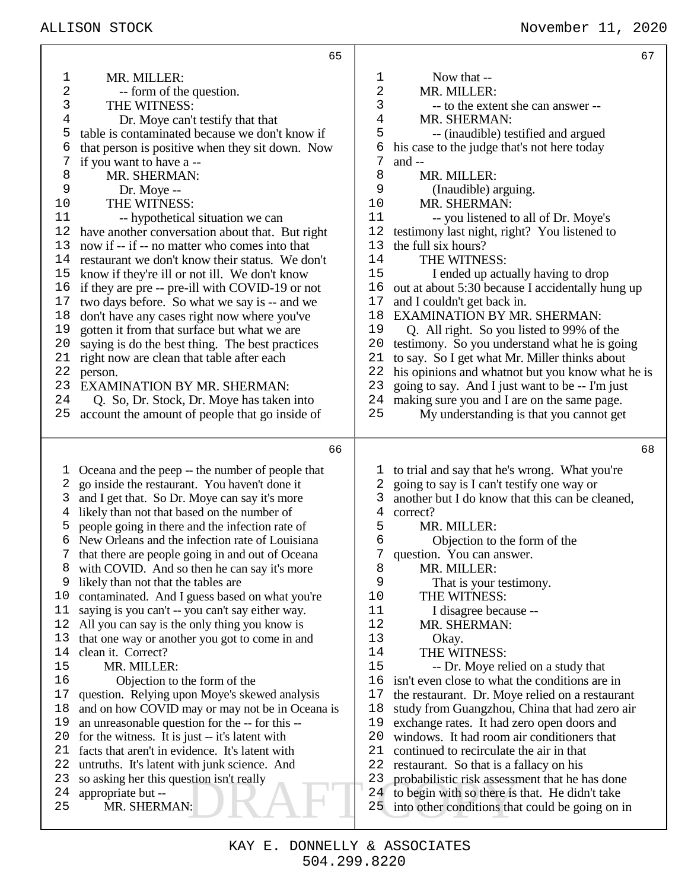|          | 65                                                                                                 |                | 67                                                                                                |
|----------|----------------------------------------------------------------------------------------------------|----------------|---------------------------------------------------------------------------------------------------|
| 1        | MR. MILLER:                                                                                        | ı              | Now that --                                                                                       |
| 2        | -- form of the question.                                                                           | $\sqrt{2}$     | MR. MILLER:                                                                                       |
| 3        | THE WITNESS:                                                                                       | 3              | -- to the extent she can answer --                                                                |
| 4        | Dr. Moye can't testify that that                                                                   | 4              | MR. SHERMAN:                                                                                      |
| 5        | table is contaminated because we don't know if                                                     | 5              | -- (inaudible) testified and argued                                                               |
| 6        | that person is positive when they sit down. Now                                                    | 6              | his case to the judge that's not here today                                                       |
| 7        | if you want to have a --                                                                           | 7              | and $-$                                                                                           |
| 8        | MR. SHERMAN:                                                                                       | 8              | MR. MILLER:                                                                                       |
| 9        | Dr. Moye --                                                                                        | 9              | (Inaudible) arguing.                                                                              |
| 10       | THE WITNESS:                                                                                       | 10             | MR. SHERMAN:                                                                                      |
| 11       | -- hypothetical situation we can                                                                   | 11             | -- you listened to all of Dr. Moye's                                                              |
| 12       | have another conversation about that. But right                                                    | 12             | testimony last night, right? You listened to                                                      |
| 13       | now if -- if -- no matter who comes into that                                                      | 13             | the full six hours?                                                                               |
| 14       | restaurant we don't know their status. We don't                                                    | 14             | THE WITNESS:                                                                                      |
| 15       | know if they're ill or not ill. We don't know                                                      | 15             | I ended up actually having to drop                                                                |
| 16       | if they are pre -- pre-ill with COVID-19 or not                                                    | 16             | out at about 5:30 because I accidentally hung up                                                  |
| 17       | two days before. So what we say is -- and we                                                       | 17             | and I couldn't get back in.                                                                       |
| 18       | don't have any cases right now where you've                                                        | 18             | <b>EXAMINATION BY MR. SHERMAN:</b>                                                                |
| 19       | gotten it from that surface but what we are                                                        | 19             | Q. All right. So you listed to 99% of the                                                         |
| 20       | saying is do the best thing. The best practices                                                    | 20             | testimony. So you understand what he is going                                                     |
| 21       | right now are clean that table after each                                                          | 21             | to say. So I get what Mr. Miller thinks about                                                     |
| 22       | person.                                                                                            | 22             | his opinions and whatnot but you know what he is                                                  |
| 23       | <b>EXAMINATION BY MR. SHERMAN:</b>                                                                 | 23             | going to say. And I just want to be -- I'm just                                                   |
| 24       | Q. So, Dr. Stock, Dr. Moye has taken into                                                          | 24             | making sure you and I are on the same page.                                                       |
| 25       | account the amount of people that go inside of                                                     | 25             | My understanding is that you cannot get                                                           |
|          | 66                                                                                                 |                | 68                                                                                                |
|          |                                                                                                    |                |                                                                                                   |
| 1        | Oceana and the peep -- the number of people that                                                   | T              | to trial and say that he's wrong. What you're                                                     |
| 2        | go inside the restaurant. You haven't done it                                                      | 2              | going to say is I can't testify one way or                                                        |
| 3        | and I get that. So Dr. Moye can say it's more                                                      | 3              | another but I do know that this can be cleaned,                                                   |
| 4        | likely than not that based on the number of                                                        | $\overline{4}$ | correct?                                                                                          |
| 5        | people going in there and the infection rate of<br>New Orleans and the infection rate of Louisiana | 5              | MR. MILLER:                                                                                       |
| 6        |                                                                                                    |                |                                                                                                   |
|          |                                                                                                    | 6              | Objection to the form of the                                                                      |
|          | that there are people going in and out of Oceana                                                   |                | question. You can answer.                                                                         |
| 8        | with COVID. And so then he can say it's more                                                       | 8              | MR. MILLER:                                                                                       |
| 9        | likely than not that the tables are                                                                | 9              | That is your testimony.                                                                           |
| 10       | contaminated. And I guess based on what you're                                                     | 10             | THE WITNESS:                                                                                      |
| 11       | saying is you can't -- you can't say either way.                                                   | 11             | I disagree because --                                                                             |
| 12       | All you can say is the only thing you know is                                                      | 12             | MR. SHERMAN:                                                                                      |
| 13       | that one way or another you got to come in and                                                     | 13             | Okay.                                                                                             |
| 14       | clean it. Correct?                                                                                 | 14             | THE WITNESS:                                                                                      |
| 15       | MR. MILLER:                                                                                        | 15             | -- Dr. Moye relied on a study that                                                                |
| 16       | Objection to the form of the                                                                       | 16             | isn't even close to what the conditions are in                                                    |
| 17       | question. Relying upon Moye's skewed analysis                                                      | 17             | the restaurant. Dr. Moye relied on a restaurant                                                   |
| 18<br>19 | and on how COVID may or may not be in Oceana is                                                    | 18<br>19       | study from Guangzhou, China that had zero air                                                     |
|          | an unreasonable question for the -- for this --                                                    |                | exchange rates. It had zero open doors and                                                        |
| 20<br>21 | for the witness. It is just -- it's latent with                                                    | 20             | windows. It had room air conditioners that                                                        |
| 22       | facts that aren't in evidence. It's latent with                                                    | 21<br>22       | continued to recirculate the air in that                                                          |
| 23       | untruths. It's latent with junk science. And                                                       | 23             | restaurant. So that is a fallacy on his                                                           |
| 24       | so asking her this question isn't really                                                           | 24             | probabilistic risk assessment that he has done                                                    |
| 25       | appropriate but --<br>MR. SHERMAN:                                                                 | 25             | to begin with so there is that. He didn't take<br>into other conditions that could be going on in |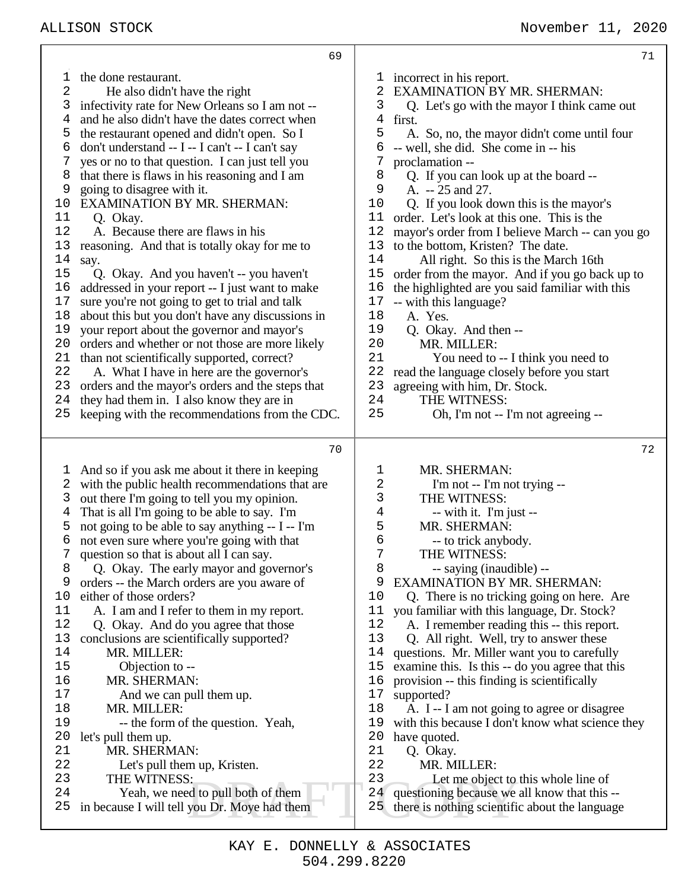|                                                                                                                                           | 69                                                                                                                                                                                                                                                                                                                                                                                                                                                                                                                                                                                                                                                                                                                                                                                                                                                                                                                                                                                                                                                                                                 | 71                                                                                                                                                                                                                                                                                                                                                                                                                                                                                                                                                                                                                                                                                                                                                                                                                                                                                                                                                                                                                                 |
|-------------------------------------------------------------------------------------------------------------------------------------------|----------------------------------------------------------------------------------------------------------------------------------------------------------------------------------------------------------------------------------------------------------------------------------------------------------------------------------------------------------------------------------------------------------------------------------------------------------------------------------------------------------------------------------------------------------------------------------------------------------------------------------------------------------------------------------------------------------------------------------------------------------------------------------------------------------------------------------------------------------------------------------------------------------------------------------------------------------------------------------------------------------------------------------------------------------------------------------------------------|------------------------------------------------------------------------------------------------------------------------------------------------------------------------------------------------------------------------------------------------------------------------------------------------------------------------------------------------------------------------------------------------------------------------------------------------------------------------------------------------------------------------------------------------------------------------------------------------------------------------------------------------------------------------------------------------------------------------------------------------------------------------------------------------------------------------------------------------------------------------------------------------------------------------------------------------------------------------------------------------------------------------------------|
| ı<br>2<br>3<br>4<br>5<br>6<br>7<br>8<br>9<br>10<br>11<br>12<br>13<br>14<br>15<br>16<br>17<br>18<br>19<br>20<br>21<br>22<br>23<br>24<br>25 | the done restaurant.<br>He also didn't have the right<br>infectivity rate for New Orleans so I am not --<br>and he also didn't have the dates correct when<br>the restaurant opened and didn't open. So I<br>don't understand -- I -- I can't -- I can't say<br>yes or no to that question. I can just tell you<br>that there is flaws in his reasoning and I am<br>going to disagree with it.<br><b>EXAMINATION BY MR. SHERMAN:</b><br>Q. Okay.<br>A. Because there are flaws in his<br>reasoning. And that is totally okay for me to<br>say.<br>Q. Okay. And you haven't -- you haven't<br>addressed in your report -- I just want to make<br>sure you're not going to get to trial and talk<br>about this but you don't have any discussions in<br>your report about the governor and mayor's<br>orders and whether or not those are more likely<br>than not scientifically supported, correct?<br>A. What I have in here are the governor's<br>orders and the mayor's orders and the steps that<br>they had them in. I also know they are in<br>keeping with the recommendations from the CDC. | incorrect in his report.<br>l,<br><b>EXAMINATION BY MR. SHERMAN:</b><br>2<br>3<br>Q. Let's go with the mayor I think came out<br>4<br>first.<br>5<br>A. So, no, the mayor didn't come until four<br>-- well, she did. She come in -- his<br>6<br>7<br>proclamation --<br>8<br>Q. If you can look up at the board --<br>9<br>A. $-25$ and 27.<br>Q. If you look down this is the mayor's<br>10<br>order. Let's look at this one. This is the<br>11<br>12<br>mayor's order from I believe March -- can you go<br>13<br>to the bottom, Kristen? The date.<br>14<br>All right. So this is the March 16th<br>15<br>order from the mayor. And if you go back up to<br>16<br>the highlighted are you said familiar with this<br>17<br>-- with this language?<br>18<br>A. Yes.<br>19<br>Q. Okay. And then --<br>20<br>MR. MILLER:<br>21<br>You need to -- I think you need to<br>22<br>read the language closely before you start<br>23<br>agreeing with him, Dr. Stock.<br>24<br>THE WITNESS:<br>25<br>Oh, I'm not -- I'm not agreeing -- |
|                                                                                                                                           | 70                                                                                                                                                                                                                                                                                                                                                                                                                                                                                                                                                                                                                                                                                                                                                                                                                                                                                                                                                                                                                                                                                                 | 72                                                                                                                                                                                                                                                                                                                                                                                                                                                                                                                                                                                                                                                                                                                                                                                                                                                                                                                                                                                                                                 |
| I,<br>2<br>3<br>4<br>5<br>6<br>8<br>9<br>10<br>11<br>12<br>13<br>14<br>15<br>16<br>17<br>18<br>19<br>20<br>21<br>22<br>23<br>24<br>25     | And so if you ask me about it there in keeping<br>with the public health recommendations that are<br>out there I'm going to tell you my opinion.<br>That is all I'm going to be able to say. I'm<br>not going to be able to say anything -- I -- I'm<br>not even sure where you're going with that<br>question so that is about all I can say.<br>Q. Okay. The early mayor and governor's<br>orders -- the March orders are you aware of<br>either of those orders?<br>A. I am and I refer to them in my report.<br>Q. Okay. And do you agree that those<br>conclusions are scientifically supported?<br>MR. MILLER:<br>Objection to --<br>MR. SHERMAN:<br>And we can pull them up.<br>MR. MILLER:<br>-- the form of the question. Yeah,<br>let's pull them up.<br>MR. SHERMAN:<br>Let's pull them up, Kristen.<br>THE WITNESS:<br>Yeah, we need to pull both of them<br>in because I will tell you Dr. Moye had them                                                                                                                                                                              | MR. SHERMAN:<br>ı<br>2<br>I'm not -- I'm not trying --<br>3<br>THE WITNESS:<br>4<br>-- with it. I'm just --<br>5<br>MR. SHERMAN:<br>6<br>-- to trick anybody.<br>7<br>THE WITNESS:<br>8<br>-- saying (inaudible) --<br><b>EXAMINATION BY MR. SHERMAN:</b><br>9<br>10<br>Q. There is no tricking going on here. Are<br>you familiar with this language, Dr. Stock?<br>11<br>A. I remember reading this -- this report.<br>12<br>13<br>Q. All right. Well, try to answer these<br>questions. Mr. Miller want you to carefully<br>14<br>examine this. Is this -- do you agree that this<br>15<br>16<br>provision -- this finding is scientifically<br>17<br>supported?<br>18<br>A. I -- I am not going to agree or disagree<br>with this because I don't know what science they<br>19<br>20<br>have quoted.<br>21<br>Q. Okay.<br>22<br>MR. MILLER:<br>23<br>Let me object to this whole line of<br>24<br>questioning because we all know that this --<br>25<br>there is nothing scientific about the language                         |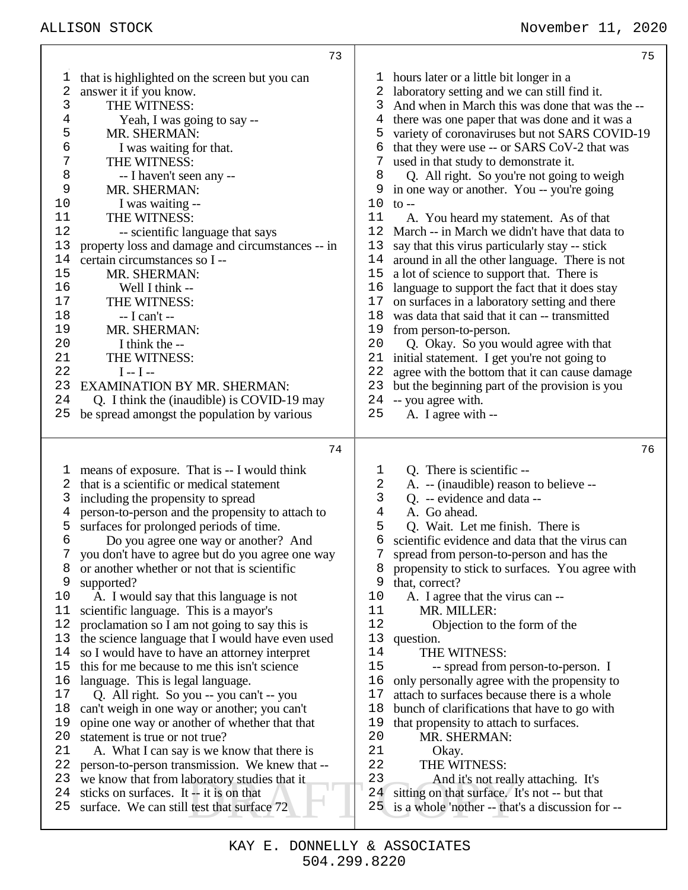### ALLISON STOCK November 11, 2020

|                                                                                                                                                                                                                                                                                                                                                                                                                                                                                                                                         | 73                                                                                                                                                                                                                                                                                                                                                                                                                                                                                                                                                                                                                                                                                                                                                                                         |                                                                                                                                           | 75                                                                                                                                                                                                                                                                                                                                                                                                                                                                                                                                                                                                                                                                                                                                                                                                                                                                                                                                                                                                                                                                                                                            |
|-----------------------------------------------------------------------------------------------------------------------------------------------------------------------------------------------------------------------------------------------------------------------------------------------------------------------------------------------------------------------------------------------------------------------------------------------------------------------------------------------------------------------------------------|--------------------------------------------------------------------------------------------------------------------------------------------------------------------------------------------------------------------------------------------------------------------------------------------------------------------------------------------------------------------------------------------------------------------------------------------------------------------------------------------------------------------------------------------------------------------------------------------------------------------------------------------------------------------------------------------------------------------------------------------------------------------------------------------|-------------------------------------------------------------------------------------------------------------------------------------------|-------------------------------------------------------------------------------------------------------------------------------------------------------------------------------------------------------------------------------------------------------------------------------------------------------------------------------------------------------------------------------------------------------------------------------------------------------------------------------------------------------------------------------------------------------------------------------------------------------------------------------------------------------------------------------------------------------------------------------------------------------------------------------------------------------------------------------------------------------------------------------------------------------------------------------------------------------------------------------------------------------------------------------------------------------------------------------------------------------------------------------|
| 1<br>2<br>answer it if you know.<br>3<br>THE WITNESS:<br>4<br>5<br>MR. SHERMAN:<br>6<br>I was waiting for that.<br>THE WITNESS:<br>7<br>8<br>-- I haven't seen any --<br>9<br>MR. SHERMAN:<br>10<br>I was waiting --<br>THE WITNESS:<br>11<br>12<br>13<br>14<br>certain circumstances so I --<br>15<br>MR. SHERMAN:<br>16<br>Well I think --<br>17<br>THE WITNESS:<br>18<br>$-I can't -$<br>19<br>MR. SHERMAN:<br>20<br>I think the --<br>THE WITNESS:<br>21<br>22<br>$I - I -$<br>23<br><b>EXAMINATION BY MR. SHERMAN:</b><br>24<br>25 | that is highlighted on the screen but you can<br>Yeah, I was going to say --<br>-- scientific language that says<br>property loss and damage and circumstances -- in<br>Q. I think the (inaudible) is COVID-19 may<br>be spread amongst the population by various                                                                                                                                                                                                                                                                                                                                                                                                                                                                                                                          | 1<br>2<br>3<br>4<br>5<br>6<br>7<br>8<br>9<br>10<br>11<br>12<br>13<br>14<br>15<br>16<br>17<br>18<br>19<br>20<br>21<br>22<br>23<br>24<br>25 | hours later or a little bit longer in a<br>laboratory setting and we can still find it.<br>And when in March this was done that was the --<br>there was one paper that was done and it was a<br>variety of coronaviruses but not SARS COVID-19<br>that they were use -- or SARS CoV-2 that was<br>used in that study to demonstrate it.<br>Q. All right. So you're not going to weigh<br>in one way or another. You -- you're going<br>$\mathfrak{t}$ o --<br>A. You heard my statement. As of that<br>March -- in March we didn't have that data to<br>say that this virus particularly stay -- stick<br>around in all the other language. There is not<br>a lot of science to support that. There is<br>language to support the fact that it does stay<br>on surfaces in a laboratory setting and there<br>was data that said that it can -- transmitted<br>from person-to-person.<br>Q. Okay. So you would agree with that<br>initial statement. I get you're not going to<br>agree with the bottom that it can cause damage<br>but the beginning part of the provision is you<br>-- you agree with.<br>A. I agree with -- |
|                                                                                                                                                                                                                                                                                                                                                                                                                                                                                                                                         | 74                                                                                                                                                                                                                                                                                                                                                                                                                                                                                                                                                                                                                                                                                                                                                                                         |                                                                                                                                           | 76                                                                                                                                                                                                                                                                                                                                                                                                                                                                                                                                                                                                                                                                                                                                                                                                                                                                                                                                                                                                                                                                                                                            |
| 1<br>that is a scientific or medical statement<br>2<br>including the propensity to spread<br>3<br>4<br>5<br>surfaces for prolonged periods of time.<br>6<br>7<br>8<br>9<br>supported?<br>10<br>11<br>scientific language. This is a mayor's<br>12<br>13<br>14<br>15<br>16<br>language. This is legal language.<br>17<br>18<br>19<br>20<br>statement is true or not true?<br>21<br>22<br>23<br>24<br>sticks on surfaces. It -- it is on that<br>25<br>surface. We can still test that surface 72                                         | means of exposure. That is -- I would think<br>person-to-person and the propensity to attach to<br>Do you agree one way or another? And<br>you don't have to agree but do you agree one way<br>or another whether or not that is scientific<br>A. I would say that this language is not<br>proclamation so I am not going to say this is<br>the science language that I would have even used<br>so I would have to have an attorney interpret<br>this for me because to me this isn't science<br>Q. All right. So you -- you can't -- you<br>can't weigh in one way or another; you can't<br>opine one way or another of whether that that<br>A. What I can say is we know that there is<br>person-to-person transmission. We knew that --<br>we know that from laboratory studies that it | ı<br>2<br>3<br>4<br>5<br>б<br>7<br>8<br>9<br>10<br>11<br>12<br>13<br>14<br>15<br>16<br>17<br>18<br>19<br>20<br>21<br>22<br>23<br>24<br>25 | Q. There is scientific --<br>A. -- (inaudible) reason to believe --<br>Q. -- evidence and data --<br>A. Go ahead.<br>Q. Wait. Let me finish. There is<br>scientific evidence and data that the virus can<br>spread from person-to-person and has the<br>propensity to stick to surfaces. You agree with<br>that, correct?<br>A. I agree that the virus can --<br>MR. MILLER:<br>Objection to the form of the<br>question.<br>THE WITNESS:<br>-- spread from person-to-person. I<br>only personally agree with the propensity to<br>attach to surfaces because there is a whole<br>bunch of clarifications that have to go with<br>that propensity to attach to surfaces.<br>MR. SHERMAN:<br>Okay.<br>THE WITNESS:<br>And it's not really attaching. It's<br>sitting on that surface. It's not -- but that<br>is a whole 'nother -- that's a discussion for --                                                                                                                                                                                                                                                                 |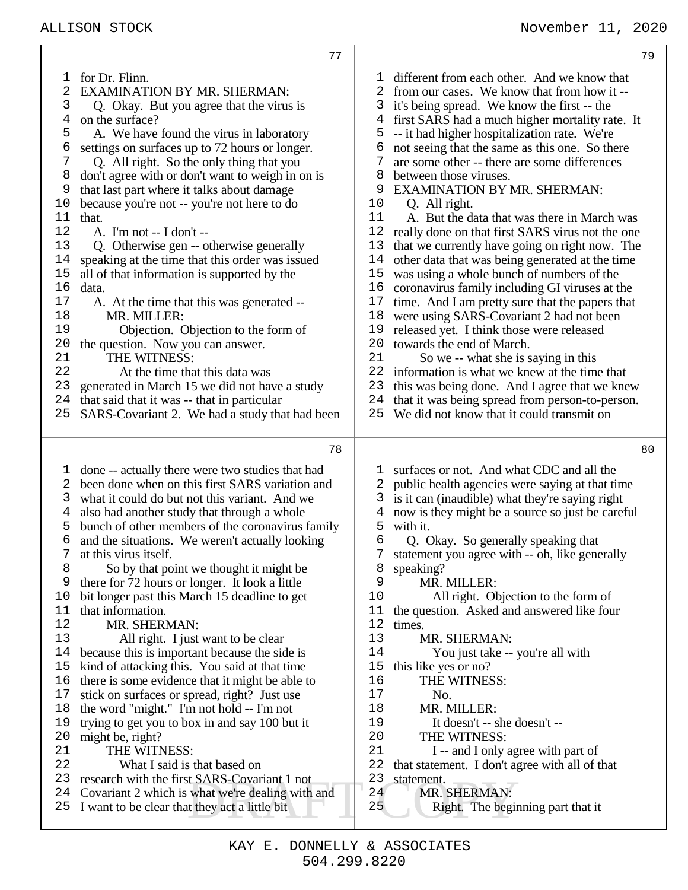| 79                                                                                                                                                                                                                                                                                                                                                                                                                                                                                                                                                                                                                                                                                                                                                                                                                                                                                                                                                                                                                                                                                                                                                                                                                                                                                          |
|---------------------------------------------------------------------------------------------------------------------------------------------------------------------------------------------------------------------------------------------------------------------------------------------------------------------------------------------------------------------------------------------------------------------------------------------------------------------------------------------------------------------------------------------------------------------------------------------------------------------------------------------------------------------------------------------------------------------------------------------------------------------------------------------------------------------------------------------------------------------------------------------------------------------------------------------------------------------------------------------------------------------------------------------------------------------------------------------------------------------------------------------------------------------------------------------------------------------------------------------------------------------------------------------|
| different from each other. And we know that<br>T.<br>2<br>from our cases. We know that from how it --<br>it's being spread. We know the first -- the<br>3<br>first SARS had a much higher mortality rate. It<br>4<br>-- it had higher hospitalization rate. We're<br>5<br>not seeing that the same as this one. So there<br>6<br>are some other -- there are some differences<br>8<br>between those viruses.<br><b>EXAMINATION BY MR. SHERMAN:</b><br>10<br>Q. All right.<br>11<br>A. But the data that was there in March was<br>12<br>really done on that first SARS virus not the one<br>13<br>that we currently have going on right now. The<br>14<br>other data that was being generated at the time<br>15<br>was using a whole bunch of numbers of the<br>16<br>coronavirus family including GI viruses at the<br>17<br>time. And I am pretty sure that the papers that<br>18<br>were using SARS-Covariant 2 had not been<br>19<br>released yet. I think those were released<br>20<br>towards the end of March.<br>21<br>So we -- what she is saying in this<br>22<br>information is what we knew at the time that<br>23<br>this was being done. And I agree that we knew<br>24<br>that it was being spread from person-to-person.<br>25<br>We did not know that it could transmit on |
|                                                                                                                                                                                                                                                                                                                                                                                                                                                                                                                                                                                                                                                                                                                                                                                                                                                                                                                                                                                                                                                                                                                                                                                                                                                                                             |
| 80                                                                                                                                                                                                                                                                                                                                                                                                                                                                                                                                                                                                                                                                                                                                                                                                                                                                                                                                                                                                                                                                                                                                                                                                                                                                                          |
| surfaces or not. And what CDC and all the<br>ı.<br>public health agencies were saying at that time<br>2<br>is it can (inaudible) what they're saying right<br>3<br>now is they might be a source so just be careful<br>4<br>with it.<br>5<br>6<br>Q. Okay. So generally speaking that<br>statement you agree with -- oh, like generally<br>speaking?<br>8<br>9<br>MR. MILLER:<br>10<br>All right. Objection to the form of<br>the question. Asked and answered like four<br>11<br>12<br>times.<br>13<br>MR. SHERMAN:<br>14<br>You just take -- you're all with<br>15<br>this like yes or no?<br>16<br>THE WITNESS:<br>17<br>No.<br>18<br>MR. MILLER:<br>19<br>It doesn't -- she doesn't --<br>20<br>THE WITNESS:<br>21<br>I -- and I only agree with part of<br>22<br>that statement. I don't agree with all of that<br>23<br>statement.<br>24<br>MR. SHERMAN:<br>25<br>Right. The beginning part that it                                                                                                                                                                                                                                                                                                                                                                                   |
|                                                                                                                                                                                                                                                                                                                                                                                                                                                                                                                                                                                                                                                                                                                                                                                                                                                                                                                                                                                                                                                                                                                                                                                                                                                                                             |

 $\top$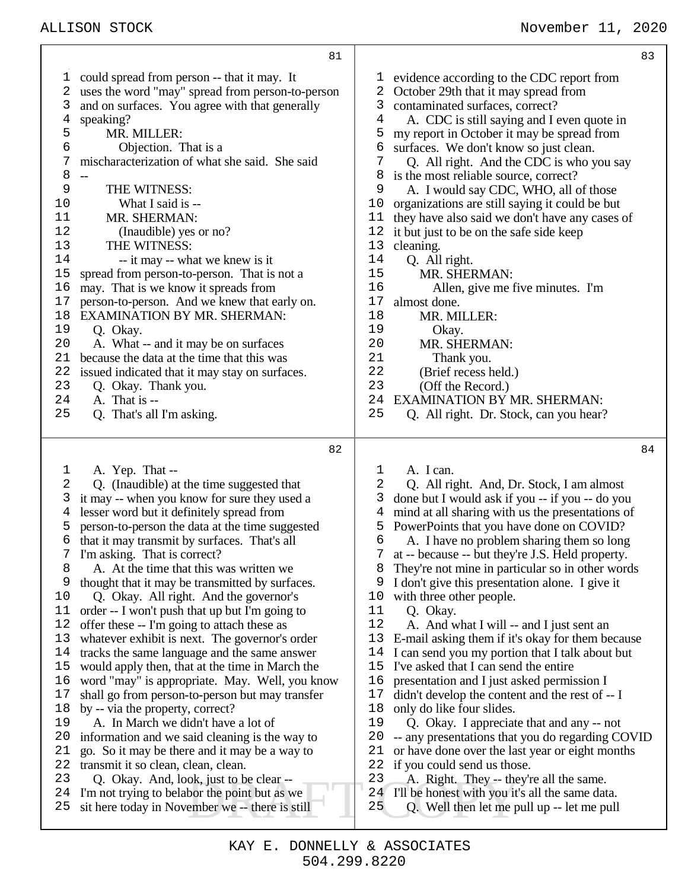could spread from person -- that it may. It uses the word "may" spread from person-to-person and on surfaces. You agree with that generally speaking? 5 MR. MILLER:<br>6 Objection. T Objection. That is a mischaracterization of what she said. She said 8<br>9 THE WITNESS: What I said is -- MR. SHERMAN: (Inaudible) yes or no? 13 THE WITNESS:<br>14 -- it may -- wh -- it may -- what we knew is it spread from person-to-person. That is not a may. That is we know it spreads from person-to-person. And we knew that early on. EXAMINATION BY MR. SHERMAN: Q. Okay. A. What -- and it may be on surfaces because the data at the time that this was issued indicated that it may stay on surfaces. Q. Okay. Thank you. 24 A. That is  $-$ <br>25 O That's all Q. That's all I'm asking. A. Yep. That -- Q. (Inaudible) at the time suggested that it may -- when you know for sure they used a lesser word but it definitely spread from person-to-person the data at the time suggested that it may transmit by surfaces. That's all I'm asking. That is correct? A. At the time that this was written we thought that it may be transmitted by surfaces. Q. Okay. All right. And the governor's order -- I won't push that up but I'm going to offer these -- I'm going to attach these as whatever exhibit is next. The governor's order tracks the same language and the same answer would apply then, that at the time in March the word "may" is appropriate. May. Well, you know shall go from person-to-person but may transfer by -- via the property, correct? A. In March we didn't have a lot of

- information and we said cleaning is the way to
- go. So it may be there and it may be a way to
- 22 transmit it so clean, clean, clean.<br>23 O. Okay, And, look, just to b Q. Okay. And, look, just to be clear --
- I'm not trying to belabor the point but as we
- sit here today in November we -- there is still

 evidence according to the CDC report from October 29th that it may spread from contaminated surfaces, correct? A. CDC is still saying and I even quote in my report in October it may be spread from 6 surfaces. We don't know so just clean.<br>  $\overline{C}$   $\overline{O}$ . All right. And the CDC is who y Q. All right. And the CDC is who you say is the most reliable source, correct? A. I would say CDC, WHO, all of those 10 organizations are still saying it could be but<br>11 they have also said we don't have any cases they have also said we don't have any cases of it but just to be on the safe side keep 13 cleaning.<br>14 O. All Q. All right. MR. SHERMAN: Allen, give me five minutes. I'm 17 almost done.<br>18 MR. MI MR. MILLER: 19 Okay.<br>20 MR SHI 20 MR. SHERMAN:<br>21 Thank you. 21 Thank you.<br>22 (Brief recess b) 22 (Brief recess held.)<br>23 (Off the Record.) (Off the Record.) 24 EXAMINATION BY MR. SHERMAN:<br>25 O. All right. Dr. Stock. can you hear Q. All right. Dr. Stock, can you hear?

 A. I can. Q. All right. And, Dr. Stock, I am almost done but I would ask if you -- if you -- do you mind at all sharing with us the presentations of PowerPoints that you have done on COVID? A. I have no problem sharing them so long at -- because -- but they're J.S. Held property. They're not mine in particular so in other words I don't give this presentation alone. I give it with three other people. 11 Q. Okay.<br>12 A. And w A. And what I will -- and I just sent an E-mail asking them if it's okay for them because I can send you my portion that I talk about but I've asked that I can send the entire presentation and I just asked permission I didn't develop the content and the rest of -- I only do like four slides. Q. Okay. I appreciate that and any -- not -- any presentations that you do regarding COVID or have done over the last year or eight months 22 if you could send us those.<br>23 A. Right. They -- they't A. Right. They -- they're all the same.

- I'll be honest with you it's all the same data.
- ok, just to be clear --<br>bor the point but as we  $\begin{array}{c|c} 23 & A. \text{Right. They -- the} \\ 24 & I'll be honest with you it' \\ 25 & Q. \text{Well then let me } p \end{array}$  Q. Well then let me pull up -- let me pull
	- 504.299.8220 KAY E. DONNELLY & ASSOCIATES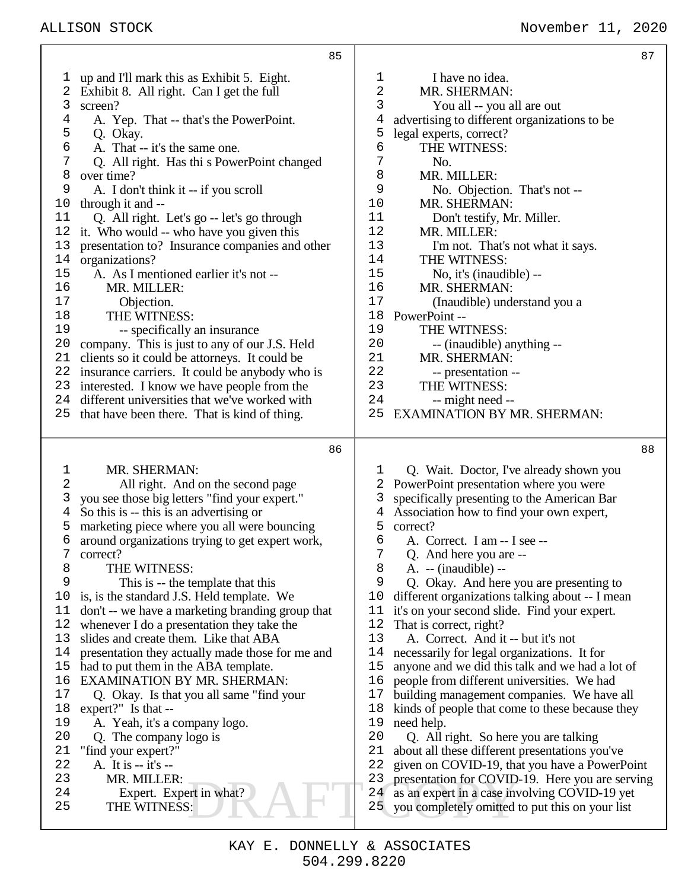## ALLISON STOCK November 11, 2020

|          | 85                                                                                             |                  | 87                                                                                            |
|----------|------------------------------------------------------------------------------------------------|------------------|-----------------------------------------------------------------------------------------------|
| l,       | up and I'll mark this as Exhibit 5. Eight.                                                     | 1                | I have no idea.                                                                               |
|          | Exhibit 8. All right. Can I get the full                                                       | 2                | MR. SHERMAN:                                                                                  |
| 3        | screen?                                                                                        | 3                | You all -- you all are out                                                                    |
| 4        | A. Yep. That -- that's the PowerPoint.                                                         | 4                | advertising to different organizations to be                                                  |
| 5        | Q. Okay.                                                                                       | 5                | legal experts, correct?                                                                       |
| 6        | A. That -- it's the same one.                                                                  | 6                | THE WITNESS:                                                                                  |
| 7        | Q. All right. Has thi s PowerPoint changed                                                     | 7                | No.                                                                                           |
| 8        | over time?                                                                                     | 8                | MR. MILLER:                                                                                   |
| 9        | A. I don't think it -- if you scroll                                                           | 9                | No. Objection. That's not --                                                                  |
| 10       | through it and --                                                                              | 10               | MR. SHERMAN:                                                                                  |
| 11       | Q. All right. Let's go -- let's go through                                                     | 11               | Don't testify, Mr. Miller.                                                                    |
| 12       | it. Who would -- who have you given this                                                       | 12               | MR. MILLER:                                                                                   |
| 13       | presentation to? Insurance companies and other                                                 | 13               | I'm not. That's not what it says.                                                             |
| 14       | organizations?                                                                                 | 14               | THE WITNESS:                                                                                  |
| 15       | A. As I mentioned earlier it's not --                                                          | 15               | No, it's (inaudible) --                                                                       |
| 16       | MR. MILLER:                                                                                    | 16               | MR. SHERMAN:                                                                                  |
| 17       | Objection.                                                                                     | 17               | (Inaudible) understand you a                                                                  |
| 18<br>19 | THE WITNESS:                                                                                   | 18<br>19         | PowerPoint-                                                                                   |
| 20       | -- specifically an insurance                                                                   | 20               | THE WITNESS:                                                                                  |
| 21       | company. This is just to any of our J.S. Held<br>clients so it could be attorneys. It could be | 21               | -- (inaudible) anything --<br>MR. SHERMAN:                                                    |
|          | 22 insurance carriers. It could be anybody who is                                              | 22               | -- presentation --                                                                            |
|          | 23 interested. I know we have people from the                                                  | 23               | THE WITNESS:                                                                                  |
|          | 24 different universities that we've worked with                                               | 24               | -- might need --                                                                              |
|          | 25 that have been there. That is kind of thing.                                                | 25               | <b>EXAMINATION BY MR. SHERMAN:</b>                                                            |
|          |                                                                                                |                  |                                                                                               |
|          |                                                                                                |                  |                                                                                               |
|          |                                                                                                |                  |                                                                                               |
|          | 86                                                                                             |                  | 88                                                                                            |
| 1        | MR. SHERMAN:                                                                                   | 1                | Q. Wait. Doctor, I've already shown you                                                       |
| 2        | All right. And on the second page                                                              | 2                | PowerPoint presentation where you were                                                        |
| 3        | you see those big letters "find your expert."                                                  | 3                | specifically presenting to the American Bar                                                   |
| 4        | So this is -- this is an advertising or                                                        | 4                | Association how to find your own expert,                                                      |
| 5        | marketing piece where you all were bouncing                                                    | 5                | correct?                                                                                      |
| 6        | around organizations trying to get expert work,                                                | 6                | A. Correct. I am -- I see --                                                                  |
| 7        | correct?                                                                                       | $\boldsymbol{7}$ | Q. And here you are --                                                                        |
| 8        | THE WITNESS:                                                                                   | 8                | $A. - (inaudible) -$                                                                          |
| 9        | This is -- the template that this                                                              | 9                | Q. Okay. And here you are presenting to                                                       |
| 10       | is, is the standard J.S. Held template. We                                                     | 10               | different organizations talking about -- I mean                                               |
| 11<br>12 | don't -- we have a marketing branding group that                                               | 11               | it's on your second slide. Find your expert.                                                  |
| 13       | whenever I do a presentation they take the<br>slides and create them. Like that ABA            | 12<br>13         | That is correct, right?<br>A. Correct. And it -- but it's not                                 |
| 14       |                                                                                                | 14               |                                                                                               |
| 15       | presentation they actually made those for me and                                               | 15               | necessarily for legal organizations. It for                                                   |
| 16       | had to put them in the ABA template.<br><b>EXAMINATION BY MR. SHERMAN:</b>                     | 16               | anyone and we did this talk and we had a lot of<br>people from different universities. We had |
| $17$     | Q. Okay. Is that you all same "find your"                                                      | 17               | building management companies. We have all                                                    |
| 18       | expert?" Is that --                                                                            | 18               | kinds of people that come to these because they                                               |
| 19       | A. Yeah, it's a company logo.                                                                  | 19               | need help.                                                                                    |
| 20       | Q. The company logo is                                                                         | 20               | Q. All right. So here you are talking                                                         |
| 21       | "find your expert?"                                                                            | 21               | about all these different presentations you've                                                |
| 22       | A. It is -- it's --                                                                            | 22               | given on COVID-19, that you have a PowerPoint                                                 |
| 23       | MR. MILLER:                                                                                    | 23               | presentation for COVID-19. Here you are serving                                               |
| 24       | Expert. Expert in what?                                                                        | 24               | as an expert in a case involving COVID-19 yet                                                 |
| 25       | THE WITNESS:                                                                                   | 25               | you completely omitted to put this on your list                                               |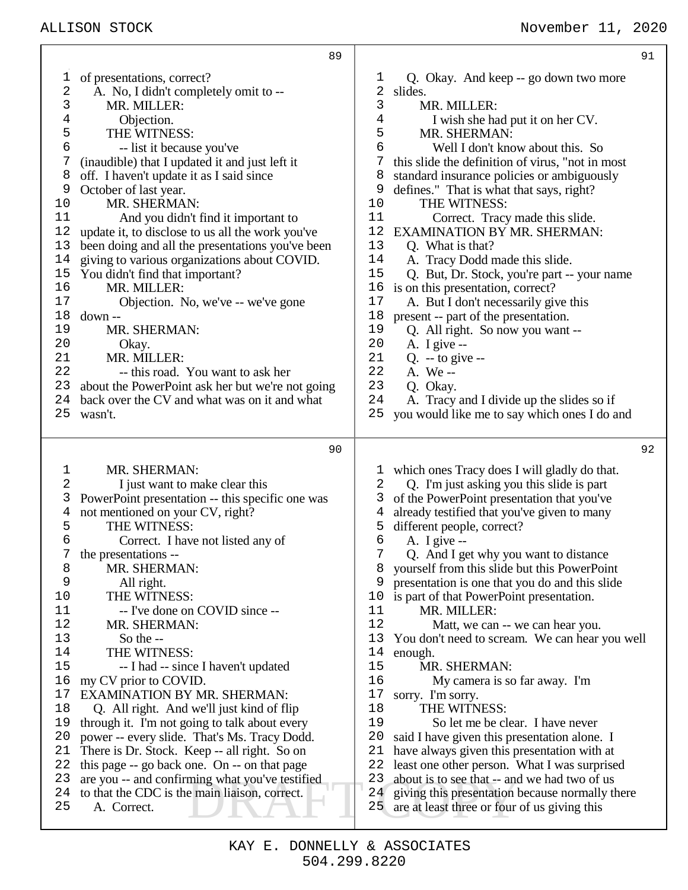|                                                                                                                                           | 89                                                                                                                                                                                                                                                                                                                                                                                                                                                                                                                                                                                                                                                                                                                                                                                                                       |                                                                                                                                                     |                                                                                                                                                                                                                                                                                                                                                                                                                                                                                                                                                                                                                                                                                                                                                                                                                                                                                                                                                                          | 91 |
|-------------------------------------------------------------------------------------------------------------------------------------------|--------------------------------------------------------------------------------------------------------------------------------------------------------------------------------------------------------------------------------------------------------------------------------------------------------------------------------------------------------------------------------------------------------------------------------------------------------------------------------------------------------------------------------------------------------------------------------------------------------------------------------------------------------------------------------------------------------------------------------------------------------------------------------------------------------------------------|-----------------------------------------------------------------------------------------------------------------------------------------------------|--------------------------------------------------------------------------------------------------------------------------------------------------------------------------------------------------------------------------------------------------------------------------------------------------------------------------------------------------------------------------------------------------------------------------------------------------------------------------------------------------------------------------------------------------------------------------------------------------------------------------------------------------------------------------------------------------------------------------------------------------------------------------------------------------------------------------------------------------------------------------------------------------------------------------------------------------------------------------|----|
| 1<br>2<br>3<br>4<br>5<br>6<br>7<br>8<br>9<br>10<br>11<br>12<br>13<br>14<br>15<br>16<br>17<br>18<br>19<br>20<br>21<br>22<br>23<br>24<br>25 | of presentations, correct?<br>A. No, I didn't completely omit to --<br>MR. MILLER:<br>Objection.<br>THE WITNESS:<br>-- list it because you've<br>(inaudible) that I updated it and just left it<br>off. I haven't update it as I said since<br>October of last year.<br>MR. SHERMAN:<br>And you didn't find it important to<br>update it, to disclose to us all the work you've<br>been doing and all the presentations you've been<br>giving to various organizations about COVID.<br>You didn't find that important?<br>MR. MILLER:<br>Objection. No, we've -- we've gone<br>down --<br>MR. SHERMAN:<br>Okay.<br>MR. MILLER:<br>-- this road. You want to ask her<br>about the PowerPoint ask her but we're not going<br>back over the CV and what was on it and what<br>wasn't.                                       | T<br>2<br>3<br>4<br>5<br>6<br>7<br>8<br>9<br>10<br>11<br>12<br>13<br>14<br>15<br>16<br>17<br>18<br>19<br>20<br>21<br>22<br>23<br>24<br>25           | Q. Okay. And keep -- go down two more<br>slides.<br>MR. MILLER:<br>I wish she had put it on her CV.<br>MR. SHERMAN:<br>Well I don't know about this. So<br>this slide the definition of virus, "not in most<br>standard insurance policies or ambiguously<br>defines." That is what that says, right?<br>THE WITNESS:<br>Correct. Tracy made this slide.<br><b>EXAMINATION BY MR. SHERMAN:</b><br>Q. What is that?<br>A. Tracy Dodd made this slide.<br>Q. But, Dr. Stock, you're part -- your name<br>is on this presentation, correct?<br>A. But I don't necessarily give this<br>present -- part of the presentation.<br>Q. All right. So now you want --<br>A. I give $-$<br>$Q. -$ to give $-$<br>A. We --<br>Q. Okay.<br>A. Tracy and I divide up the slides so if<br>you would like me to say which ones I do and                                                                                                                                                 |    |
|                                                                                                                                           |                                                                                                                                                                                                                                                                                                                                                                                                                                                                                                                                                                                                                                                                                                                                                                                                                          |                                                                                                                                                     |                                                                                                                                                                                                                                                                                                                                                                                                                                                                                                                                                                                                                                                                                                                                                                                                                                                                                                                                                                          |    |
|                                                                                                                                           | 90                                                                                                                                                                                                                                                                                                                                                                                                                                                                                                                                                                                                                                                                                                                                                                                                                       |                                                                                                                                                     |                                                                                                                                                                                                                                                                                                                                                                                                                                                                                                                                                                                                                                                                                                                                                                                                                                                                                                                                                                          | 92 |
| 1<br>2<br>3<br>4<br>5<br>6<br>8<br>9<br>10<br>11<br>12<br>13<br>14<br>15<br>16<br>17<br>18<br>19<br>20<br>21<br>22<br>23<br>24<br>25      | MR. SHERMAN:<br>I just want to make clear this<br>PowerPoint presentation -- this specific one was<br>not mentioned on your CV, right?<br>THE WITNESS:<br>Correct. I have not listed any of<br>the presentations --<br>MR. SHERMAN:<br>All right.<br>THE WITNESS:<br>-- I've done on COVID since --<br>MR. SHERMAN:<br>So the $-$<br>THE WITNESS:<br>-- I had -- since I haven't updated<br>my CV prior to COVID.<br><b>EXAMINATION BY MR. SHERMAN:</b><br>Q. All right. And we'll just kind of flip<br>through it. I'm not going to talk about every<br>power -- every slide. That's Ms. Tracy Dodd.<br>There is Dr. Stock. Keep -- all right. So on<br>this page -- go back one. On -- on that page<br>are you -- and confirming what you've testified<br>to that the CDC is the main liaison, correct.<br>A. Correct. | T<br>2<br>3<br>4<br>5<br>6<br>7<br>8<br>9<br>10<br>11<br>12<br>13<br>14<br>15<br>16<br>17<br>18<br>19<br>20<br>21<br>22<br>23<br>24<br>$25^{\circ}$ | which ones Tracy does I will gladly do that.<br>Q. I'm just asking you this slide is part<br>of the PowerPoint presentation that you've<br>already testified that you've given to many<br>different people, correct?<br>A. I give $-$<br>Q. And I get why you want to distance<br>yourself from this slide but this PowerPoint<br>presentation is one that you do and this slide<br>is part of that PowerPoint presentation.<br>MR. MILLER:<br>Matt, we can -- we can hear you.<br>You don't need to scream. We can hear you well<br>enough.<br>MR. SHERMAN:<br>My camera is so far away. I'm<br>sorry. I'm sorry.<br>THE WITNESS:<br>So let me be clear. I have never<br>said I have given this presentation alone. I<br>have always given this presentation with at<br>least one other person. What I was surprised<br>about is to see that -- and we had two of us<br>giving this presentation because normally there<br>are at least three or four of us giving this |    |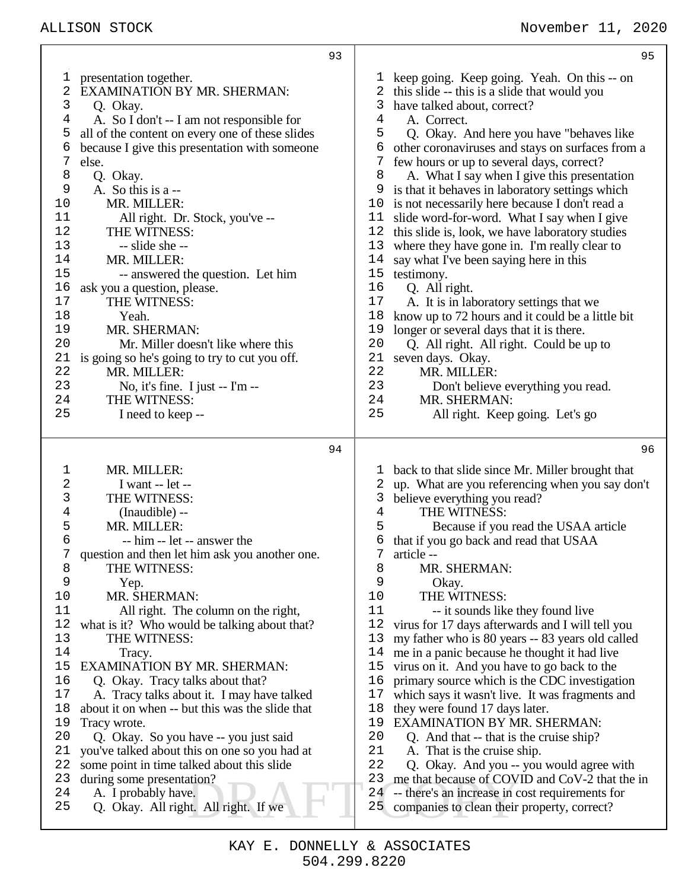|                                                                                                                                                | 93                                                                                                                                                                                                                                                                                                                                                                                                                                                                                                                                                                                                                                                                                                                                                        |                                                                                                                                          | 95                                                                                                                                                                                                                                                                                                                                                                                                                                                                                                                                                                                                                                                                                                                                                                                                                                                                                                                                                                                             |
|------------------------------------------------------------------------------------------------------------------------------------------------|-----------------------------------------------------------------------------------------------------------------------------------------------------------------------------------------------------------------------------------------------------------------------------------------------------------------------------------------------------------------------------------------------------------------------------------------------------------------------------------------------------------------------------------------------------------------------------------------------------------------------------------------------------------------------------------------------------------------------------------------------------------|------------------------------------------------------------------------------------------------------------------------------------------|------------------------------------------------------------------------------------------------------------------------------------------------------------------------------------------------------------------------------------------------------------------------------------------------------------------------------------------------------------------------------------------------------------------------------------------------------------------------------------------------------------------------------------------------------------------------------------------------------------------------------------------------------------------------------------------------------------------------------------------------------------------------------------------------------------------------------------------------------------------------------------------------------------------------------------------------------------------------------------------------|
| T<br>2<br>3<br>4<br>5<br>6<br>7<br>8<br>9<br>10<br>11<br>12<br>13<br>14<br>15<br>16<br>17<br>18<br>19<br>20<br>21<br>22<br>23<br>24<br>25      | presentation together.<br><b>EXAMINATION BY MR. SHERMAN:</b><br>Q. Okay.<br>A. So I don't -- I am not responsible for<br>all of the content on every one of these slides<br>because I give this presentation with someone<br>else.<br>Q. Okay.<br>A. So this is a --<br>MR. MILLER:<br>All right. Dr. Stock, you've --<br>THE WITNESS:<br>-- slide she --<br>MR. MILLER:<br>-- answered the question. Let him<br>ask you a question, please.<br>THE WITNESS:<br>Yeah.<br>MR. SHERMAN:<br>Mr. Miller doesn't like where this<br>is going so he's going to try to cut you off.<br>MR. MILLER:<br>No, it's fine. I just $-$ I'm $-$<br>THE WITNESS:<br>I need to keep --                                                                                     | ı<br>4<br>5<br>6<br>7<br>8<br>9<br>10<br>11<br>12<br>13<br>14<br>15<br>16<br>17<br>18<br>19<br>20<br>21<br>22<br>23<br>24<br>25          | keep going. Keep going. Yeah. On this -- on<br>2 this slide -- this is a slide that would you<br>3 have talked about, correct?<br>A. Correct.<br>Q. Okay. And here you have "behaves like"<br>other coronaviruses and stays on surfaces from a<br>few hours or up to several days, correct?<br>A. What I say when I give this presentation<br>is that it behaves in laboratory settings which<br>is not necessarily here because I don't read a<br>slide word-for-word. What I say when I give<br>this slide is, look, we have laboratory studies<br>where they have gone in. I'm really clear to<br>say what I've been saying here in this<br>testimony.<br>Q. All right.<br>A. It is in laboratory settings that we<br>know up to 72 hours and it could be a little bit<br>longer or several days that it is there.<br>Q. All right. All right. Could be up to<br>seven days. Okay.<br>MR. MILLER:<br>Don't believe everything you read.<br>MR. SHERMAN:<br>All right. Keep going. Let's go  |
|                                                                                                                                                | 94                                                                                                                                                                                                                                                                                                                                                                                                                                                                                                                                                                                                                                                                                                                                                        |                                                                                                                                          | 96                                                                                                                                                                                                                                                                                                                                                                                                                                                                                                                                                                                                                                                                                                                                                                                                                                                                                                                                                                                             |
| $\mathbf 1$<br>2<br>3<br>4<br>5<br>6<br>8<br>9<br>10<br>11<br>12<br>13<br>14<br>15<br>16<br>17<br>18<br>19<br>20<br>21<br>22<br>23<br>24<br>25 | MR. MILLER:<br>I want -- let --<br>THE WITNESS:<br>(Inaudible) --<br>MR. MILLER:<br>-- him -- let -- answer the<br>question and then let him ask you another one.<br>THE WITNESS:<br>Yep.<br>MR. SHERMAN:<br>All right. The column on the right,<br>what is it? Who would be talking about that?<br>THE WITNESS:<br>Tracy.<br><b>EXAMINATION BY MR. SHERMAN:</b><br>Q. Okay. Tracy talks about that?<br>A. Tracy talks about it. I may have talked<br>about it on when -- but this was the slide that<br>Tracy wrote.<br>Q. Okay. So you have -- you just said<br>you've talked about this on one so you had at<br>some point in time talked about this slide<br>during some presentation?<br>A. I probably have.<br>Q. Okay. All right. All right. If we | ı<br>2<br>3<br>$\,4$<br>5<br>6<br>8<br>9<br>10<br>11<br>12<br>13<br>14<br>15<br>16<br>17<br>18<br>19<br>20<br>21<br>22<br>23<br>24<br>25 | back to that slide since Mr. Miller brought that<br>up. What are you referencing when you say don't<br>believe everything you read?<br>THE WITNESS:<br>Because if you read the USAA article<br>that if you go back and read that USAA<br>article --<br>MR. SHERMAN:<br>Okay.<br>THE WITNESS:<br>-- it sounds like they found live<br>virus for 17 days afterwards and I will tell you<br>my father who is 80 years -- 83 years old called<br>me in a panic because he thought it had live<br>virus on it. And you have to go back to the<br>primary source which is the CDC investigation<br>which says it wasn't live. It was fragments and<br>they were found 17 days later.<br><b>EXAMINATION BY MR. SHERMAN:</b><br>Q. And that -- that is the cruise ship?<br>A. That is the cruise ship.<br>Q. Okay. And you -- you would agree with<br>me that because of COVID and CoV-2 that the in<br>-- there's an increase in cost requirements for<br>companies to clean their property, correct? |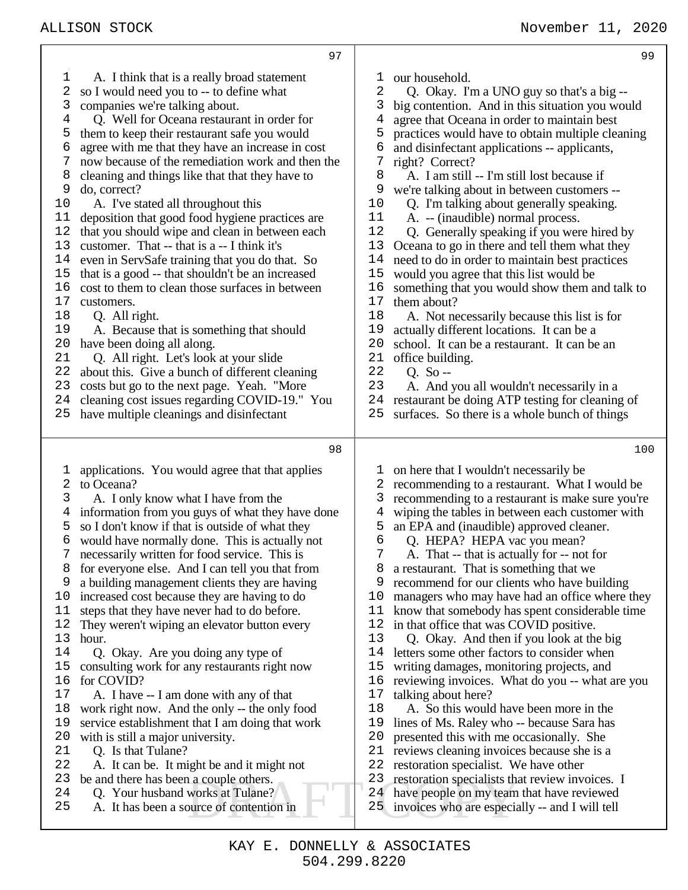| 97                                               | 99                                               |
|--------------------------------------------------|--------------------------------------------------|
| A. I think that is a really broad statement      | our household.                                   |
| ı                                                | T                                                |
| 2                                                | 2                                                |
| so I would need you to -- to define what         | Q. Okay. I'm a UNO guy so that's a big --        |
| 3                                                | 3                                                |
| companies we're talking about.                   | big contention. And in this situation you would  |
| Q. Well for Oceana restaurant in order for       | agree that Oceana in order to maintain best      |
| 4                                                | 4                                                |
| them to keep their restaurant safe you would     | practices would have to obtain multiple cleaning |
| 5                                                | 5                                                |
| 6                                                | 6                                                |
| agree with me that they have an increase in cost | and disinfectant applications -- applicants,     |
| now because of the remediation work and then the | 7                                                |
| 7                                                | right? Correct?                                  |
| 8                                                | 8                                                |
| cleaning and things like that that they have to  | A. I am still -- I'm still lost because if       |
| do, correct?                                     | 9                                                |
| 9                                                | we're talking about in between customers --      |
| 10                                               | 10                                               |
| A. I've stated all throughout this               | Q. I'm talking about generally speaking.         |
| deposition that good food hygiene practices are  | 11                                               |
| 11                                               | A. -- (inaudible) normal process.                |
| 12                                               | 12                                               |
| that you should wipe and clean in between each   | Q. Generally speaking if you were hired by       |
| 13                                               | 13                                               |
| customer. That -- that is a -- I think it's      | Oceana to go in there and tell them what they    |
| 14                                               | 14                                               |
| even in ServSafe training that you do that. So   | need to do in order to maintain best practices   |
| that is a good -- that shouldn't be an increased | 15                                               |
| 15                                               | would you agree that this list would be          |
| 16                                               | 16                                               |
| cost to them to clean those surfaces in between  | something that you would show them and talk to   |
| 17                                               | 17                                               |
| customers.                                       | them about?                                      |
| 18                                               | 18                                               |
| Q. All right.                                    | A. Not necessarily because this list is for      |
| 19                                               | 19                                               |
| A. Because that is something that should         | actually different locations. It can be a        |
| 20                                               | 20                                               |
| have been doing all along.                       | school. It can be a restaurant. It can be an     |
| 21                                               | 21                                               |
| Q. All right. Let's look at your slide           | office building.                                 |
| 22                                               | 22                                               |
| about this. Give a bunch of different cleaning   | Q. So $-$                                        |
| 23                                               | 23                                               |
| costs but go to the next page. Yeah. "More       | A. And you all wouldn't necessarily in a         |
| cleaning cost issues regarding COVID-19." You    | 24                                               |
| 24                                               | restaurant be doing ATP testing for cleaning of  |
| have multiple cleanings and disinfectant         | 25                                               |
| 25                                               | surfaces. So there is a whole bunch of things    |
| 98                                               | 100                                              |
| applications. You would agree that that applies  | on here that I wouldn't necessarily be           |
| ı                                                | T                                                |
| to Oceana?                                       | recommending to a restaurant. What I would be    |
| 2                                                | 2                                                |
| A. I only know what I have from the              | 3                                                |
| 3                                                | recommending to a restaurant is make sure you're |
| information from you guys of what they have done | wiping the tables in between each customer with  |
| 4                                                | 4                                                |
| so I don't know if that is outside of what they  | 5                                                |
| 5                                                | an EPA and (inaudible) approved cleaner.         |
| would have normally done. This is actually not   | 6                                                |
| 6                                                | Q. HEPA? HEPA vac you mean?                      |
| necessarily written for food service. This is    | 7 A. That -- that is actually for -- not for     |
| for everyone else. And I can tell you that from  | a restaurant. That is something that we          |
| 8                                                | 8                                                |
| 9                                                | 9                                                |
| a building management clients they are having    | recommend for our clients who have building      |
| increased cost because they are having to do     | managers who may have had an office where they   |
| 10                                               | 10                                               |
| steps that they have never had to do before.     | know that somebody has spent considerable time   |
| 11                                               | 11                                               |
| They weren't wiping an elevator button every     | 12                                               |
| 12                                               | in that office that was COVID positive.          |
| 13                                               | 13                                               |
| hour.                                            | Q. Okay. And then if you look at the big         |
| 14                                               | letters some other factors to consider when      |
| Q. Okay. Are you doing any type of               | 14                                               |
| 15                                               | writing damages, monitoring projects, and        |
| consulting work for any restaurants right now    | 15                                               |
| for COVID?                                       | 16                                               |
| 16                                               | reviewing invoices. What do you -- what are you  |
| 17                                               | talking about here?                              |
| A. I have -- I am done with any of that          | 17                                               |
| 18                                               | 18                                               |
| work right now. And the only -- the only food    | A. So this would have been more in the           |
| 19                                               | 19                                               |
| service establishment that I am doing that work  | lines of Ms. Raley who -- because Sara has       |
| 20                                               | 20                                               |
| with is still a major university.                | presented this with me occasionally. She         |
| 21                                               | 21                                               |
| Q. Is that Tulane?                               | reviews cleaning invoices because she is a       |
| 22                                               | 22                                               |
| A. It can be. It might be and it might not       | restoration specialist. We have other            |
| 23                                               | 23                                               |
| be and there has been a couple others.           | restoration specialists that review invoices. I  |
| Q. Your husband works at Tulane?                 | 24                                               |
| 24                                               | have people on my team that have reviewed        |
| 25                                               | 25                                               |
| A. It has been a source of contention in         | invoices who are especially -- and I will tell   |

- A. It has been a source of contention in 25 invoices who are especially -- and I will tell
	-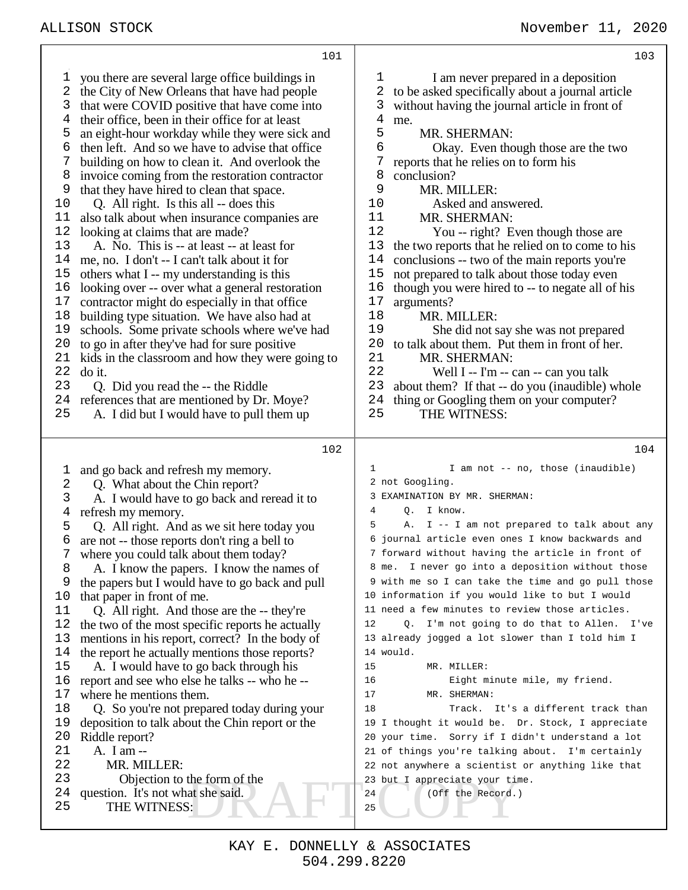DRAFT COPY you there are several large office buildings in the City of New Orleans that have had people that were COVID positive that have come into their office, been in their office for at least an eight-hour workday while they were sick and 6 then left. And so we have to advise that office  $\overline{7}$  building on how to clean it. And overlook the building on how to clean it. And overlook the invoice coming from the restoration contractor 9 that they have hired to clean that space.<br>10 O. All right. Is this all -- does this Q. All right. Is this all -- does this also talk about when insurance companies are looking at claims that are made? A. No. This is -- at least -- at least for me, no. I don't -- I can't talk about it for others what I -- my understanding is this looking over -- over what a general restoration contractor might do especially in that office building type situation. We have also had at schools. Some private schools where we've had to go in after they've had for sure positive kids in the classroom and how they were going to do it. Q. Did you read the -- the Riddle references that are mentioned by Dr. Moye? A. I did but I would have to pull them up and go back and refresh my memory. Q. What about the Chin report? A. I would have to go back and reread it to refresh my memory. Q. All right. And as we sit here today you are not -- those reports don't ring a bell to where you could talk about them today? 8 A. I know the papers. I know the names of<br>9 the papers but I would have to go back and pul the papers but I would have to go back and pull that paper in front of me. Q. All right. And those are the -- they're the two of the most specific reports he actually mentions in his report, correct? In the body of 14 the report he actually mentions those reports?<br>15 A. I would have to go back through his A. I would have to go back through his report and see who else he talks -- who he -- where he mentions them. Q. So you're not prepared today during your deposition to talk about the Chin report or the Riddle report? A. I am -- 22 MR. MILLER:<br>23 Objection to Objection to the form of the question. It's not what she said. THE WITNESS: 1 I am never prepared in a deposition to be asked specifically about a journal article without having the journal article in front of me. 5 MR. SHERMAN:<br>6 Okay. Even the Okay. Even though those are the two reports that he relies on to form his 8 conclusion?<br>9 MR M 9 MR. MILLER:<br>10 Asked and a Asked and answered. MR. SHERMAN: You -- right? Even though those are the two reports that he relied on to come to his conclusions -- two of the main reports you're not prepared to talk about those today even though you were hired to -- to negate all of his 17 arguments?<br>18 MR. M MR. MILLER: She did not say she was not prepared 20 to talk about them. Put them in front of her.<br>21 MR SHERMAN 21 MR. SHERMAN:<br>22 Well I -- I'm --Well I -- I'm -- can -- can you talk about them? If that -- do you (inaudible) whole 24 thing or Googling them on your computer?<br>25 THE WITNESS THE WITNESS: 1 I am not -- no, those (inaudible) not Googling. EXAMINATION BY MR. SHERMAN: 4 Q. I know. 5 A. I -- I am not prepared to talk about any journal article even ones I know backwards and forward without having the article in front of me. I never go into a deposition without those with me so I can take the time and go pull those information if you would like to but I would need a few minutes to review those articles. 12 Q. I'm not going to do that to Allen. I've already jogged a lot slower than I told him I would. 15 MR. MILLER: 16 Eight minute mile, my friend. 17 MR. SHERMAN: 18 Track. It's a different track than I thought it would be. Dr. Stock, I appreciate your time. Sorry if I didn't understand a lot of things you're talking about. I'm certainly not anywhere a scientist or anything like that but I appreciate your time. 24 (Off the Record.)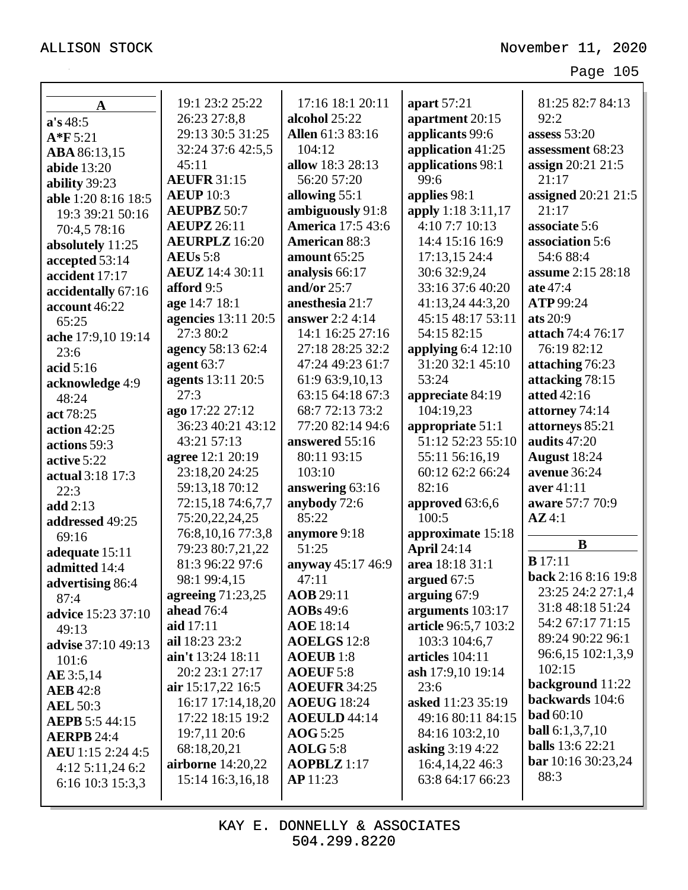| $\mathbf A$               | 19:1 23:2 25:22            | 17:16 18:1 20:11<br>alcohol 25:22 | apart 57:21<br>apartment 20:15 | 81:25 82:7 84:13<br>92:2  |
|---------------------------|----------------------------|-----------------------------------|--------------------------------|---------------------------|
| a's 48:5                  | 26:23 27:8,8               |                                   |                                |                           |
| $A*F 5:21$                | 29:13 30:5 31:25           | Allen 61:3 83:16                  | applicants 99:6                | assess $53:20$            |
| ABA 86:13,15              | 32:24 37:6 42:5,5          | 104:12                            | application 41:25              | assessment 68:23          |
| <b>abide</b> 13:20        | 45:11                      | allow 18:3 28:13                  | applications 98:1              | assign 20:21 21:5         |
| ability 39:23             | <b>AEUFR 31:15</b>         | 56:20 57:20                       | 99:6                           | 21:17                     |
| able 1:20 8:16 18:5       | <b>AEUP</b> 10:3           | allowing 55:1                     | applies 98:1                   | assigned 20:21 21:5       |
| 19:3 39:21 50:16          | <b>AEUPBZ 50:7</b>         | ambiguously 91:8                  | apply 1:18 3:11,17             | 21:17                     |
| 70:4,5 78:16              | <b>AEUPZ</b> 26:11         | <b>America</b> 17:5 43:6          | 4:10 7:7 10:13                 | associate 5:6             |
| absolutely 11:25          | <b>AEURPLZ</b> 16:20       | <b>American 88:3</b>              | 14:4 15:16 16:9                | association 5:6           |
| accepted 53:14            | <b>AEUs</b> 5:8            | amount 65:25                      | 17:13,15 24:4                  | 54:6 88:4                 |
| accident 17:17            | <b>AEUZ</b> 14:4 30:11     | analysis 66:17                    | 30:6 32:9,24                   | <b>assume</b> 2:15 28:18  |
| accidentally 67:16        | afford 9:5                 | and/or $25:7$                     | 33:16 37:6 40:20               | ate 47:4                  |
| account 46:22             | age 14:7 18:1              | anesthesia 21:7                   | 41:13,24 44:3,20               | ATP 99:24                 |
| 65:25                     | <b>agencies</b> 13:11 20:5 | <b>answer</b> 2:2 4:14            | 45:15 48:17 53:11              | ats $20:9$                |
| ache 17:9,10 19:14        | 27:3 80:2                  | 14:1 16:25 27:16                  | 54:15 82:15                    | attach 74:4 76:17         |
| 23:6                      | agency 58:13 62:4          | 27:18 28:25 32:2                  | applying $6:4$ 12:10           | 76:19 82:12               |
| acid $5:16$               | agent $63:7$               | 47:24 49:23 61:7                  | 31:20 32:1 45:10               | attaching 76:23           |
| acknowledge 4:9           | agents 13:11 20:5          | 61:9 63:9,10,13                   | 53:24                          | attacking 78:15           |
| 48:24                     | 27:3                       | 63:15 64:18 67:3                  | appreciate 84:19               | atted $42:16$             |
| act 78:25                 | ago 17:22 27:12            | 68:7 72:13 73:2                   | 104:19,23                      | attorney 74:14            |
| action $42:25$            | 36:23 40:21 43:12          | 77:20 82:14 94:6                  | appropriate 51:1               | attorneys 85:21           |
| actions 59:3              | 43:21 57:13                | answered 55:16                    | 51:12 52:23 55:10              | audits 47:20              |
| active 5:22               | agree 12:1 20:19           | 80:11 93:15                       | 55:11 56:16,19                 | August 18:24              |
| actual 3:18 17:3          | 23:18,20 24:25             | 103:10                            | 60:12 62:2 66:24               | avenue 36:24              |
| 22:3                      | 59:13,18 70:12             | answering 63:16                   | 82:16                          | aver 41:11                |
| add 2:13                  | 72:15,18 74:6,7,7          | anybody 72:6                      | approved 63:6,6                | aware 57:7 70:9           |
| addressed 49:25           | 75:20,22,24,25             | 85:22                             | 100:5                          | AZ4:1                     |
| 69:16                     | 76:8, 10, 16 77:3, 8       | anymore 9:18                      | approximate 15:18              |                           |
| adequate 15:11            | 79:23 80:7,21,22           | 51:25                             | <b>April 24:14</b>             | $\bf{B}$                  |
| admitted 14:4             | 81:3 96:22 97:6            | anyway 45:17 46:9                 | area 18:18 31:1                | $B$ 17:11                 |
| advertising 86:4          | 98:1 99:4,15               | 47:11                             | argued 67:5                    | back 2:16 8:16 19:8       |
| 87:4                      | agreeing 71:23,25          | AOB 29:11                         | arguing 67:9                   | 23:25 24:2 27:1,4         |
| advice 15:23 37:10        | ahead 76:4                 | $\angle$ AOBs 49:6                | arguments 103:17               | 31:8 48:18 51:24          |
| 49:13                     | aid 17:11                  | <b>AOE</b> 18:14                  | article 96:5,7 103:2           | 54:2 67:17 71:15          |
| <b>advise</b> 37:10 49:13 | ail 18:23 23:2             | <b>AOELGS</b> 12:8                | 103:3 104:6,7                  | 89:24 90:22 96:1          |
| 101:6                     | ain't 13:24 18:11          | ADEUB 1:8                         | articles 104:11                | 96:6,15 102:1,3,9         |
| AE 3:5,14                 | 20:2 23:1 27:17            | <b>AOEUF 5:8</b>                  | ash 17:9,10 19:14              | 102:15                    |
| <b>AEB</b> 42:8           | air 15:17,22 16:5          | <b>AOEUFR 34:25</b>               | 23:6                           | background 11:22          |
| <b>AEL 50:3</b>           | 16:17 17:14,18,20          | <b>AOEUG</b> 18:24                | asked 11:23 35:19              | backwards 104:6           |
| <b>AEPB</b> 5:5 44:15     | 17:22 18:15 19:2           | AOEULD 44:14                      | 49:16 80:11 84:15              | <b>bad</b> 60:10          |
| <b>AERPB 24:4</b>         | 19:7,11 20:6               | <b>AOG</b> 5:25                   | 84:16 103:2,10                 | <b>ball</b> $6:1,3,7,10$  |
| <b>AEU</b> 1:15 2:24 4:5  | 68:18,20,21                | <b>AOLG</b> 5:8                   | asking 3:19 4:22               | <b>balls</b> 13:6 22:21   |
| $4:12$ 5:11,24 6:2        | airborne 14:20,22          | $\bf AOPBLZ$ 1:17                 | 16:4, 14, 22 46: 3             | <b>bar</b> 10:16 30:23,24 |
| 6:16 10:3 15:3,3          | 15:14 16:3,16,18           | <b>AP</b> 11:23                   | 63:8 64:17 66:23               | 88:3                      |
|                           |                            |                                   |                                |                           |

KAY E. DONNELLY & ASSOCIATES 504.299.8220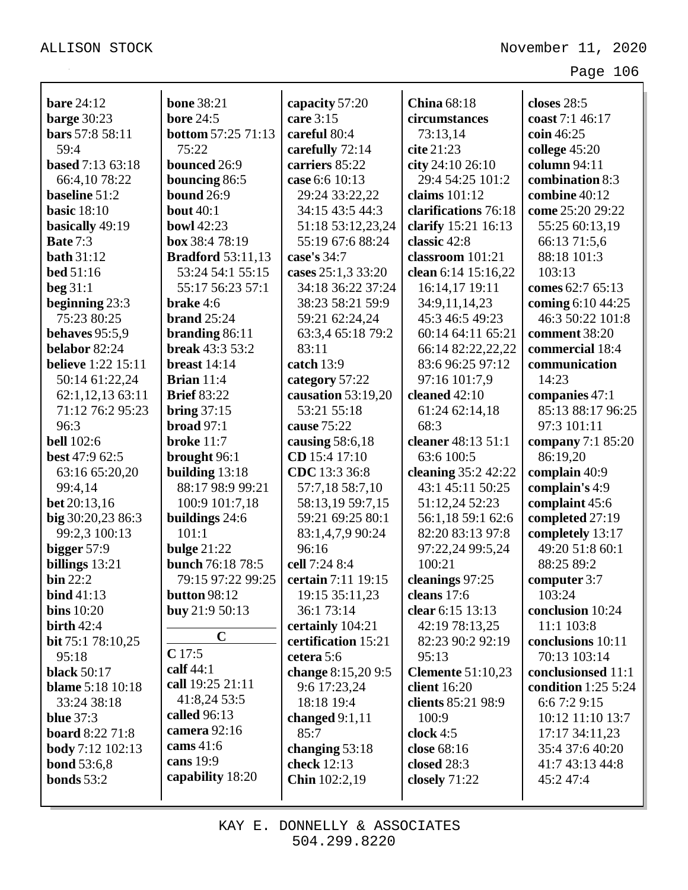| <b>bare</b> 24:12         | <b>bone 38:21</b>         | capacity 57:20      | <b>China</b> 68:18       | closes 28:5                |
|---------------------------|---------------------------|---------------------|--------------------------|----------------------------|
| barge 30:23               | <b>bore 24:5</b>          | care 3:15           | circumstances            | coast 7:1 46:17            |
| bars 57:8 58:11           | <b>bottom 57:25 71:13</b> | careful 80:4        | 73:13,14                 | coin 46:25                 |
| 59:4                      | 75:22                     | carefully 72:14     | cite 21:23               | college $45:20$            |
| <b>based</b> 7:13 63:18   | bounced 26:9              | carriers 85:22      | city 24:10 26:10         | column 94:11               |
| 66:4,10 78:22             | bouncing 86:5             | case 6:6 10:13      | 29:4 54:25 101:2         | combination 8:3            |
| baseline 51:2             | <b>bound</b> 26:9         | 29:24 33:22,22      | claims $101:12$          | combine 40:12              |
| <b>basic</b> 18:10        | <b>bout</b> 40:1          | 34:15 43:5 44:3     | clarifications 76:18     | come 25:20 29:22           |
| basically 49:19           | <b>bowl 42:23</b>         | 51:18 53:12,23,24   | clarify 15:21 16:13      | 55:25 60:13,19             |
| Bate 7:3                  | box 38:4 78:19            | 55:19 67:6 88:24    | classic 42:8             | 66:13 71:5,6               |
| <b>bath</b> 31:12         | <b>Bradford</b> 53:11,13  | case's 34:7         | classroom 101:21         | 88:18 101:3                |
| <b>bed</b> 51:16          | 53:24 54:1 55:15          | cases 25:1,3 33:20  | clean 6:14 15:16,22      | 103:13                     |
| beg $31:1$                | 55:17 56:23 57:1          | 34:18 36:22 37:24   | 16:14,17 19:11           | comes 62:7 65:13           |
| beginning 23:3            | brake 4:6                 | 38:23 58:21 59:9    | 34:9,11,14,23            | coming 6:10 44:25          |
| 75:23 80:25               | brand $25:24$             | 59:21 62:24,24      | 45:3 46:5 49:23          | 46:3 50:22 101:8           |
| behaves 95:5,9            | branding $86:11$          | 63:3,4 65:18 79:2   | 60:14 64:11 65:21        | comment 38:20              |
| belabor 82:24             | <b>break</b> 43:3 53:2    | 83:11               | 66:14 82:22,22,22        | commercial 18:4            |
| <b>believe</b> 1:22 15:11 | breast $14:14$            | catch 13:9          | 83:6 96:25 97:12         | communication              |
| 50:14 61:22,24            | Brian $11:4$              | category 57:22      | 97:16 101:7,9            | 14:23                      |
| 62:1,12,13 63:11          | <b>Brief 83:22</b>        | causation 53:19,20  | cleaned $42:10$          | companies 47:1             |
| 71:12 76:2 95:23          | bring $37:15$             | 53:21 55:18         | 61:24 62:14,18           | 85:13 88:17 96:25          |
| 96:3                      | broad $97:1$              | cause 75:22         | 68:3                     | 97:3 101:11                |
| <b>bell</b> 102:6         | <b>broke</b> 11:7         | causing $58:6,18$   | cleaner 48:13 51:1       | company 7:1 85:20          |
| <b>best</b> 47:9 62:5     | brought 96:1              | CD 15:4 17:10       | 63:6 100:5               | 86:19,20                   |
| 63:16 65:20,20            | building 13:18            | CDC 13:3 36:8       | cleaning 35:2 42:22      | complain 40:9              |
| 99:4,14                   | 88:17 98:9 99:21          | 57:7,18 58:7,10     | 43:1 45:11 50:25         | complain's 4:9             |
| bet 20:13,16              | 100:9 101:7,18            | 58:13,19 59:7,15    | 51:12,24 52:23           | complaint 45:6             |
| big 30:20,23 86:3         | buildings 24:6            | 59:21 69:25 80:1    | 56:1,18 59:1 62:6        | completed 27:19            |
| 99:2,3 100:13             | 101:1                     | 83:1,4,7,9 90:24    | 82:20 83:13 97:8         | completely 13:17           |
| bigger 57:9               | bulge $21:22$             | 96:16               | 97:22,24 99:5,24         | 49:20 51:8 60:1            |
| billings 13:21            | bunch 76:18 78:5          | cell 7:24 8:4       | 100:21                   | 88:25 89:2                 |
| $\mathbf{bin}$ 22:2       | 79:15 97:22 99:25         | certain 7:11 19:15  | cleanings 97:25          | computer 3:7               |
| bind $41:13$              | <b>button 98:12</b>       | 19:15 35:11,23      | cleans 17:6              | 103:24                     |
| bins $10:20$              | buy 21:9 50:13            | 36:1 73:14          | clear 6:15 13:13         | conclusion 10:24           |
| birth $42:4$              |                           | certainly 104:21    | 42:19 78:13,25           | 11:1 103:8                 |
| bit 75:1 78:10,25         | $\mathbf C$               | certification 15:21 | 82:23 90:2 92:19         | conclusions 10:11          |
| 95:18                     | C17:5                     | cetera 5:6          | 95:13                    | 70:13 103:14               |
| <b>black</b> 50:17        | calf $44:1$               | change 8:15,20 9:5  | <b>Clemente 51:10,23</b> | conclusionsed 11:1         |
| <b>blame</b> 5:18 10:18   | call 19:25 21:11          | 9:6 17:23,24        | client 16:20             | <b>condition</b> 1:25 5:24 |
| 33:24 38:18               | 41:8,24 53:5              | 18:18 19:4          | clients 85:21 98:9       | 6:6 7:2 9:15               |
| <b>blue</b> 37:3          | called 96:13              | changed $9:1,11$    | 100:9                    | 10:12 11:10 13:7           |
| board 8:22 71:8           | camera 92:16              | 85:7                | clock $4:5$              | 17:17 34:11,23             |
| <b>body</b> 7:12 102:13   | cams $41:6$               | changing $53:18$    | close 68:16              | 35:4 37:6 40:20            |
| <b>bond</b> 53:6,8        | cans 19:9                 | check 12:13         | closed 28:3              | 41:7 43:13 44:8            |
| bonds $53:2$              | capability 18:20          | Chin 102:2,19       | closely $71:22$          | 45:2 47:4                  |
|                           |                           |                     |                          |                            |

KAY E. DONNELLY & ASSOCIATES 504.299.8220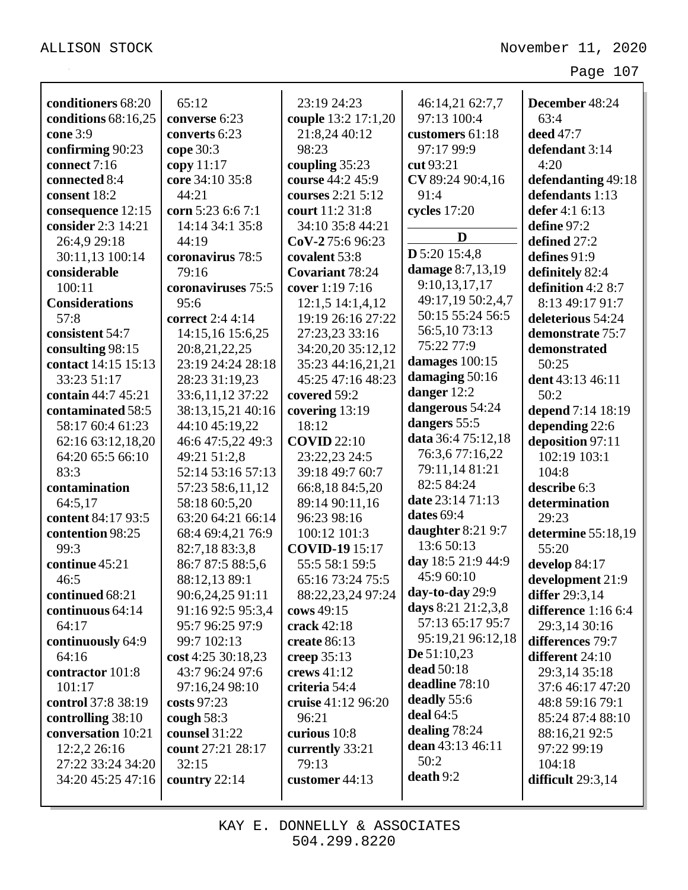| conditioners 68:20    |                    |                        |                                       |                     |
|-----------------------|--------------------|------------------------|---------------------------------------|---------------------|
|                       | 65:12              | 23:19 24:23            | 46:14,21 62:7,7                       | December 48:24      |
| conditions 68:16,25   | converse 6:23      | couple 13:2 17:1,20    | 97:13 100:4                           | 63:4                |
| cone 3:9              | converts 6:23      | 21:8,24 40:12<br>98:23 | customers 61:18                       | deed 47:7           |
| confirming 90:23      | cope 30:3          |                        | 97:17 99:9                            | defendant 3:14      |
| connect 7:16          | copy $11:17$       | coupling 35:23         | cut 93:21                             | 4:20                |
| connected 8:4         | core 34:10 35:8    | course 44:2 45:9       | CV 89:24 90:4,16                      | defendanting 49:18  |
| consent 18:2          | 44:21              | courses 2:21 5:12      | 91:4                                  | defendants 1:13     |
| consequence 12:15     | corn 5:23 6:6 7:1  | court 11:2 31:8        | cycles 17:20                          | defer $4:16:13$     |
| consider 2:3 14:21    | 14:14 34:1 35:8    | 34:10 35:8 44:21       | D                                     | define 97:2         |
| 26:4,9 29:18          | 44:19              | CoV-275:696:23         | D 5:20 15:4,8                         | defined 27:2        |
| 30:11,13 100:14       | coronavirus 78:5   | covalent 53:8          | damage 8:7,13,19                      | defines 91:9        |
| considerable          | 79:16              | <b>Covariant 78:24</b> | 9:10,13,17,17                         | definitely 82:4     |
| 100:11                | coronaviruses 75:5 | cover 1:19 7:16        |                                       | definition 4:2 8:7  |
| <b>Considerations</b> | 95:6               | 12:1,5 14:1,4,12       | 49:17,19 50:2,4,7<br>50:15 55:24 56:5 | 8:13 49:17 91:7     |
| 57:8                  | correct 2:4 4:14   | 19:19 26:16 27:22      |                                       | deleterious 54:24   |
| consistent 54:7       | 14:15,16 15:6,25   | 27:23,23 33:16         | 56:5,1073:13<br>75:22 77:9            | demonstrate 75:7    |
| consulting 98:15      | 20:8,21,22,25      | 34:20,20 35:12,12      |                                       | demonstrated        |
| contact 14:15 15:13   | 23:19 24:24 28:18  | 35:23 44:16,21,21      | damages $100:15$                      | 50:25               |
| 33:23 51:17           | 28:23 31:19,23     | 45:25 47:16 48:23      | damaging 50:16                        | dent 43:13 46:11    |
| contain 44:7 45:21    | 33:6, 11, 12 37:22 | covered 59:2           | danger 12:2                           | 50:2                |
| contaminated 58:5     | 38:13,15,21 40:16  | covering 13:19         | dangerous 54:24                       | depend 7:14 18:19   |
| 58:17 60:4 61:23      | 44:10 45:19,22     | 18:12                  | dangers 55:5                          | depending 22:6      |
| 62:16 63:12,18,20     | 46:6 47:5,22 49:3  | <b>COVID</b> 22:10     | data 36:4 75:12,18                    | deposition 97:11    |
| 64:20 65:5 66:10      | 49:21 51:2,8       | 23:22,23 24:5          | 76:3,677:16,22                        | 102:19 103:1        |
| 83:3                  | 52:14 53:16 57:13  | 39:18 49:7 60:7        | 79:11,14 81:21                        | 104:8               |
| contamination         | 57:23 58:6,11,12   | 66:8,18 84:5,20        | 82:5 84:24                            | describe 6:3        |
| 64:5,17               | 58:18 60:5,20      | 89:14 90:11,16         | date 23:14 71:13                      | determination       |
| content 84:17 93:5    | 63:20 64:21 66:14  | 96:23 98:16            | dates $69:4$                          | 29:23               |
| contention 98:25      | 68:4 69:4,21 76:9  | 100:12 101:3           | daughter 8:21 9:7                     | determine 55:18,19  |
| 99:3                  | 82:7,18 83:3,8     | <b>COVID-19</b> 15:17  | 13:6 50:13                            | 55:20               |
| continue 45:21        | 86:7 87:5 88:5,6   | 55:5 58:1 59:5         | day 18:5 21:9 44:9                    | develop 84:17       |
| 46:5                  | 88:12,13 89:1      | 65:16 73:24 75:5       | 45:9 60:10                            | development 21:9    |
| continued 68:21       | 90:6,24,25 91:11   | 88:22,23,24 97:24      | day-to-day 29:9                       | differ 29:3,14      |
| continuous 64:14      | 91:16 92:5 95:3,4  | cows 49:15             | days 8:21 21:2,3,8                    | difference 1:16 6:4 |
| 64:17                 | 95:7 96:25 97:9    | crack 42:18            | 57:13 65:17 95:7                      | 29:3,14 30:16       |
| continuously 64:9     | 99:7 102:13        | create 86:13           | 95:19,21 96:12,18                     | differences 79:7    |
| 64:16                 | cost 4:25 30:18,23 | creep $35:13$          | De $51:10,23$                         | different 24:10     |
| contractor 101:8      | 43:7 96:24 97:6    | crews 41:12            | dead $50:18$                          | 29:3,14 35:18       |
| 101:17                | 97:16,24 98:10     | criteria 54:4          | deadline 78:10                        | 37:6 46:17 47:20    |
| control 37:8 38:19    | costs 97:23        | cruise 41:12 96:20     | deadly 55:6                           | 48:8 59:16 79:1     |
| controlling 38:10     | cough $58:3$       | 96:21                  | deal $64:5$                           | 85:24 87:4 88:10    |
| conversation 10:21    | counsel 31:22      | curious 10:8           | dealing $78:24$                       | 88:16,21 92:5       |
| 12:2,2 26:16          | count 27:21 28:17  | currently 33:21        | dean 43:13 46:11                      | 97:22 99:19         |
| 27:22 33:24 34:20     | 32:15              | 79:13                  | 50:2                                  | 104:18              |
| 34:20 45:25 47:16     | country $22:14$    | customer $44:13$       | death 9:2                             | difficult $29:3,14$ |
|                       |                    |                        |                                       |                     |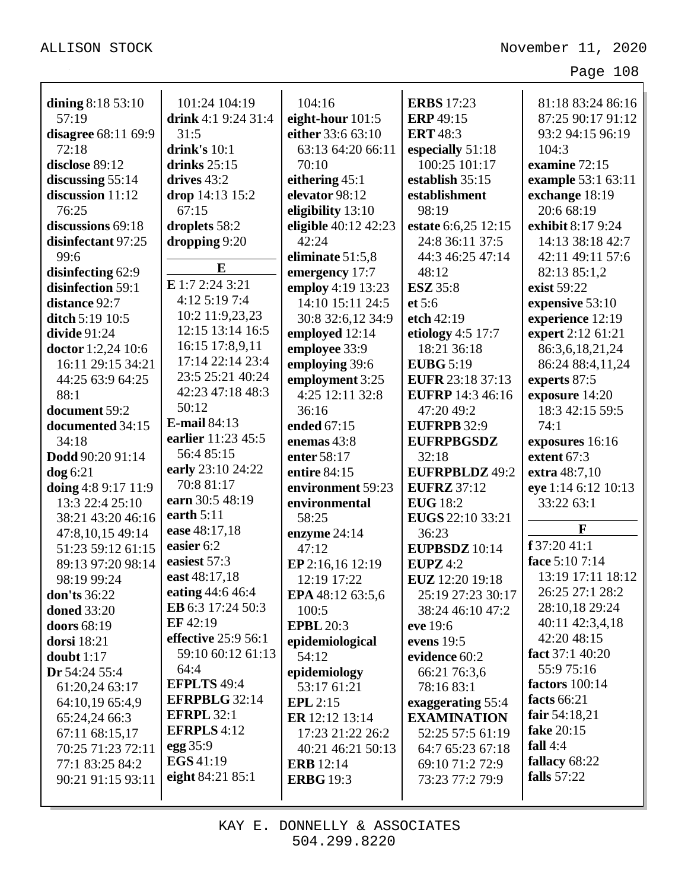| dining $8:1853:10$  | 101:24 104:19        | 104:16               | <b>ERBS</b> 17:23       | 81:18 83:24 86:16     |
|---------------------|----------------------|----------------------|-------------------------|-----------------------|
| 57:19               | drink 4:1 9:24 31:4  | eight-hour 101:5     | <b>ERP</b> 49:15        | 87:25 90:17 91:12     |
| disagree 68:11 69:9 | 31:5                 | either 33:6 63:10    | <b>ERT</b> 48:3         | 93:2 94:15 96:19      |
| 72:18               | drink's $10:1$       | 63:13 64:20 66:11    | especially 51:18        | 104:3                 |
| disclose 89:12      | drinks $25:15$       | 70:10                | 100:25 101:17           | examine 72:15         |
| discussing $55:14$  | drives $43:2$        | eithering 45:1       | establish 35:15         | example 53:1 63:11    |
| discussion 11:12    | drop 14:13 15:2      | elevator 98:12       | establishment           | exchange 18:19        |
| 76:25               | 67:15                | eligibility 13:10    | 98:19                   | 20:6 68:19            |
| discussions 69:18   | droplets 58:2        | eligible 40:12 42:23 | estate 6:6,25 12:15     | exhibit 8:17 9:24     |
| disinfectant 97:25  | dropping 9:20        | 42:24                | 24:8 36:11 37:5         | 14:13 38:18 42:7      |
| 99:6                | E                    | eliminate 51:5,8     | 44:3 46:25 47:14        | 42:11 49:11 57:6      |
| disinfecting 62:9   | E 1:7 2:24 3:21      | emergency 17:7       | 48:12                   | 82:13 85:1,2          |
| disinfection 59:1   |                      | employ 4:19 13:23    | <b>ESZ</b> 35:8         | exist 59:22           |
| distance 92:7       | 4:12 5:19 7:4        | 14:10 15:11 24:5     | et 5:6                  | expensive 53:10       |
| ditch 5:19 10:5     | 10:2 11:9,23,23      | 30:8 32:6,12 34:9    | etch 42:19              | experience 12:19      |
| divide $91:24$      | 12:15 13:14 16:5     | employed 12:14       | etiology $4:5$ 17:7     | expert 2:12 61:21     |
| doctor 1:2,24 10:6  | 16:15 17:8,9,11      | employee 33:9        | 18:21 36:18             | 86:3,6,18,21,24       |
| 16:11 29:15 34:21   | 17:14 22:14 23:4     | employing 39:6       | <b>EUBG</b> 5:19        | 86:24 88:4,11,24      |
| 44:25 63:9 64:25    | 23:5 25:21 40:24     | employment 3:25      | <b>EUFR</b> 23:18 37:13 | experts 87:5          |
| 88:1                | 42:23 47:18 48:3     | 4:25 12:11 32:8      | <b>EUFRP</b> 14:3 46:16 | exposure 14:20        |
| document 59:2       | 50:12                | 36:16                | 47:20 49:2              | 18:3 42:15 59:5       |
| documented 34:15    | <b>E-mail 84:13</b>  | ended 67:15          | <b>EUFRPB 32:9</b>      | 74:1                  |
| 34:18               | earlier 11:23 45:5   | enemas 43:8          | <b>EUFRPBGSDZ</b>       | exposures 16:16       |
| Dodd 90:20 91:14    | 56:4 85:15           | enter 58:17          | 32:18                   | extent 67:3           |
| $\log 6:21$         | early 23:10 24:22    | entire 84:15         | <b>EUFRPBLDZ 49:2</b>   | extra 48:7,10         |
|                     |                      |                      |                         |                       |
| doing 4:8 9:17 11:9 | 70:8 81:17           | environment 59:23    | <b>EUFRZ</b> 37:12      | eye 1:14 6:12 10:13   |
| 13:3 22:4 25:10     | earn 30:5 48:19      | environmental        | <b>EUG</b> 18:2         | 33:22 63:1            |
| 38:21 43:20 46:16   | earth $5:11$         | 58:25                | EUGS 22:10 33:21        |                       |
| 47:8,10,15 49:14    | ease 48:17,18        | enzyme 24:14         | 36:23                   | F                     |
| 51:23 59:12 61:15   | easier 6:2           | 47:12                | <b>EUPBSDZ</b> 10:14    | f 37:20 41:1          |
| 89:13 97:20 98:14   | easiest 57:3         | EP 2:16,16 12:19     | EUPZ $4:2$              | face 5:10 7:14        |
| 98:19 99:24         | east 48:17,18        | 12:19 17:22          | EUZ 12:20 19:18         | 13:19 17:11 18:12     |
| <b>don'ts</b> 36:22 | eating 44:6 46:4     | EPA 48:12 63:5,6     | 25:19 27:23 30:17       | 26:25 27:1 28:2       |
| <b>doned</b> 33:20  | EB 6:3 17:24 50:3    | 100:5                | 38:24 46:10 47:2        | 28:10,18 29:24        |
| doors 68:19         | EF 42:19             | <b>EPBL</b> 20:3     | eve 19:6                | 40:11 42:3,4,18       |
| dorsi 18:21         | effective 25:9 56:1  | epidemiological      | evens $19:5$            | 42:20 48:15           |
| doubt $1:17$        | 59:10 60:12 61:13    | 54:12                | evidence 60:2           | fact 37:1 40:20       |
| Dr 54:24 55:4       | 64:4                 | epidemiology         | 66:21 76:3,6            | 55:9 75:16            |
| 61:20,24 63:17      | <b>EFPLTS 49:4</b>   | 53:17 61:21          | 78:16 83:1              | <b>factors</b> 100:14 |
| 64:10,19 65:4,9     | <b>EFRPBLG 32:14</b> | EPL $2:15$           | exaggerating 55:4       | facts 66:21           |
| 65:24,24 66:3       | <b>EFRPL 32:1</b>    | ER 12:12 13:14       | <b>EXAMINATION</b>      | fair 54:18,21         |
| 67:11 68:15,17      | <b>EFRPLS</b> 4:12   | 17:23 21:22 26:2     | 52:25 57:5 61:19        | fake 20:15            |
| 70:25 71:23 72:11   | egg 35:9             | 40:21 46:21 50:13    | 64:7 65:23 67:18        | fall $4:4$            |
| 77:1 83:25 84:2     | <b>EGS</b> 41:19     | <b>ERB</b> 12:14     | 69:10 71:2 72:9         | fallacy 68:22         |
| 90:21 91:15 93:11   | eight 84:21 85:1     | <b>ERBG</b> 19:3     | 73:23 77:2 79:9         | falls 57:22           |

KAY E. DONNELLY & ASSOCIATES 504.299.8220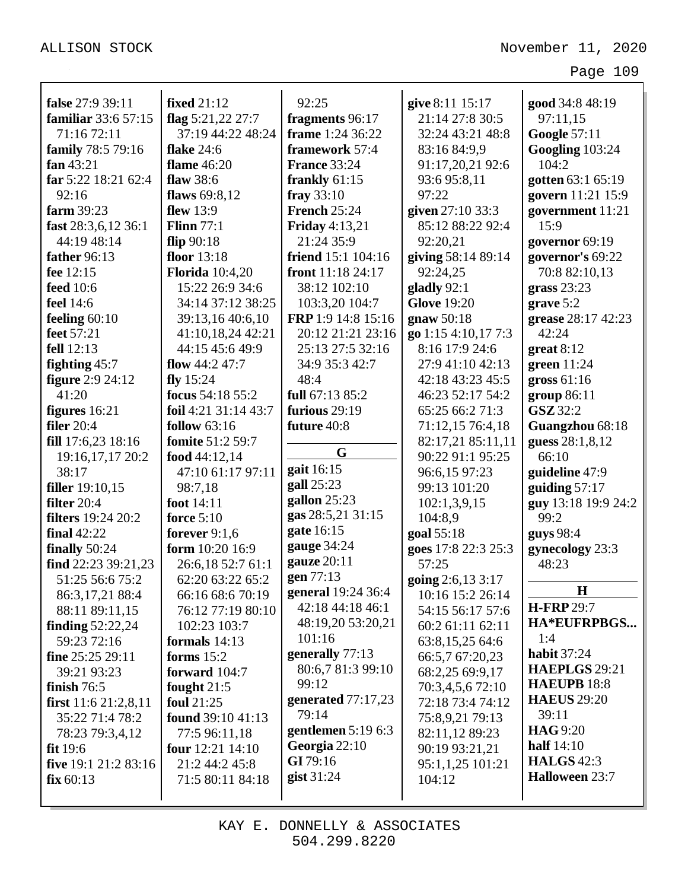| false 27:9 39:11          | <b>fixed</b> 21:12     | 92:25                     | give 8:11 15:17     | good 34:8 48:19      |
|---------------------------|------------------------|---------------------------|---------------------|----------------------|
| familiar 33:6 57:15       | flag $5:21,22$ 27:7    | fragments 96:17           | 21:14 27:8 30:5     | 97:11.15             |
| 71:16 72:11               | 37:19 44:22 48:24      | frame 1:24 36:22          | 32:24 43:21 48:8    | <b>Google 57:11</b>  |
| family 78:5 79:16         | <b>flake</b> 24:6      | framework 57:4            | 83:16 84:9,9        | Googling 103:24      |
| fan $43:21$               | <b>flame</b> 46:20     | <b>France 33:24</b>       | 91:17,20,21 92:6    | 104:2                |
| far 5:22 18:21 62:4       | flaw 38:6              | frankly 61:15             | 93:6 95:8,11        | gotten 63:1 65:19    |
| 92:16                     | flaws $69:8,12$        | fray $33:10$              | 97:22               | govern 11:21 15:9    |
| farm 39:23                | flew $13:9$            | <b>French 25:24</b>       | given 27:10 33:3    | government 11:21     |
| fast 28:3,6,12 36:1       | Flinn $77:1$           | <b>Friday</b> 4:13,21     | 85:12 88:22 92:4    | 15:9                 |
| 44:19 48:14               | flip $90:18$           | 21:24 35:9                | 92:20,21            | governor 69:19       |
| father 96:13              | floor $13:18$          | <b>friend</b> 15:1 104:16 | giving 58:14 89:14  | governor's 69:22     |
| fee 12:15                 | <b>Florida</b> 10:4,20 | front 11:18 24:17         | 92:24,25            | 70:8 82:10,13        |
| <b>feed</b> 10:6          | 15:22 26:9 34:6        | 38:12 102:10              | gladly 92:1         | grass $23:23$        |
| feel 14:6                 | 34:14 37:12 38:25      | 103:3,20 104:7            | <b>Glove</b> 19:20  | grave $5:2$          |
| feeling $60:10$           | 39:13,16 40:6,10       | FRP 1:9 14:8 15:16        | gnaw $50:18$        | grease 28:17 42:23   |
| feet 57:21                | 41:10,18,24 42:21      | 20:12 21:21 23:16         | go 1:15 4:10,17 7:3 | 42:24                |
| fell 12:13                | 44:15 45:6 49:9        | 25:13 27:5 32:16          | 8:16 17:9 24:6      | $gr$ eat 8:12        |
| fighting $45:7$           | flow $44:247:7$        | 34:9 35:3 42:7            | 27:9 41:10 42:13    | green $11:24$        |
| <b>figure</b> 2:9 24:12   | fly $15:24$            | 48:4                      | 42:18 43:23 45:5    | gross $61:16$        |
| 41:20                     | focus 54:18 55:2       | full 67:13 85:2           | 46:23 52:17 54:2    | group 86:11          |
| figures $16:21$           | foil 4:21 31:14 43:7   | furious 29:19             | 65:25 66:2 71:3     | <b>GSZ</b> 32:2      |
| filer $20:4$              | follow $63:16$         | future 40:8               | 71:12,15 76:4,18    | Guangzhou 68:18      |
| fill 17:6,23 18:16        | fomite 51:2 59:7       |                           | 82:17,21 85:11,11   | guess 28:1,8,12      |
| 19:16, 17, 17 20:2        | food $44:12,14$        | G                         | 90:22 91:1 95:25    | 66:10                |
| 38:17                     | 47:10 61:17 97:11      | gait 16:15                | 96:6,15 97:23       | guideline 47:9       |
| <b>filler</b> 19:10,15    | 98:7,18                | gall 25:23                | 99:13 101:20        | guiding $57:17$      |
| filter $20:4$             | foot 14:11             | gallon $25:23$            | 102:1,3,9,15        | guy 13:18 19:9 24:2  |
| <b>filters</b> 19:24 20:2 | force $5:10$           | gas 28:5,21 31:15         | 104:8,9             | 99:2                 |
| final $42:22$             | forever $9:1,6$        | gate 16:15                | goal 55:18          | guys 98:4            |
| finally $50:24$           | form 10:20 16:9        | gauge 34:24               | goes 17:8 22:3 25:3 | gynecology 23:3      |
| find $22:23$ 39:21,23     | 26:6,18 52:7 61:1      | gauze 20:11               | 57:25               | 48:23                |
| 51:25 56:6 75:2           | 62:20 63:22 65:2       | gen 77:13                 | going 2:6,13 3:17   |                      |
| 86:3,17,21 88:4           | 66:16 68:6 70:19       | <b>general</b> 19:24 36:4 | 10:16 15:2 26:14    | $\mathbf H$          |
| 88:11 89:11,15            | 76:12 77:19 80:10      | 42:18 44:18 46:1          | 54:15 56:17 57:6    | <b>H-FRP</b> 29:7    |
| finding $52:22,24$        | 102:23 103:7           | 48:19,20 53:20,21         | 60:2 61:11 62:11    | HA*EUFRPBGS          |
| 59:23 72:16               | formals $14:13$        | 101:16                    | 63:8,15,25 64:6     | 1:4                  |
| fine 25:25 29:11          | forms $15:2$           | generally 77:13           | 66:5,7 67:20,23     | <b>habit 37:24</b>   |
| 39:21 93:23               | forward 104:7          | 80:6,7 81:3 99:10         | 68:2,25 69:9,17     | <b>HAEPLGS</b> 29:21 |
| finish $76:5$             | fought $21:5$          | 99:12                     | 70:3,4,5,6 72:10    | <b>HAEUPB 18:8</b>   |
| first $11:621:2,8,11$     | foul 21:25             | generated 77:17,23        | 72:18 73:4 74:12    | <b>HAEUS</b> 29:20   |
| 35:22 71:4 78:2           | found $39:1041:13$     | 79:14                     | 75:8,9,21 79:13     | 39:11                |
| 78:23 79:3,4,12           | 77:5 96:11,18          | gentlemen $5:196:3$       | 82:11,12 89:23      | <b>HAG</b> 9:20      |
| fit 19:6                  | four 12:21 14:10       | Georgia 22:10             | 90:19 93:21,21      | half $14:10$         |
| five $19:1 21:2 83:16$    | 21:2 44:2 45:8         | GI 79:16                  | 95:1,1,25 101:21    | <b>HALGS</b> 42:3    |
| fix 60:13                 | 71:5 80:11 84:18       | gist 31:24                | 104:12              | Halloween 23:7       |
|                           |                        |                           |                     |                      |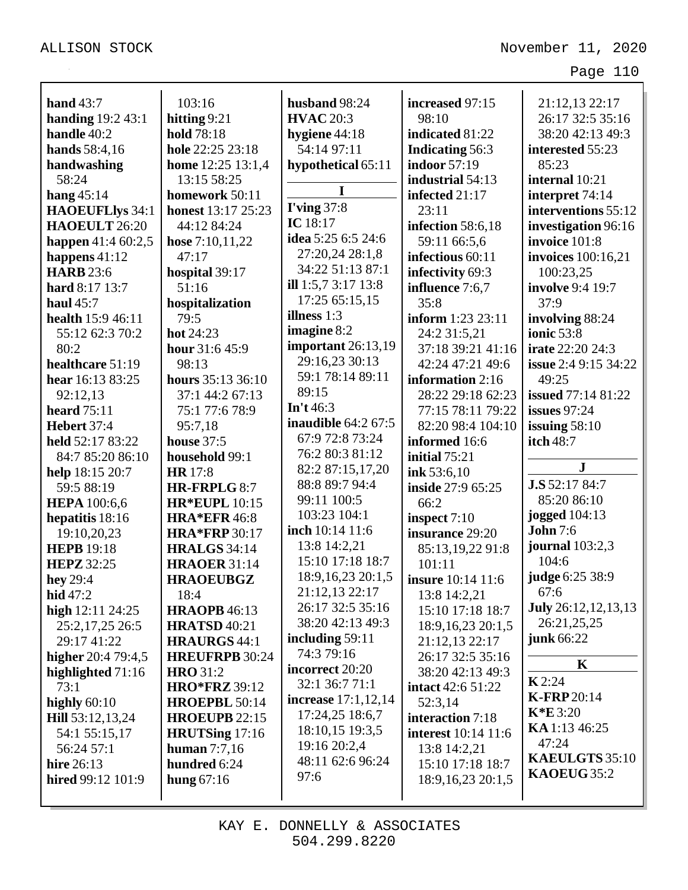| hand $43:7$                              | 103:16                                 | husband 98:24                          | increased 97:15             | 21:12,13 22:17              |
|------------------------------------------|----------------------------------------|----------------------------------------|-----------------------------|-----------------------------|
| handing $19:243:1$                       | hitting $9:21$                         | <b>HVAC 20:3</b>                       | 98:10                       | 26:17 32:5 35:16            |
| handle 40:2                              | hold 78:18                             | hygiene 44:18                          | indicated 81:22             | 38:20 42:13 49:3            |
| hands 58:4,16                            | hole 22:25 23:18                       | 54:14 97:11                            | <b>Indicating 56:3</b>      | interested 55:23            |
| handwashing                              | home 12:25 13:1,4                      | hypothetical 65:11                     | <b>indoor</b> 57:19         | 85:23                       |
| 58:24                                    | 13:15 58:25                            |                                        | industrial 54:13            | internal 10:21              |
| hang $45:14$                             | homework 50:11                         | I                                      | infected 21:17              | interpret 74:14             |
| <b>HAOEUFLlys 34:1</b>                   | <b>honest</b> 13:17 25:23              | <b>I'ving 37:8</b>                     | 23:11                       | interventions 55:12         |
| HAOEULT 26:20                            | 44:12 84:24                            | IC $18:17$                             | infection 58:6,18           | investigation 96:16         |
| happen $41:460:2,5$                      | <b>hose</b> $7:10,11,22$               | <b>idea</b> 5:25 6:5 24:6              | 59:11 66:5,6                | invoice 101:8               |
| happens $41:12$                          | 47:17                                  | 27:20,24 28:1,8                        | infectious 60:11            | <b>invoices</b> 100:16,21   |
| <b>HARB</b> 23:6                         | hospital 39:17                         | 34:22 51:13 87:1                       | infectivity 69:3            | 100:23,25                   |
| hard 8:17 13:7                           | 51:16                                  | ill $1:5,73:1713:8$                    | influence 7:6,7             | <b>involve</b> 9:4 19:7     |
| haul $45:7$                              | hospitalization                        | 17:25 65:15,15                         | 35:8                        | 37:9                        |
| health 15:9 46:11                        | 79:5                                   | illness 1:3                            | inform 1:23 23:11           | involving 88:24             |
| 55:12 62:3 70:2                          | hot $24:23$                            | imagine 8:2                            | 24:2 31:5,21                | ionic 53:8                  |
| 80:2                                     | hour 31:6 45:9                         | important $26:13,19$                   | 37:18 39:21 41:16           | <b>irate</b> 22:20 24:3     |
| healthcare 51:19                         | 98:13                                  | 29:16,23 30:13                         | 42:24 47:21 49:6            | <b>issue</b> 2:4 9:15 34:22 |
| hear 16:13 83:25                         | hours 35:13 36:10                      | 59:1 78:14 89:11                       | information 2:16            | 49:25                       |
| 92:12,13                                 | 37:1 44:2 67:13                        | 89:15                                  | 28:22 29:18 62:23           | <b>issued</b> 77:14 81:22   |
| <b>heard</b> 75:11                       | 75:1 77:6 78:9                         | In't $46:3$                            | 77:15 78:11 79:22           | <b>issues</b> 97:24         |
| Hebert 37:4                              | 95:7,18                                | <b>inaudible</b> 64:2 67:5             | 82:20 98:4 104:10           | issuing $58:10$             |
| held 52:17 83:22                         | <b>house</b> 37:5                      | 67:9 72:8 73:24                        | informed 16:6               | itch 48:7                   |
| 84:7 85:20 86:10                         | household 99:1                         | 76:2 80:3 81:12                        | initial $75:21$             |                             |
| help 18:15 20:7                          | <b>HR</b> 17:8                         | 82:2 87:15,17,20                       | ink 53:6,10                 | $\mathbf{J}$                |
| 59:5 88:19                               | HR-FRPLG 8:7                           | 88:8 89:7 94:4                         | inside 27:9 65:25           | J.S 52:17 84:7              |
| <b>HEPA</b> 100:6,6                      | <b>HR*EUPL 10:15</b>                   | 99:11 100:5                            | 66:2                        | 85:20 86:10                 |
| hepatitis 18:16                          | <b>HRA*EFR 46:8</b>                    | 103:23 104:1                           | inspect $7:10$              | <b>jogged</b> 104:13        |
| 19:10,20,23                              | <b>HRA*FRP</b> 30:17                   | inch 10:14 11:6                        | insurance 29:20             | <b>John</b> 7:6             |
| <b>HEPB</b> 19:18                        | <b>HRALGS</b> 34:14                    | 13:8 14:2,21                           | 85:13,19,22 91:8            | journal 103:2,3             |
| <b>HEPZ</b> 32:25                        | <b>HRAOER 31:14</b>                    | 15:10 17:18 18:7                       | 101:11                      | 104:6                       |
| hey $29:4$                               | <b>HRAOEUBGZ</b>                       | 18:9, 16, 23 20:1, 5<br>21:12,13 22:17 | insure 10:14 11:6           | judge 6:25 38:9<br>67:6     |
| hid 47:2                                 | 18:4                                   | 26:17 32:5 35:16                       | 13:8 14:2,21                | <b>July</b> 26:12,12,13,13  |
| high $12:11\,24:25$                      | <b>HRAOPB</b> 46:13                    | 38:20 42:13 49:3                       | 15:10 17:18 18:7            | 26:21,25,25                 |
| 25:2,17,25 26:5                          | <b>HRATSD 40:21</b>                    | including $59:11$                      | 18:9, 16, 23 20:1, 5        | <b>junk</b> 66:22           |
| 29:17 41:22                              | <b>HRAURGS 44:1</b>                    | 74:3 79:16                             | 21:12,13 22:17              |                             |
| higher 20:4 79:4,5                       | <b>HREUFRPB 30:24</b>                  | incorrect 20:20                        | 26:17 32:5 35:16            | $\mathbf K$                 |
| highlighted $71:16$                      | <b>HRO</b> 31:2                        | 32:1 36:7 71:1                         | 38:20 42:13 49:3            | $\mathbf{K}$ 2:24           |
| 73:1                                     | <b>HRO*FRZ</b> 39:12                   | <b>increase</b> 17:1,12,14             | intact 42:6 51:22           | <b>K-FRP20:14</b>           |
| highly 60:10                             | HROEPBL 50:14                          | 17:24,25 18:6,7                        | 52:3,14<br>interaction 7:18 | $K*E3:20$                   |
| <b>Hill</b> 53:12,13,24<br>54:1 55:15,17 | <b>HROEUPB 22:15</b><br>HRUTSing 17:16 | 18:10,15 19:3,5                        | <b>interest</b> 10:14 11:6  | KA 1:13 46:25               |
| 56:24 57:1                               | human $7:7,16$                         | 19:16 20:2,4                           | 13:8 14:2,21                | 47:24                       |
| hire 26:13                               | hundred 6:24                           | 48:11 62:6 96:24                       | 15:10 17:18 18:7            | KAEULGTS 35:10              |
| hired $99:12$ $101:9$                    | hung $67:16$                           | 97:6                                   | 18:9, 16, 23 20:1, 5        | KAOEUG 35:2                 |
|                                          |                                        |                                        |                             |                             |
|                                          |                                        |                                        |                             |                             |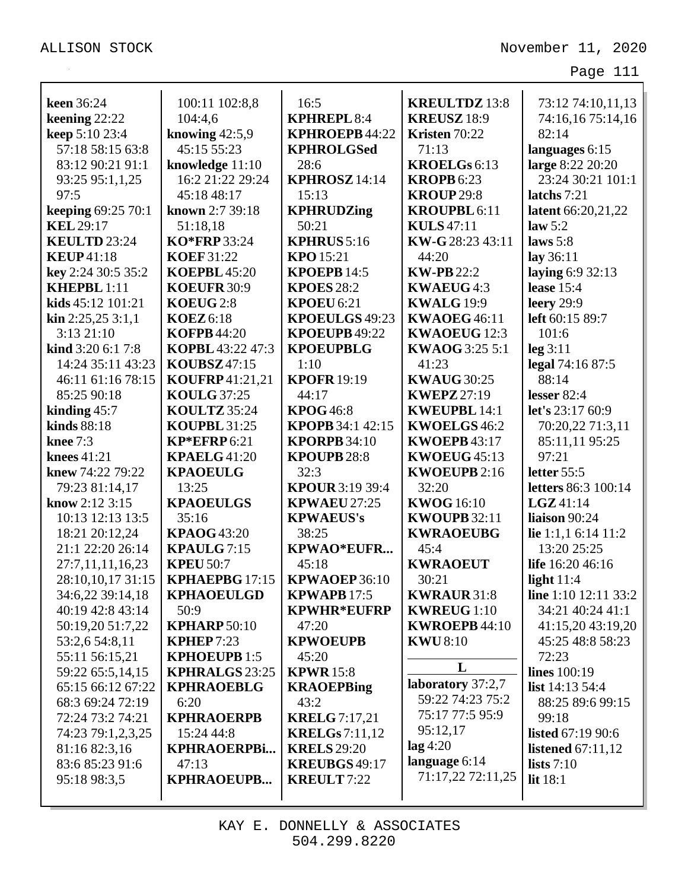| <b>keen</b> 36:24                  | 100:11 102:8,8                           | 16:5                     | <b>KREULTDZ</b> 13:8                   | 73:12 74:10,11,13                     |
|------------------------------------|------------------------------------------|--------------------------|----------------------------------------|---------------------------------------|
| keening 22:22                      | 104:4,6                                  | <b>KPHREPL 8:4</b>       | <b>KREUSZ</b> 18:9                     | 74:16,16 75:14,16                     |
| keep 5:10 23:4                     | knowing $42:5,9$                         | <b>KPHROEPB 44:22</b>    | Kristen 70:22                          | 82:14                                 |
| 57:18 58:15 63:8                   | 45:15 55:23                              | <b>KPHROLGSed</b>        | 71:13                                  | languages 6:15                        |
| 83:12 90:21 91:1                   | knowledge 11:10                          | 28:6                     | KROELGs 6:13                           | large 8:22 20:20                      |
| 93:25 95:1,1,25                    | 16:2 21:22 29:24                         | KPHROSZ 14:14            | <b>KROPB</b> 6:23                      | 23:24 30:21 101:1                     |
| 97:5                               | 45:18 48:17                              | 15:13                    | <b>KROUP 29:8</b>                      | latchs 7:21                           |
| keeping 69:25 70:1                 | known 2:7 39:18                          | <b>KPHRUDZing</b>        | <b>KROUPBL6:11</b>                     | latent 66:20,21,22                    |
| <b>KEL 29:17</b>                   | 51:18,18                                 | 50:21                    | <b>KULS</b> 47:11                      | law 5:2                               |
| KEULTD <sub>23:24</sub>            | KO*FRP 33:24                             | <b>KPHRUS</b> $5:16$     | KW-G 28:23 43:11                       | laws $5:8$                            |
| <b>KEUP</b> 41:18                  | <b>KOEF 31:22</b>                        | <b>KPO</b> 15:21         | 44:20                                  | lay $36:11$                           |
| key 2:24 30:5 35:2                 | <b>KOEPBL</b> 45:20                      | <b>KPOEPB</b> 14:5       | <b>KW-PB</b> 22:2                      | laying 6:9 32:13                      |
| <b>KHEPBL1:11</b>                  | KOEUFR 30:9                              | <b>KPOES</b> 28:2        | <b>KWAEUG4:3</b>                       | lease $15:4$                          |
| kids $45:12$ $101:21$              | KOEUG 2:8                                | <b>KPOEU 6:21</b>        | <b>KWALG</b> 19:9                      | leery 29:9                            |
| $\operatorname{kin} 2:25,253:1,1$  | <b>KOEZ</b> 6:18                         | KPOEULGS 49:23           | <b>KWAOEG 46:11</b>                    | left 60:15 89:7                       |
| 3:1321:10                          | <b>KOFPB</b> 44:20                       | KPOEUPB 49:22            | <b>KWAOEUG</b> 12:3                    | 101:6                                 |
| kind 3:20 6:1 7:8                  | KOPBL 43:22 47:3                         | <b>KPOEUPBLG</b>         | <b>KWAOG</b> 3:25 5:1                  | leg 3:11                              |
| 14:24 35:11 43:23                  | <b>KOUBSZ</b> 47:15                      | 1:10                     | 41:23                                  | legal 74:16 87:5                      |
| 46:11 61:16 78:15                  | <b>KOUFRP41:21,21</b>                    | <b>KPOFR</b> 19:19       | <b>KWAUG 30:25</b>                     | 88:14                                 |
| 85:25 90:18                        | <b>KOULG 37:25</b>                       | 44:17                    | <b>KWEPZ</b> 27:19                     | lesser $82:4$                         |
| kinding $45:7$                     | <b>KOULTZ</b> 35:24                      | <b>KPOG</b> 46:8         | <b>KWEUPBL 14:1</b>                    | let's 23:17 60:9                      |
| kinds 88:18                        | <b>KOUPBL 31:25</b>                      | <b>KPOPB</b> 34:1 42:15  | KWOELGS46:2                            | 70:20,22 71:3,11                      |
| knee $7:3$                         | KP*EFRP6:21                              | <b>KPORPB</b> 34:10      | <b>KWOEPB</b> 43:17                    | 85:11,11 95:25                        |
| knees 41:21                        | <b>KPAELG</b> 41:20                      | KPOUPB 28:8              | <b>KWOEUG 45:13</b>                    | 97:21                                 |
| knew 74:22 79:22                   | <b>KPAOEULG</b>                          | 32:3                     | <b>KWOEUPB</b> 2:16                    | letter 55:5                           |
| 79:23 81:14,17                     | 13:25                                    | <b>KPOUR</b> 3:19 39:4   | 32:20                                  | letters 86:3 100:14                   |
| know $2:123:15$                    | <b>KPAOEULGS</b>                         | <b>KPWAEU 27:25</b>      | <b>KWOG</b> 16:10                      | $LGZ$ 41:14                           |
| 10:13 12:13 13:5                   | 35:16                                    | <b>KPWAEUS's</b>         | <b>KWOUPB 32:11</b>                    | liaison 90:24                         |
| 18:21 20:12,24                     | <b>KPAOG</b> 43:20                       | 38:25                    | <b>KWRAOEUBG</b>                       | lie 1:1,1 6:14 11:2                   |
| 21:1 22:20 26:14                   | KPAULG 7:15                              | KPWAO*EUFR               | 45:4                                   | 13:20 25:25                           |
| 27:7,11,11,16,23                   | <b>KPEU 50:7</b>                         | 45:18                    | <b>KWRAOEUT</b>                        | life 16:20 46:16                      |
| 28:10,10,17 31:15                  | KPHAEPBG 17:15                           | KPWAOEP 36:10            | 30:21                                  | light $11:4$                          |
| 34:6,22 39:14,18                   | <b>KPHAOEULGD</b>                        | <b>KPWAPB</b> 17:5       | <b>KWRAUR 31:8</b>                     | line 1:10 12:11 33:2                  |
| 40:19 42:8 43:14                   | 50:9                                     | <b>KPWHR*EUFRP</b>       | <b>KWREUG</b> 1:10                     | 34:21 40:24 41:1                      |
| 50:19,20 51:7,22<br>53:2,6 54:8,11 | <b>KPHARP 50:10</b><br><b>KPHEP</b> 7:23 | 47:20<br><b>KPWOEUPB</b> | <b>KWROEPB 44:10</b><br><b>KWU8:10</b> | 41:15,20 43:19,20<br>45:25 48:8 58:23 |
| 55:11 56:15,21                     | <b>KPHOEUPB 1:5</b>                      | 45:20                    |                                        | 72:23                                 |
| 59:22 65:5,14,15                   | <b>KPHRALGS 23:25</b>                    | <b>KPWR</b> 15:8         | L                                      | <b>lines</b> 100:19                   |
| 65:15 66:12 67:22                  | <b>KPHRAOEBLG</b>                        | <b>KRAOEPBing</b>        | laboratory 37:2,7                      | list $14:13\,54:4$                    |
| 68:3 69:24 72:19                   | 6:20                                     | 43:2                     | 59:22 74:23 75:2                       | 88:25 89:6 99:15                      |
| 72:24 73:2 74:21                   | <b>KPHRAOERPB</b>                        | <b>KRELG</b> 7:17,21     | 75:17 77:5 95:9                        | 99:18                                 |
| 74:23 79:1,2,3,25                  | 15:24 44:8                               | <b>KRELGs</b> 7:11,12    | 95:12,17                               | <b>listed</b> 67:19 90:6              |
| 81:16 82:3,16                      | <b>KPHRAOERPBi</b>                       | <b>KRELS</b> 29:20       | $\log 4:20$                            | <b>listened</b> 67:11,12              |
| 83:6 85:23 91:6                    | 47:13                                    | <b>KREUBGS 49:17</b>     | language 6:14                          | lists $7:10$                          |
| 95:18 98:3,5                       | <b>KPHRAOEUPB</b>                        | <b>KREULT</b> 7:22       | 71:17,22 72:11,25                      | lit 18:1                              |
|                                    |                                          |                          |                                        |                                       |
|                                    |                                          |                          |                                        |                                       |

KAY E. DONNELLY & ASSOCIATES 504.299.8220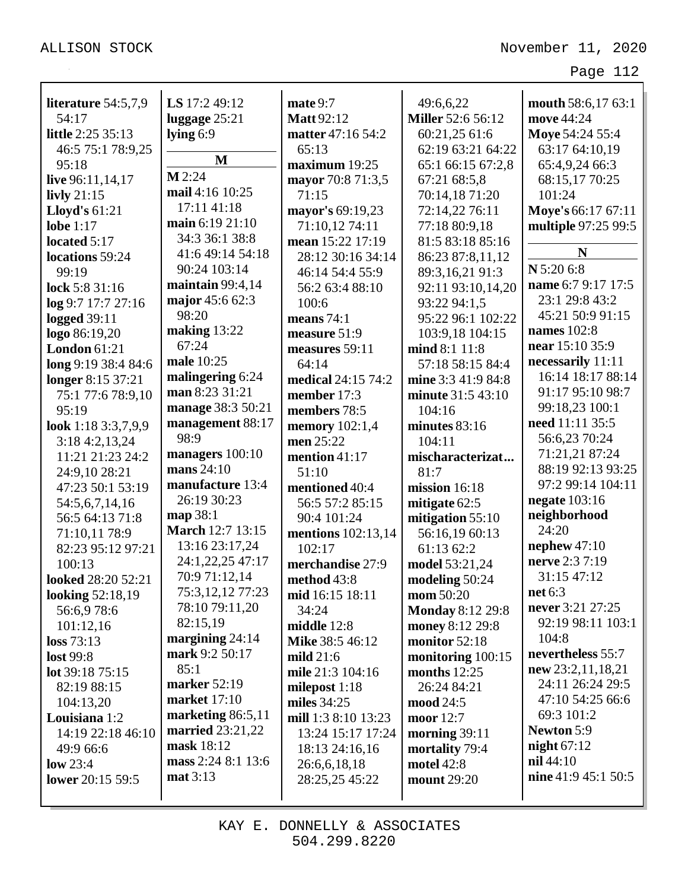| literature $54:5,7,9$ | LS 17:2 49:12           | mate 9:7            | 49:6,6,22                | mouth 58:6,17 63:1   |
|-----------------------|-------------------------|---------------------|--------------------------|----------------------|
| 54:17                 | luggage 25:21           | <b>Matt</b> 92:12   | <b>Miller</b> 52:6 56:12 | move 44:24           |
| little 2:25 35:13     | lying $6:9$             | matter 47:16 54:2   | 60:21,25 61:6            | Moye 54:24 55:4      |
| 46:5 75:1 78:9,25     | $\mathbf M$             | 65:13               | 62:19 63:21 64:22        | 63:17 64:10,19       |
| 95:18                 | $M$ 2:24                | maximum 19:25       | 65:1 66:15 67:2,8        | 65:4,9,24 66:3       |
| live 96:11,14,17      | mail 4:16 10:25         | mayor 70:8 71:3,5   | 67:21 68:5,8             | 68:15,17 70:25       |
| livly $21:15$         |                         | 71:15               | 70:14,18 71:20           | 101:24               |
| <b>Lloyd's 61:21</b>  | 17:11 41:18             | mayor's 69:19,23    | 72:14,22 76:11           | Moye's 66:17 67:11   |
| lobe $1:17$           | main 6:19 21:10         | 71:10,12 74:11      | 77:18 80:9,18            | multiple 97:25 99:5  |
| located $5:17$        | 34:3 36:1 38:8          | mean 15:22 17:19    | 81:5 83:18 85:16         | N                    |
| locations 59:24       | 41:6 49:14 54:18        | 28:12 30:16 34:14   | 86:23 87:8,11,12         |                      |
| 99:19                 | 90:24 103:14            | 46:14 54:4 55:9     | 89:3,16,21 91:3          | N 5:20 6:8           |
| lock 5:8 31:16        | maintain $99:4,14$      | 56:2 63:4 88:10     | 92:11 93:10,14,20        | name 6:7 9:17 17:5   |
| log 9:7 17:7 27:16    | major 45:6 62:3         | 100:6               | 93:22 94:1,5             | 23:1 29:8 43:2       |
| <b>logged</b> 39:11   | 98:20                   | means $74:1$        | 95:22 96:1 102:22        | 45:21 50:9 91:15     |
| logo 86:19,20         | making $13:22$          | measure 51:9        | 103:9,18 104:15          | names 102:8          |
| London $61:21$        | 67:24                   | measures 59:11      | mind 8:1 11:8            | near 15:10 35:9      |
| long 9:19 38:4 84:6   | male 10:25              | 64:14               | 57:18 58:15 84:4         | necessarily 11:11    |
| longer 8:15 37:21     | malingering 6:24        | medical 24:15 74:2  | mine 3:3 41:9 84:8       | 16:14 18:17 88:14    |
| 75:1 77:6 78:9,10     | man 8:23 31:21          | member 17:3         | minute 31:5 43:10        | 91:17 95:10 98:7     |
| 95:19                 | manage 38:3 50:21       | members 78:5        | 104:16                   | 99:18,23 100:1       |
| look 1:18 3:3,7,9,9   | management 88:17        | memory $102:1,4$    | minutes $83:16$          | need 11:11 35:5      |
| 3:184:2,13,24         | 98:9                    | men 25:22           | 104:11                   | 56:6,23 70:24        |
| 11:21 21:23 24:2      | managers 100:10         | mention $41:17$     | mischaracterizat         | 71:21,21 87:24       |
| 24:9,10 28:21         | mans 24:10              | 51:10               | 81:7                     | 88:19 92:13 93:25    |
| 47:23 50:1 53:19      | manufacture 13:4        | mentioned 40:4      | mission $16:18$          | 97:2 99:14 104:11    |
| 54:5,6,7,14,16        | 26:19 30:23             | 56:5 57:2 85:15     | mitigate $62:5$          | <b>negate</b> 103:16 |
| 56:5 64:13 71:8       | map 38:1                | 90:4 101:24         | mitigation 55:10         | neighborhood         |
| 71:10,11 78:9         | <b>March 12:7 13:15</b> | mentions 102:13,14  | 56:16,19 60:13           | 24:20                |
| 82:23 95:12 97:21     | 13:16 23:17,24          | 102:17              | 61:13 62:2               | nephew $47:10$       |
| 100:13                | 24:1,22,25 47:17        | merchandise 27:9    | model 53:21,24           | nerve 2:3 7:19       |
| looked 28:20 52:21    | 70:9 71:12,14           | method 43:8         | modeling 50:24           | 31:15 47:12          |
| looking 52:18,19      | 75:3,12,12 77:23        | mid 16:15 18:11     | mom 50:20                | net 6:3              |
| 56:6,978:6            | 78:10 79:11,20          | 34:24               | <b>Monday 8:12 29:8</b>  | never 3:21 27:25     |
| 101:12,16             | 82:15,19                | middle $12:8$       | money 8:12 29:8          | 92:19 98:11 103:1    |
| loss 73:13            | margining $24:14$       | Mike 38:5 46:12     | monitor 52:18            | 104:8                |
| lost 99:8             | mark 9:2 50:17          | mild $21:6$         | monitoring 100:15        | nevertheless 55:7    |
| lot 39:18 75:15       | 85:1                    | mile 21:3 104:16    | months $12:25$           | new 23:2,11,18,21    |
| 82:19 88:15           | marker 52:19            | milepost $1:18$     | 26:24 84:21              | 24:11 26:24 29:5     |
| 104:13,20             | market $17:10$          | miles $34:25$       | mood 24:5                | 47:10 54:25 66:6     |
| Louisiana 1:2         | marketing 86:5,11       | mill 1:3 8:10 13:23 | moor 12:7                | 69:3 101:2           |
| 14:19 22:18 46:10     | <b>married</b> 23:21,22 | 13:24 15:17 17:24   | morning $39:11$          | <b>Newton 5:9</b>    |
| 49:9 66:6             | mask 18:12              | 18:13 24:16,16      | mortality 79:4           | night $67:12$        |
| low $23:4$            | mass 2:24 8:1 13:6      |                     | motel 42:8               | nil 44:10            |
| lower 20:15 59:5      | mat 3:13                | 26:6,6,18,18        | mount 29:20              | nine 41:9 45:1 50:5  |
|                       |                         | 28:25,25 45:22      |                          |                      |
|                       |                         |                     |                          |                      |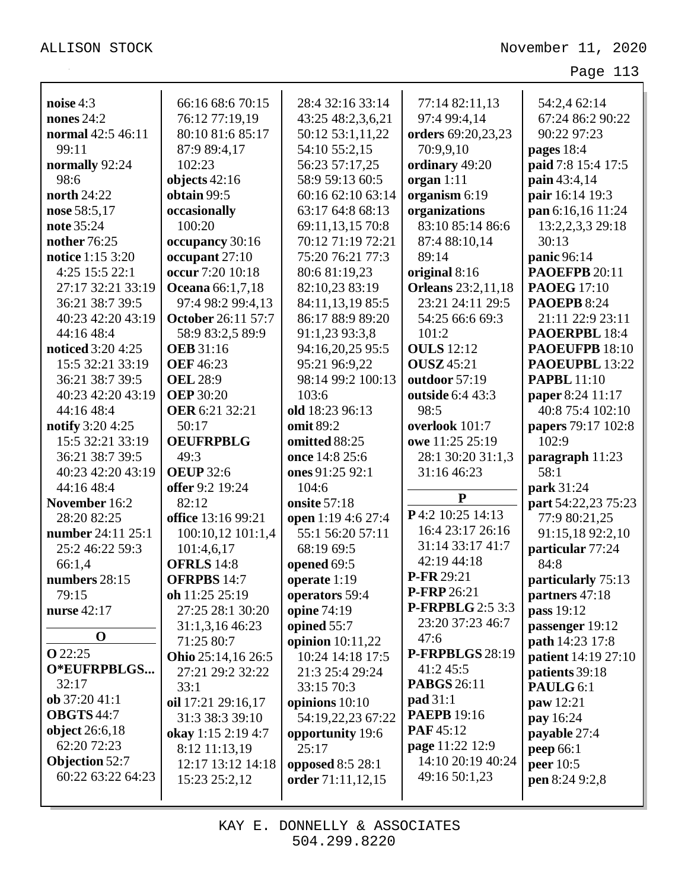| noise 4:3                | 66:16 68:6 70:15          | 28:4 32:16 33:14   | 77:14 82:11,13            | 54:2,4 62:14               |
|--------------------------|---------------------------|--------------------|---------------------------|----------------------------|
| nones $24:2$             | 76:12 77:19,19            | 43:25 48:2,3,6,21  | 97:4 99:4,14              | 67:24 86:2 90:22           |
| normal 42:5 46:11        | 80:10 81:6 85:17          | 50:12 53:1,11,22   | orders 69:20,23,23        | 90:22 97:23                |
| 99:11                    | 87:9 89:4,17              | 54:10 55:2,15      | 70:9,9,10                 | pages 18:4                 |
| normally 92:24           | 102:23                    | 56:23 57:17,25     | ordinary 49:20            | paid 7:8 15:4 17:5         |
| 98:6                     | objects $42:16$           | 58:9 59:13 60:5    | organ $1:11$              | pain 43:4,14               |
| <b>north</b> 24:22       | obtain 99:5               | 60:16 62:10 63:14  | organism 6:19             | pair 16:14 19:3            |
| nose 58:5,17             | occasionally              | 63:17 64:8 68:13   | organizations             | pan 6:16,16 11:24          |
| note 35:24               | 100:20                    | 69:11,13,15 70:8   | 83:10 85:14 86:6          | 13:2,2,3,3 29:18           |
| nother 76:25             | occupancy 30:16           | 70:12 71:19 72:21  | 87:4 88:10,14             | 30:13                      |
| notice 1:15 3:20         | occupant 27:10            | 75:20 76:21 77:3   | 89:14                     | panic 96:14                |
| 4:25 15:5 22:1           | occur 7:20 10:18          | 80:6 81:19,23      | original 8:16             | <b>PAOEFPB 20:11</b>       |
| 27:17 32:21 33:19        | <b>Oceana</b> 66:1,7,18   | 82:10,23 83:19     | <b>Orleans</b> 23:2,11,18 | <b>PAOEG</b> 17:10         |
| 36:21 38:7 39:5          | 97:4 98:2 99:4,13         | 84:11,13,19 85:5   | 23:21 24:11 29:5          | <b>PAOEPB 8:24</b>         |
| 40:23 42:20 43:19        | <b>October 26:11 57:7</b> | 86:17 88:9 89:20   | 54:25 66:6 69:3           | 21:11 22:9 23:11           |
| 44:16 48:4               | 58:9 83:2,5 89:9          | 91:1,23 93:3,8     | 101:2                     | PAOERPBL 18:4              |
| <b>noticed</b> 3:20 4:25 | <b>OEB</b> 31:16          | 94:16,20,25 95:5   | <b>OULS</b> 12:12         | PAOEUFPB 18:10             |
| 15:5 32:21 33:19         | <b>OEF 46:23</b>          | 95:21 96:9,22      | <b>OUSZ</b> 45:21         | PAOEUPBL 13:22             |
| 36:21 38:7 39:5          | <b>OEL 28:9</b>           | 98:14 99:2 100:13  | outdoor 57:19             | <b>PAPBL</b> 11:10         |
| 40:23 42:20 43:19        | <b>OEP</b> 30:20          | 103:6              | outside 6:4 43:3          | paper 8:24 11:17           |
| 44:16 48:4               | <b>OER</b> 6:21 32:21     | old 18:23 96:13    | 98:5                      | 40:8 75:4 102:10           |
| <b>notify</b> 3:20 4:25  | 50:17                     | omit 89:2          | overlook 101:7            | papers 79:17 102:8         |
| 15:5 32:21 33:19         | <b>OEUFRPBLG</b>          | omitted 88:25      | owe 11:25 25:19           | 102:9                      |
| 36:21 38:7 39:5          | 49:3                      | once 14:8 25:6     | 28:1 30:20 31:1,3         | paragraph 11:23            |
| 40:23 42:20 43:19        | <b>OEUP</b> 32:6          | ones 91:25 92:1    | 31:16 46:23               | 58:1                       |
| 44:16 48:4               | offer 9:2 19:24           | 104:6              |                           | park 31:24                 |
| November 16:2            | 82:12                     | onsite 57:18       | ${\bf P}$                 | part 54:22,23 75:23        |
| 28:20 82:25              | office 13:16 99:21        | open 1:19 4:6 27:4 | P4:2 10:25 14:13          | 77:9 80:21,25              |
| number 24:11 25:1        | 100:10,12 101:1,4         | 55:1 56:20 57:11   | 16:4 23:17 26:16          | 91:15,18 92:2,10           |
| 25:2 46:22 59:3          | 101:4,6,17                | 68:19 69:5         | 31:14 33:17 41:7          | particular 77:24           |
| 66:1,4                   | <b>OFRLS</b> 14:8         | opened 69:5        | 42:19 44:18               | 84:8                       |
| numbers 28:15            | <b>OFRPBS 14:7</b>        | operate 1:19       | P-FR 29:21                | particularly 75:13         |
| 79:15                    | oh $11:2525:19$           | operators 59:4     | P-FRP 26:21               | partners 47:18             |
| nurse 42:17              | 27:25 28:1 30:20          | opine 74:19        | P-FRPBLG 2:5 3:3          | pass 19:12                 |
|                          | 31:1,3,16 46:23           | opined 55:7        | 23:20 37:23 46:7          | passenger 19:12            |
| $\mathbf 0$              | 71:25 80:7                | opinion $10:11,22$ | 47:6                      | path 14:23 17:8            |
| <b>O</b> 22:25           | Ohio 25:14,16 26:5        | 10:24 14:18 17:5   | P-FRPBLGS 28:19           | <b>patient</b> 14:19 27:10 |
| O*EUFRPBLGS              | 27:21 29:2 32:22          | 21:3 25:4 29:24    | 41:2 45:5                 | patients 39:18             |
| 32:17                    | 33:1                      | 33:15 70:3         | <b>PABGS</b> 26:11        | PAULG 6:1                  |
| ob 37:20 41:1            | oil 17:21 29:16,17        | opinions 10:10     | <b>pad</b> 31:1           | paw 12:21                  |
| <b>OBGTS</b> 44:7        | 31:3 38:3 39:10           | 54:19,22,23 67:22  | <b>PAEPB</b> 19:16        | pay 16:24                  |
| object 26:6,18           | okay 1:15 2:19 4:7        | opportunity 19:6   | PAF45:12                  | payable 27:4               |
| 62:20 72:23              | 8:12 11:13,19             | 25:17              | page 11:22 12:9           | <b>peep</b> 66:1           |
| <b>Objection 52:7</b>    | 12:17 13:12 14:18         | opposed 8:5 28:1   | 14:10 20:19 40:24         | peer 10:5                  |
| 60:22 63:22 64:23        | 15:23 25:2,12             | order 71:11,12,15  | 49:16 50:1,23             | pen 8:24 9:2,8             |
|                          |                           |                    |                           |                            |

KAY E. DONNELLY & ASSOCIATES 504.299.8220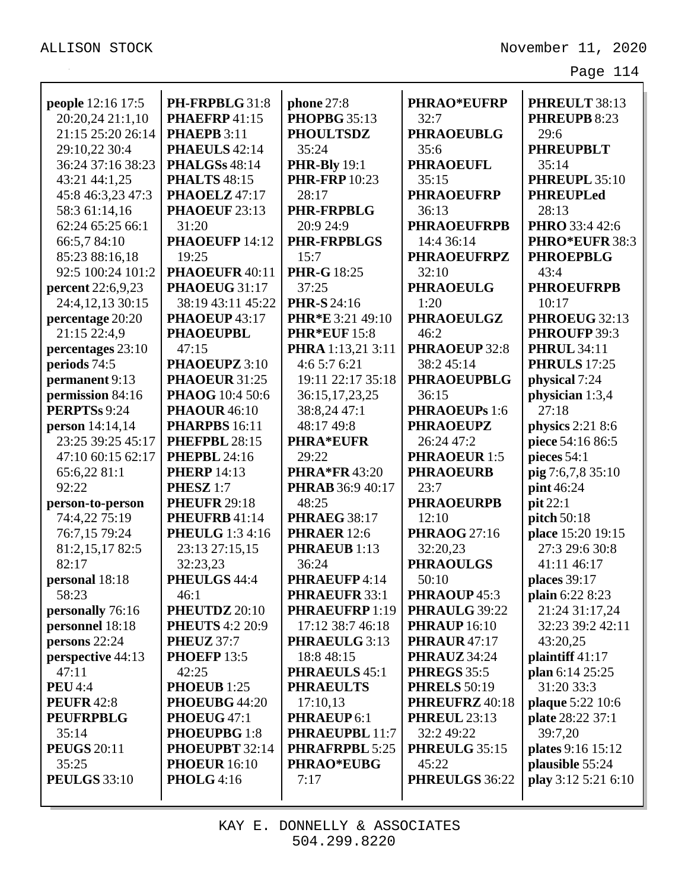| people 12:16 17:5   | PH-FRPBLG 31:8         | <b>phone</b> 27:8       | <b>PHRAO*EUFRP</b>   | PHREULT 38:13          |
|---------------------|------------------------|-------------------------|----------------------|------------------------|
| 20:20,24 21:1,10    | PHAEFRP41:15           | <b>PHOPBG 35:13</b>     | 32:7                 | PHREUPB 8:23           |
| 21:15 25:20 26:14   | <b>PHAEPB</b> 3:11     | <b>PHOULTSDZ</b>        | <b>PHRAOEUBLG</b>    | 29:6                   |
| 29:10,22 30:4       | PHAEULS 42:14          | 35:24                   | 35:6                 | <b>PHREUPBLT</b>       |
| 36:24 37:16 38:23   | <b>PHALGSs 48:14</b>   | <b>PHR-Bly</b> 19:1     | <b>PHRAOEUFL</b>     | 35:14                  |
| 43:21 44:1,25       | <b>PHALTS</b> 48:15    | <b>PHR-FRP</b> 10:23    | 35:15                | PHREUPL 35:10          |
| 45:8 46:3,23 47:3   | PHAOELZ 47:17          | 28:17                   | <b>PHRAOEUFRP</b>    | <b>PHREUPLed</b>       |
| 58:3 61:14,16       | PHAOEUF 23:13          | <b>PHR-FRPBLG</b>       | 36:13                | 28:13                  |
| 62:24 65:25 66:1    | 31:20                  | 20:9 24:9               | <b>PHRAOEUFRPB</b>   | PHRO 33:4 42:6         |
| 66:5,7 84:10        | PHAOEUFP 14:12         | <b>PHR-FRPBLGS</b>      | 14:4 36:14           | PHRO*EUFR 38:3         |
| 85:23 88:16,18      | 19:25                  | 15:7                    | <b>PHRAOEUFRPZ</b>   | <b>PHROEPBLG</b>       |
| 92:5 100:24 101:2   | PHAOEUFR 40:11         | <b>PHR-G</b> 18:25      | 32:10                | 43:4                   |
| percent 22:6,9,23   | PHAOEUG 31:17          | 37:25                   | <b>PHRAOEULG</b>     | <b>PHROEUFRPB</b>      |
| 24:4,12,13 30:15    | 38:19 43:11 45:22      | <b>PHR-S</b> 24:16      | 1:20                 | 10:17                  |
| percentage 20:20    | PHAOEUP 43:17          | PHR*E 3:21 49:10        | <b>PHRAOEULGZ</b>    | PHROEUG 32:13          |
| 21:15 22:4,9        | <b>PHAOEUPBL</b>       | <b>PHR*EUF 15:8</b>     | 46:2                 | PHROUFP 39:3           |
| percentages 23:10   | 47:15                  | PHRA 1:13,21 3:11       | <b>PHRAOEUP 32:8</b> | <b>PHRUL 34:11</b>     |
| periods 74:5        | PHAOEUPZ 3:10          | 4:65:76:21              | 38:245:14            | <b>PHRULS</b> 17:25    |
| permanent 9:13      | PHAOEUR 31:25          | 19:11 22:17 35:18       | <b>PHRAOEUPBLG</b>   | physical 7:24          |
| permission 84:16    | <b>PHAOG</b> 10:4 50:6 | 36:15,17,23,25          | 36:15                | physician 1:3,4        |
| PERPTSs 9:24        | <b>PHAOUR</b> 46:10    | 38:8,24 47:1            | PHRAOEUPs 1:6        | 27:18                  |
| person 14:14,14     | PHARPBS 16:11          | 48:17 49:8              | <b>PHRAOEUPZ</b>     | physics 2:21 8:6       |
| 23:25 39:25 45:17   | PHEFPBL 28:15          | <b>PHRA*EUFR</b>        | 26:24 47:2           | piece 54:16 86:5       |
| 47:10 60:15 62:17   | <b>PHEPBL 24:16</b>    | 29:22                   | <b>PHRAOEUR 1:5</b>  | pieces $54:1$          |
| 65:6,22 81:1        | <b>PHERP</b> 14:13     | <b>PHRA*FR43:20</b>     | <b>PHRAOEURB</b>     | pig 7:6,7,8 35:10      |
| 92:22               | PHESZ <sub>1:7</sub>   | <b>PHRAB</b> 36:9 40:17 | 23:7                 | pint 46:24             |
| person-to-person    | <b>PHEUFR 29:18</b>    | 48:25                   | <b>PHRAOEURPB</b>    | pit 22:1               |
| 74:4,22 75:19       | PHEUFRB 41:14          | <b>PHRAEG 38:17</b>     | 12:10                | pitch 50:18            |
| 76:7,15 79:24       | <b>PHEULG</b> 1:3 4:16 | <b>PHRAER</b> 12:6      | <b>PHRAOG</b> 27:16  | place 15:20 19:15      |
| 81:2,15,17 82:5     | 23:13 27:15,15         | <b>PHRAEUB</b> 1:13     | 32:20,23             | 27:3 29:6 30:8         |
| 82:17               | 32:23,23               | 36:24                   | <b>PHRAOULGS</b>     | 41:11 46:17            |
| personal 18:18      | PHEULGS 44:4           | PHRAEUFP 4:14           | 50:10                | places 39:17           |
| 58:23               | 46:1                   | PHRAEUFR 33:1           | PHRAOUP 45:3         | <b>plain</b> 6:22 8:23 |
| personally 76:16    | PHEUTDZ 20:10          | PHRAEUFRP 1:19          | PHRAULG 39:22        | 21:24 31:17,24         |
| personnel 18:18     | <b>PHEUTS</b> 4:2 20:9 | 17:12 38:7 46:18        | <b>PHRAUP</b> 16:10  | 32:23 39:2 42:11       |
| persons 22:24       | <b>PHEUZ</b> 37:7      | PHRAEULG 3:13           | <b>PHRAUR</b> 47:17  | 43:20,25               |
| perspective 44:13   | <b>PHOEFP 13:5</b>     | 18:8 48:15              | <b>PHRAUZ</b> 34:24  | plaintiff $41:17$      |
| 47:11               | 42:25                  | <b>PHRAEULS 45:1</b>    | <b>PHREGS</b> 35:5   | plan 6:14 25:25        |
| <b>PEU</b> 4:4      | PHOEUB 1:25            | <b>PHRAEULTS</b>        | <b>PHRELS</b> 50:19  | 31:20 33:3             |
| <b>PEUFR</b> 42:8   | PHOEUBG 44:20          | 17:10,13                | PHREUFRZ 40:18       | plaque 5:22 10:6       |
| <b>PEUFRPBLG</b>    | PHOEUG 47:1            | PHRAEUP 6:1             | <b>PHREUL 23:13</b>  | plate 28:22 37:1       |
| 35:14               | PHOEUPBG 1:8           | PHRAEUPBL 11:7          | 32:2 49:22           | 39:7,20                |
| <b>PEUGS 20:11</b>  | PHOEUPBT 32:14         | PHRAFRPBL 5:25          | PHREULG 35:15        | plates 9:16 15:12      |
| 35:25               | <b>PHOEUR</b> 16:10    | <b>PHRAO*EUBG</b>       | 45:22                | plausible 55:24        |
| <b>PEULGS</b> 33:10 | <b>PHOLG</b> 4:16      | 7:17                    | PHREULGS 36:22       | play 3:12 5:21 6:10    |
|                     |                        |                         |                      |                        |
|                     |                        |                         |                      |                        |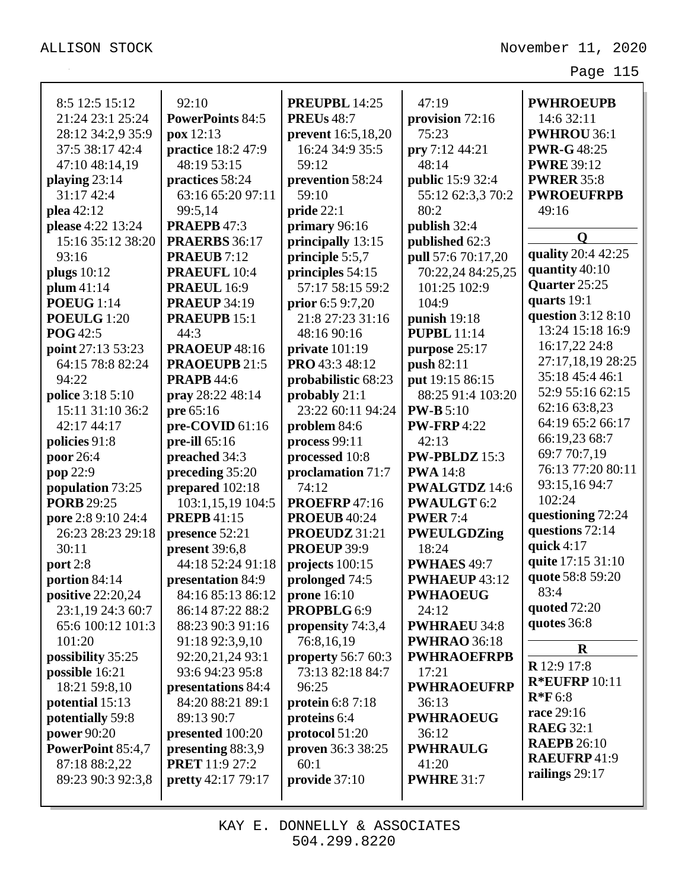| 8:5 12:5 15:12           | 92:10                                  | PREUPBL 14:25              | 47:19                    | <b>PWHROEUPB</b>                     |
|--------------------------|----------------------------------------|----------------------------|--------------------------|--------------------------------------|
| 21:24 23:1 25:24         | <b>PowerPoints 84:5</b>                | <b>PREUs</b> 48:7          |                          | 14:6 32:11                           |
| 28:12 34:2,9 35:9        | $\mathbf{p}\mathbf{o}\mathbf{x}$ 12:13 | prevent 16:5,18,20         | provision 72:16<br>75:23 | <b>PWHROU 36:1</b>                   |
| 37:5 38:17 42:4          | practice 18:2 47:9                     | 16:24 34:9 35:5            |                          | <b>PWR-G48:25</b>                    |
|                          |                                        |                            | pry 7:12 44:21<br>48:14  |                                      |
| 47:10 48:14,19           | 48:19 53:15                            | 59:12                      |                          | <b>PWRE 39:12</b>                    |
| playing $23:14$          | practices 58:24                        | prevention 58:24           | <b>public</b> 15:9 32:4  | <b>PWRER 35:8</b>                    |
| 31:17 42:4               | 63:16 65:20 97:11                      | 59:10                      | 55:12 62:3,3 70:2        | <b>PWROEUFRPB</b>                    |
| plea 42:12               | 99:5,14                                | pride 22:1                 | 80:2                     | 49:16                                |
| please 4:22 13:24        | <b>PRAEPB 47:3</b>                     | primary 96:16              | publish 32:4             | O                                    |
| 15:16 35:12 38:20        | <b>PRAERBS</b> 36:17                   | principally 13:15          | published 62:3           | quality 20:4 42:25                   |
| 93:16                    | <b>PRAEUB</b> 7:12                     | principle 5:5,7            | pull 57:6 70:17,20       | quantity 40:10                       |
| plugs $10:12$            | <b>PRAEUFL 10:4</b>                    | principles 54:15           | 70:22,24 84:25,25        | Quarter 25:25                        |
| plum 41:14               | <b>PRAEUL</b> 16:9                     | 57:17 58:15 59:2           | 101:25 102:9             | quarts 19:1                          |
| <b>POEUG</b> 1:14        | <b>PRAEUP 34:19</b>                    | prior $6:59:7,20$          | 104:9                    | question 3:12 8:10                   |
| POEULG 1:20              | <b>PRAEUPB 15:1</b>                    | 21:8 27:23 31:16           | punish 19:18             | 13:24 15:18 16:9                     |
| <b>POG</b> 42:5          | 44:3                                   | 48:16 90:16                | <b>PUPBL</b> 11:14       |                                      |
| point 27:13 53:23        | <b>PRAOEUP 48:16</b>                   | private $101:19$           | purpose 25:17            | 16:17,22 24:8                        |
| 64:15 78:8 82:24         | <b>PRAOEUPB 21:5</b>                   | PRO 43:3 48:12             | push 82:11               | 27:17,18,19 28:25<br>35:18 45:4 46:1 |
| 94:22                    | <b>PRAPB</b> 44:6                      | probabilistic 68:23        | put 19:15 86:15          |                                      |
| police 3:18 5:10         | pray 28:22 48:14                       | probably 21:1              | 88:25 91:4 103:20        | 52:9 55:16 62:15                     |
| 15:11 31:10 36:2         | pre 65:16                              | 23:22 60:11 94:24          | <b>PW-B</b> 5:10         | 62:16 63:8,23                        |
| 42:17 44:17              | pre-COVID 61:16                        | problem 84:6               | <b>PW-FRP</b> 4:22       | 64:19 65:2 66:17                     |
| policies 91:8            | pre-ill $65:16$                        | process 99:11              | 42:13                    | 66:19,23 68:7                        |
| poor 26:4                | preached 34:3                          | $\bold{processed}\ 10{:}8$ | PW-PBLDZ 15:3            | 69:7 70:7,19                         |
| pop 22:9                 | preceding 35:20                        | proclamation 71:7          | <b>PWA</b> 14:8          | 76:13 77:20 80:11                    |
| population 73:25         | prepared 102:18                        | 74:12                      | <b>PWALGTDZ</b> 14:6     | 93:15,16 94:7                        |
| <b>PORB</b> 29:25        | 103:1,15,19 104:5                      | <b>PROEFRP</b> 47:16       | <b>PWAULGT</b> 6:2       | 102:24                               |
| pore 2:8 9:10 24:4       | <b>PREPB</b> 41:15                     | <b>PROEUB 40:24</b>        | <b>PWER 7:4</b>          | questioning 72:24                    |
| 26:23 28:23 29:18        | presence 52:21                         | PROEUDZ 31:21              | <b>PWEULGDZing</b>       | questions 72:14                      |
| 30:11                    | present 39:6,8                         | PROEUP 39:9                | 18:24                    | quick $4:17$                         |
| port 2:8                 | 44:18 52:24 91:18                      | projects 100:15            | PWHAES 49:7              | quite 17:15 31:10                    |
| portion 84:14            | presentation 84:9                      | prolonged 74:5             | <b>PWHAEUP</b> 43:12     | quote 58:8 59:20                     |
| <b>positive</b> 22:20,24 | 84:16 85:13 86:12                      | prone $16:10$              | <b>PWHAOEUG</b>          | 83:4                                 |
| 23:1,19 24:3 60:7        | 86:14 87:22 88:2                       | PROPBLG 6:9                | 24:12                    | quoted $72:20$                       |
| 65:6 100:12 101:3        | 88:23 90:3 91:16                       | propensity 74:3,4          | <b>PWHRAEU 34:8</b>      | quotes 36:8                          |
| 101:20                   | 91:18 92:3,9,10                        | 76:8,16,19                 | <b>PWHRAO</b> 36:18      | $\mathbf R$                          |
| possibility 35:25        | 92:20,21,24 93:1                       | <b>property</b> 56:7 60:3  | <b>PWHRAOEFRPB</b>       | R 12:9 17:8                          |
| possible 16:21           | 93:6 94:23 95:8                        | 73:13 82:18 84:7           | 17:21                    | <b>R*EUFRP</b> 10:11                 |
| 18:21 59:8,10            | presentations 84:4                     | 96:25                      | <b>PWHRAOEUFRP</b>       |                                      |
| potential 15:13          | 84:20 88:21 89:1                       | protein $6:87:18$          | 36:13                    | $R*F6:8$                             |
| potentially 59:8         | 89:13 90:7                             | proteins 6:4               | <b>PWHRAOEUG</b>         | race 29:16                           |
| power 90:20              | presented 100:20                       | protocol 51:20             | 36:12                    | <b>RAEG 32:1</b>                     |
| PowerPoint 85:4,7        | presenting 88:3,9                      | proven 36:3 38:25          | <b>PWHRAULG</b>          | <b>RAEPB</b> 26:10                   |
| 87:18 88:2,22            | <b>PRET</b> 11:9 27:2                  | 60:1                       | 41:20                    | <b>RAEUFRP41:9</b>                   |
| 89:23 90:3 92:3,8        | <b>pretty</b> 42:17 79:17              | provide $37:10$            | <b>PWHRE 31:7</b>        | railings 29:17                       |
|                          |                                        |                            |                          |                                      |

KAY E. DONNELLY & ASSOCIATES 504.299.8220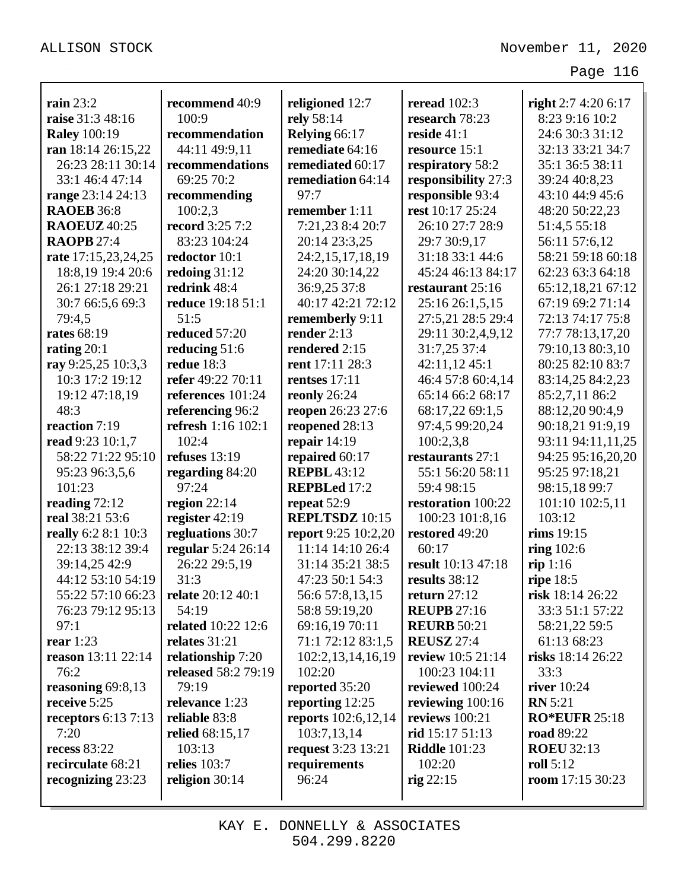| rain $23:2$                             | recommend 40:9            |                                  | reread $102:3$       |                                       |
|-----------------------------------------|---------------------------|----------------------------------|----------------------|---------------------------------------|
|                                         | 100:9                     | religioned 12:7                  | research 78:23       | right $2:74:206:17$<br>8:23 9:16 10:2 |
| raise 31:3 48:16                        | recommendation            | rely 58:14                       | reside $41:1$        | 24:6 30:3 31:12                       |
| <b>Raley 100:19</b>                     | 44:11 49:9,11             | Relying 66:17<br>remediate 64:16 |                      | 32:13 33:21 34:7                      |
| ran 18:14 26:15,22<br>26:23 28:11 30:14 |                           | remediated 60:17                 | resource 15:1        |                                       |
|                                         | recommendations           |                                  | respiratory 58:2     | 35:1 36:5 38:11                       |
| 33:1 46:4 47:14                         | 69:25 70:2                | remediation 64:14                | responsibility 27:3  | 39:24 40:8,23                         |
| range 23:14 24:13                       | recommending              | 97:7                             | responsible 93:4     | 43:10 44:9 45:6                       |
| <b>RAOEB</b> 36:8                       | 100:2,3                   | remember 1:11                    | rest 10:17 25:24     | 48:20 50:22,23                        |
| <b>RAOEUZ</b> 40:25                     | <b>record</b> 3:25 7:2    | 7:21,23 8:4 20:7                 | 26:10 27:7 28:9      | 51:4,5 55:18                          |
| <b>RAOPB</b> 27:4                       | 83:23 104:24              | 20:14 23:3,25                    | 29:7 30:9,17         | 56:11 57:6,12                         |
| rate 17:15,23,24,25                     | redoctor 10:1             | 24:2,15,17,18,19                 | 31:18 33:1 44:6      | 58:21 59:18 60:18                     |
| 18:8,19 19:4 20:6                       | redoing $31:12$           | 24:20 30:14,22                   | 45:24 46:13 84:17    | 62:23 63:3 64:18                      |
| 26:1 27:18 29:21                        | redrink 48:4              | 36:9,25 37:8                     | restaurant 25:16     | 65:12,18,21 67:12                     |
| 30:7 66:5,6 69:3                        | reduce 19:18 51:1         | 40:17 42:21 72:12                | 25:16 26:1,5,15      | 67:19 69:2 71:14                      |
| 79:4,5                                  | 51:5                      | rememberly 9:11                  | 27:5,21 28:5 29:4    | 72:13 74:17 75:8                      |
| <b>rates</b> 68:19                      | reduced 57:20             | render $2:13$                    | 29:11 30:2,4,9,12    | 77:7 78:13,17,20                      |
| rating $20:1$                           | reducing 51:6             | rendered 2:15                    | 31:7,25 37:4         | 79:10,13 80:3,10                      |
| ray 9:25,25 10:3,3                      | redue $18:3$              | rent 17:11 28:3                  | 42:11,12 45:1        | 80:25 82:10 83:7                      |
| 10:3 17:2 19:12                         | refer 49:22 70:11         | rentses $17:11$                  | 46:4 57:8 60:4,14    | 83:14,25 84:2,23                      |
| 19:12 47:18,19                          | references 101:24         | reonly 26:24                     | 65:14 66:2 68:17     | 85:2,7,11 86:2                        |
| 48:3                                    | referencing 96:2          | reopen 26:23 27:6                | 68:17,22 69:1,5      | 88:12,20 90:4,9                       |
| reaction 7:19                           | refresh 1:16 102:1        | reopened 28:13                   | 97:4,5 99:20,24      | 90:18,21 91:9,19                      |
| read 9:23 10:1,7                        | 102:4                     | repair $14:19$                   | 100:2,3,8            | 93:11 94:11,11,25                     |
| 58:22 71:22 95:10                       | refuses $13:19$           | repaired 60:17                   | restaurants 27:1     | 94:25 95:16,20,20                     |
| 95:23 96:3,5,6                          | regarding 84:20           | <b>REPBL</b> 43:12               | 55:1 56:20 58:11     | 95:25 97:18,21                        |
| 101:23                                  | 97:24                     | <b>REPBLed 17:2</b>              | 59:4 98:15           | 98:15,18 99:7                         |
| reading $72:12$                         | region $22:14$            | repeat 52:9                      | restoration 100:22   | 101:10 102:5,11                       |
| real 38:21 53:6                         | register $42:19$          | <b>REPLTSDZ</b> 10:15            | 100:23 101:8,16      | 103:12                                |
| really 6:2 8:1 10:3                     | regluations 30:7          | report 9:25 10:2,20              | restored 49:20       | rims 19:15                            |
| 22:13 38:12 39:4                        | regular 5:24 26:14        | 11:14 14:10 26:4                 | 60:17                | ring $102:6$                          |
| 39:14,25 42:9                           | 26:22 29:5,19             | 31:14 35:21 38:5                 | result 10:13 47:18   | rip 1:16                              |
| 44:12 53:10 54:19                       | 31:3                      | 47:23 50:1 54:3                  | results 38:12        | ripe $18:5$                           |
| 55:22 57:10 66:23                       | relate 20:12 40:1         | 56:6 57:8,13,15                  | return $27:12$       | risk 18:14 26:22                      |
| 76:23 79:12 95:13                       | 54:19                     | 58:8 59:19,20                    | <b>REUPB</b> 27:16   | 33:3 51:1 57:22                       |
| 97:1                                    | <b>related</b> 10:22 12:6 | 69:16,19 70:11                   | <b>REURB</b> 50:21   | 58:21,22 59:5                         |
| rear $1:23$                             | relates 31:21             | 71:1 72:12 83:1,5                | <b>REUSZ 27:4</b>    | 61:13 68:23                           |
| reason 13:11 22:14                      | relationship 7:20         | 102:2,13,14,16,19                | review 10:5 21:14    | risks 18:14 26:22                     |
| 76:2                                    | released 58:2 79:19       | 102:20                           | 100:23 104:11        | 33:3                                  |
| reasoning $69:8,13$                     | 79:19                     | reported 35:20                   | reviewed 100:24      | river $10:24$                         |
| receive 5:25                            | relevance 1:23            | reporting 12:25                  | reviewing $100:16$   | <b>RN</b> 5:21                        |
| receptors $6:137:13$                    | reliable 83:8             | <b>reports</b> 102:6,12,14       | reviews 100:21       | <b>RO*EUFR</b> 25:18                  |
| 7:20                                    | relied 68:15,17           | 103:7,13,14                      | rid 15:17 51:13      | <b>road</b> 89:22                     |
| <b>recess 83:22</b>                     | 103:13                    | <b>request</b> 3:23 13:21        | <b>Riddle</b> 101:23 | <b>ROEU 32:13</b>                     |
| recirculate 68:21                       | relies $103:7$            | requirements                     | 102:20               | roll $5:12$                           |
| recognizing 23:23                       | religion 30:14            | 96:24                            | rig $22:15$          | room $17:15\,30:23$                   |
|                                         |                           |                                  |                      |                                       |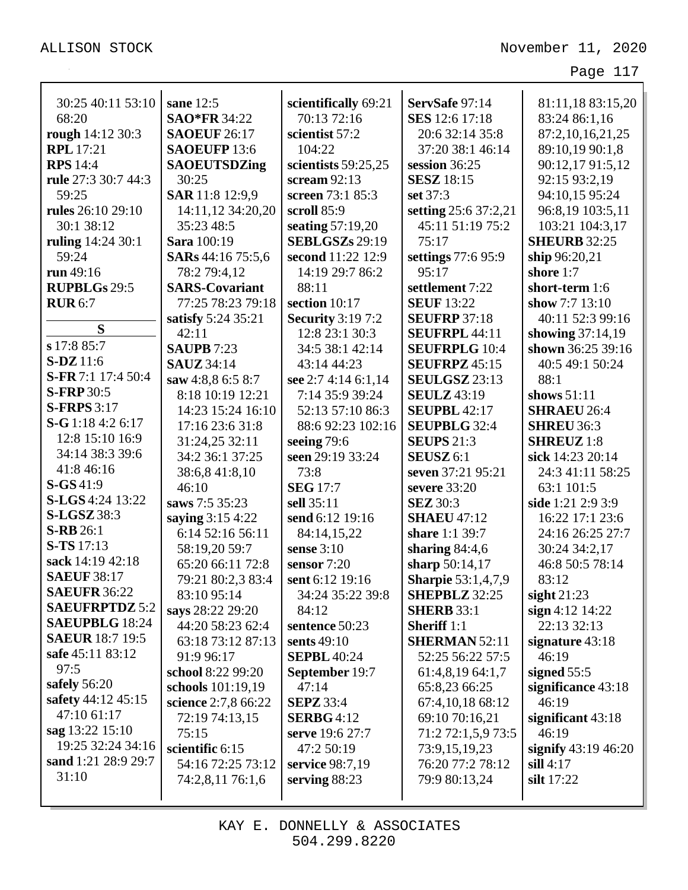| 30:25 40:11 53:10        |                                  |                                     |                                   |                                   |
|--------------------------|----------------------------------|-------------------------------------|-----------------------------------|-----------------------------------|
| 68:20                    | sane 12:5<br><b>SAO*FR 34:22</b> | scientifically 69:21<br>70:13 72:16 | ServSafe 97:14                    | 81:11,18 83:15,20                 |
| rough 14:12 30:3         | <b>SAOEUF 26:17</b>              | scientist 57:2                      | SES 12:6 17:18<br>20:6 32:14 35:8 | 83:24 86:1,16<br>87:2,10,16,21,25 |
| <b>RPL</b> 17:21         | <b>SAOEUFP 13:6</b>              | 104:22                              | 37:20 38:1 46:14                  | 89:10,19 90:1,8                   |
| <b>RPS</b> 14:4          | <b>SAOEUTSDZing</b>              |                                     | session 36:25                     |                                   |
|                          | 30:25                            | scientists 59:25,25                 |                                   | 90:12,17 91:5,12                  |
| rule 27:3 30:7 44:3      |                                  | scream $92:13$                      | <b>SESZ</b> 18:15                 | 92:15 93:2,19                     |
| 59:25                    | SAR 11:8 12:9,9                  | screen 73:1 85:3                    | set 37:3                          | 94:10,15 95:24                    |
| <b>rules</b> 26:10 29:10 | 14:11,12 34:20,20                | scroll 85:9                         | setting 25:6 37:2,21              | 96:8,19 103:5,11                  |
| 30:1 38:12               | 35:23 48:5                       | seating $57:19,20$                  | 45:11 51:19 75:2                  | 103:21 104:3,17                   |
| ruling 14:24 30:1        | <b>Sara</b> 100:19               | <b>SEBLGSZs 29:19</b>               | 75:17                             | <b>SHEURB 32:25</b>               |
| 59:24                    | SARs 44:16 75:5,6                | second 11:22 12:9                   | settings 77:6 95:9                | ship 96:20,21                     |
| run 49:16                | 78:2 79:4,12                     | 14:19 29:7 86:2                     | 95:17                             | shore 1:7                         |
| <b>RUPBLGs 29:5</b>      | <b>SARS-Covariant</b>            | 88:11                               | settlement 7:22                   | short-term 1:6                    |
| <b>RUR 6:7</b>           | 77:25 78:23 79:18                | section 10:17                       | <b>SEUF 13:22</b>                 | show $7:713:10$                   |
| S                        | satisfy 5:24 35:21               | <b>Security</b> 3:19 7:2            | <b>SEUFRP 37:18</b>               | 40:11 52:3 99:16                  |
| s 17:8 85:7              | 42:11                            | 12:8 23:1 30:3                      | <b>SEUFRPL 44:11</b>              | showing $37:14,19$                |
|                          | <b>SAUPB</b> 7:23                | 34:5 38:1 42:14                     | <b>SEUFRPLG 10:4</b>              | shown 36:25 39:16                 |
| <b>S-DZ</b> 11:6         | <b>SAUZ</b> 34:14                | 43:14 44:23                         | <b>SEUFRPZ</b> 45:15              | 40:5 49:1 50:24                   |
| S-FR 7:1 17:4 50:4       | saw 4:8.8 6:5 8:7                | see 2:7 4:14 6:1,14                 | <b>SEULGSZ</b> 23:13              | 88:1                              |
| <b>S-FRP</b> 30:5        | 8:18 10:19 12:21                 | 7:14 35:9 39:24                     | <b>SEULZ</b> 43:19                | shows $51:11$                     |
| <b>S-FRPS</b> 3:17       | 14:23 15:24 16:10                | 52:13 57:10 86:3                    | <b>SEUPBL 42:17</b>               | <b>SHRAEU 26:4</b>                |
| $S-G 1:18 4:2 6:17$      | 17:16 23:6 31:8                  | 88:6 92:23 102:16                   | <b>SEUPBLG 32:4</b>               | <b>SHREU 36:3</b>                 |
| 12:8 15:10 16:9          | 31:24,25 32:11                   | seeing $79:6$                       | <b>SEUPS</b> 21:3                 | <b>SHREUZ</b> 1:8                 |
| 34:14 38:3 39:6          | 34:2 36:1 37:25                  | seen 29:19 33:24                    | SEUSZ <sub>6:1</sub>              | sick 14:23 20:14                  |
| 41:8 46:16               | 38:6,841:8,10                    | 73:8                                | seven 37:21 95:21                 | 24:3 41:11 58:25                  |
| $S-GS41:9$               | 46:10                            | <b>SEG</b> 17:7                     | severe 33:20                      | 63:1 101:5                        |
| <b>S-LGS</b> 4:24 13:22  | saws 7:5 35:23                   | sell 35:11                          | <b>SEZ</b> 30:3                   | side 1:21 2:9 3:9                 |
| <b>S-LGSZ</b> 38:3       | saying 3:15 4:22                 | send 6:12 19:16                     | <b>SHAEU 47:12</b>                | 16:22 17:1 23:6                   |
| <b>S-RB</b> 26:1         | 6:14 52:16 56:11                 | 84:14,15,22                         | share 1:1 39:7                    | 24:16 26:25 27:7                  |
| <b>S-TS</b> 17:13        | 58:19,20 59:7                    | sense $3:10$                        | sharing $84:4,6$                  | 30:24 34:2,17                     |
| sack 14:19 42:18         | 65:20 66:11 72:8                 | sensor 7:20                         | sharp 50:14,17                    | 46:8 50:5 78:14                   |
| <b>SAEUF 38:17</b>       | 79:21 80:2,3 83:4                | sent 6:12 19:16                     | <b>Sharpie</b> 53:1,4,7,9         | 83:12                             |
| <b>SAEUFR 36:22</b>      | 83:10 95:14                      | 34:24 35:22 39:8                    | <b>SHEPBLZ</b> 32:25              | sight $21:23$                     |
| <b>SAEUFRPTDZ 5:2</b>    | says 28:22 29:20                 | 84:12                               | <b>SHERB</b> 33:1                 | sign 4:12 14:22                   |
| <b>SAEUPBLG</b> 18:24    | 44:20 58:23 62:4                 | sentence 50:23                      | <b>Sheriff</b> 1:1                | 22:13 32:13                       |
| <b>SAEUR</b> 18:7 19:5   | 63:18 73:12 87:13                | sents 49:10                         | <b>SHERMAN 52:11</b>              | signature $43:18$                 |
| safe 45:11 83:12         | 91:9 96:17                       | <b>SEPBL 40:24</b>                  | 52:25 56:22 57:5                  | 46:19                             |
| 97:5                     | school 8:22 99:20                | September 19:7                      | 61:4,8,19 64:1,7                  | signed $55:5$                     |
| safely $56:20$           | schools 101:19,19                | 47:14                               | 65:8,23 66:25                     | significance 43:18                |
| safety 44:12 45:15       | science 2:7,8 66:22              | <b>SEPZ</b> 33:4                    | 67:4, 10, 18 68: 12               | 46:19                             |
| 47:10 61:17              | 72:19 74:13,15                   | <b>SERBG</b> 4:12                   | 69:10 70:16,21                    | significant $43:18$               |
| sag 13:22 15:10          | 75:15                            | serve 19:6 27:7                     | 71:2 72:1,5,9 73:5                | 46:19                             |
| 19:25 32:24 34:16        | scientific 6:15                  | 47:2 50:19                          | 73:9,15,19,23                     | signify $43:19\,46:20$            |
| sand 1:21 28:9 29:7      | 54:16 72:25 73:12                | service 98:7,19                     | 76:20 77:2 78:12                  | $\sin 4:17$                       |
| 31:10                    | 74:2,8,11 76:1,6                 | serving $88:23$                     | 79:9 80:13,24                     | silt 17:22                        |
|                          |                                  |                                     |                                   |                                   |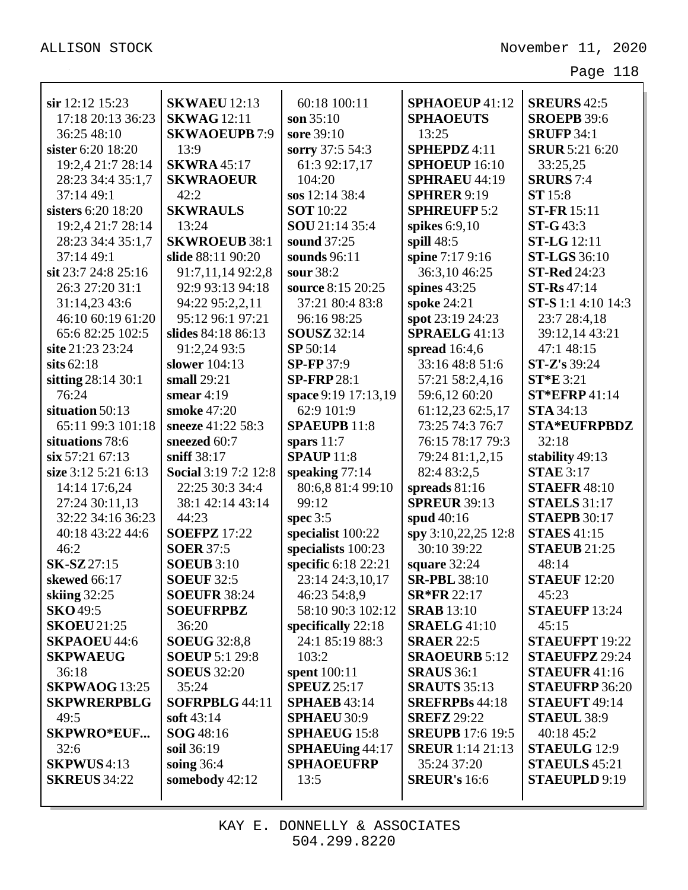| sir 12:12 15:23      | <b>SKWAEU 12:13</b>         | 60:18 100:11           | SPHAOEUP 41:12          | <b>SREURS</b> 42:5                         |
|----------------------|-----------------------------|------------------------|-------------------------|--------------------------------------------|
|                      |                             |                        |                         |                                            |
| 17:18 20:13 36:23    | <b>SKWAG</b> 12:11          | son $35:10$            | <b>SPHAOEUTS</b>        | <b>SROEPB 39:6</b>                         |
| 36:25 48:10          | <b>SKWAOEUPB7:9</b>         | sore 39:10             | 13:25                   | <b>SRUFP 34:1</b><br><b>SRUR 5:21 6:20</b> |
| sister 6:20 18:20    | 13:9                        | sorry 37:5 54:3        | SPHEPDZ 4:11            |                                            |
| 19:2,4 21:7 28:14    | <b>SKWRA 45:17</b>          | 61:3 92:17,17          | SPHOEUP 16:10           | 33:25,25                                   |
| 28:23 34:4 35:1,7    | <b>SKWRAOEUR</b>            | 104:20                 | <b>SPHRAEU 44:19</b>    | <b>SRURS</b> 7:4                           |
| 37:14 49:1           | 42:2                        | sos 12:1438:4          | <b>SPHRER 9:19</b>      | <b>ST</b> 15:8                             |
| sisters 6:20 18:20   | <b>SKWRAULS</b>             | <b>SOT</b> 10:22       | <b>SPHREUFP 5:2</b>     | <b>ST-FR</b> 15:11                         |
| 19:2,4 21:7 28:14    | 13:24                       | SOU 21:14 35:4         | spikes $6:9,10$         | $ST-G43:3$                                 |
| 28:23 34:4 35:1,7    | <b>SKWROEUB 38:1</b>        | sound 37:25            | spill $48:5$            | <b>ST-LG</b> 12:11                         |
| 37:14 49:1           | slide 88:11 90:20           | sounds 96:11           | spine 7:17 9:16         | <b>ST-LGS</b> 36:10                        |
| sit 23:7 24:8 25:16  | 91:7,11,14 92:2,8           | sour 38:2              | 36:3,1046:25            | <b>ST-Red 24:23</b>                        |
| 26:3 27:20 31:1      | 92:9 93:13 94:18            | source 8:15 20:25      | spines $43:25$          | $ST-Rs 47:14$                              |
| 31:14,23 43:6        | 94:22 95:2,2,11             | 37:21 80:4 83:8        | spoke 24:21             | <b>ST-S</b> 1:1 4:10 14:3                  |
| 46:10 60:19 61:20    | 95:12 96:1 97:21            | 96:16 98:25            | spot 23:19 24:23        | 23:7 28:4,18                               |
| 65:6 82:25 102:5     | slides 84:18 86:13          | <b>SOUSZ</b> 32:14     | <b>SPRAELG 41:13</b>    | 39:12,14 43:21                             |
| site 21:23 23:24     | 91:2,24 93:5                | SP 50:14               | spread $16:4,6$         | 47:1 48:15                                 |
| sits $62:18$         | slower 104:13               | <b>SP-FP</b> 37:9      | 33:16 48:8 51:6         | <b>ST-Z's</b> 39:24                        |
| sitting 28:14 30:1   | small $29:21$               | <b>SP-FRP28:1</b>      | 57:21 58:2,4,16         | $ST*E$ 3:21                                |
| 76:24                | smear $4:19$                | space 9:19 17:13,19    | 59:6,12 60:20           | <b>ST*EFRP</b> 41:14                       |
| situation 50:13      | smoke 47:20                 | 62:9 101:9             | 61:12,23 62:5,17        | <b>STA 34:13</b>                           |
| 65:11 99:3 101:18    | sneeze 41:22 58:3           | <b>SPAEUPB 11:8</b>    | 73:25 74:3 76:7         | <b>STA*EUFRPBDZ</b>                        |
| situations 78:6      | sneezed 60:7                | spars $11:7$           | 76:15 78:17 79:3        | 32:18                                      |
| $\sin 57:21\ 67:13$  | sniff 38:17                 | <b>SPAUP</b> 11:8      | 79:24 81:1,2,15         | stability 49:13                            |
| size 3:12 5:21 6:13  | <b>Social 3:19 7:2 12:8</b> | speaking $77:14$       | 82:4 83:2,5             | <b>STAE</b> 3:17                           |
| 14:14 17:6,24        | 22:25 30:3 34:4             | 80:6,8 81:4 99:10      | spreads $81:16$         | <b>STAEFR 48:10</b>                        |
| 27:24 30:11,13       | 38:1 42:14 43:14            | 99:12                  | <b>SPREUR 39:13</b>     | <b>STAELS</b> 31:17                        |
| 32:22 34:16 36:23    | 44:23                       | spec $3:5$             | spud 40:16              | <b>STAEPB 30:17</b>                        |
| 40:18 43:22 44:6     | <b>SOEFPZ</b> 17:22         | specialist 100:22      | spy 3:10,22,25 12:8     | <b>STAES</b> 41:15                         |
| 46:2                 | <b>SOER 37:5</b>            | specialists 100:23     | 30:10 39:22             | <b>STAEUB</b> 21:25                        |
| <b>SK-SZ</b> 27:15   | <b>SOEUB</b> 3:10           | specific 6:18 22:21    | square 32:24            | 48:14                                      |
| skewed 66:17         | <b>SOEUF 32:5</b>           | 23:14 24:3,10,17       | <b>SR-PBL</b> 38:10     | <b>STAEUF</b> 12:20                        |
| skiing 32:25         | <b>SOEUFR 38:24</b>         | 46:23 54:8,9           | <b>SR*FR 22:17</b>      | 45:23                                      |
| <b>SKO</b> 49:5      | <b>SOEUFRPBZ</b>            | 58:10 90:3 102:12      | <b>SRAB</b> 13:10       | <b>STAEUFP</b> 13:24                       |
| <b>SKOEU 21:25</b>   | 36:20                       | specifically 22:18     | <b>SRAELG 41:10</b>     | 45:15                                      |
| <b>SKPAOEU 44:6</b>  | <b>SOEUG</b> 32:8,8         | 24:1 85:19 88:3        | <b>SRAER 22:5</b>       | <b>STAEUFPT 19:22</b>                      |
| <b>SKPWAEUG</b>      | <b>SOEUP</b> 5:1 29:8       | 103:2                  | <b>SRAOEURB 5:12</b>    | <b>STAEUFPZ 29:24</b>                      |
| 36:18                | <b>SOEUS</b> 32:20          | spent 100:11           | <b>SRAUS</b> 36:1       | <b>STAEUFR 41:16</b>                       |
| <b>SKPWAOG</b> 13:25 | 35:24                       | <b>SPEUZ</b> 25:17     | <b>SRAUTS</b> 35:13     | <b>STAEUFRP 36:20</b>                      |
| <b>SKPWRERPBLG</b>   | SOFRPBLG 44:11              | <b>SPHAEB</b> 43:14    | <b>SREFRPBs</b> 44:18   | STAEUFT 49:14                              |
| 49:5                 | soft $43:14$                | <b>SPHAEU 30:9</b>     | <b>SREFZ</b> 29:22      | <b>STAEUL 38:9</b>                         |
| <b>SKPWRO*EUF</b>    | <b>SOG</b> 48:16            | <b>SPHAEUG 15:8</b>    | <b>SREUPB</b> 17:6 19:5 | 40:18 45:2                                 |
| 32:6                 | soil 36:19                  | <b>SPHAEUing 44:17</b> | <b>SREUR</b> 1:14 21:13 | <b>STAEULG</b> 12:9                        |
| <b>SKPWUS</b> 4:13   | soing $36:4$                | <b>SPHAOEUFRP</b>      | 35:24 37:20             | <b>STAEULS</b> 45:21                       |
| <b>SKREUS</b> 34:22  | somebody 42:12              | 13:5                   | <b>SREUR's 16:6</b>     | <b>STAEUPLD</b> 9:19                       |
|                      |                             |                        |                         |                                            |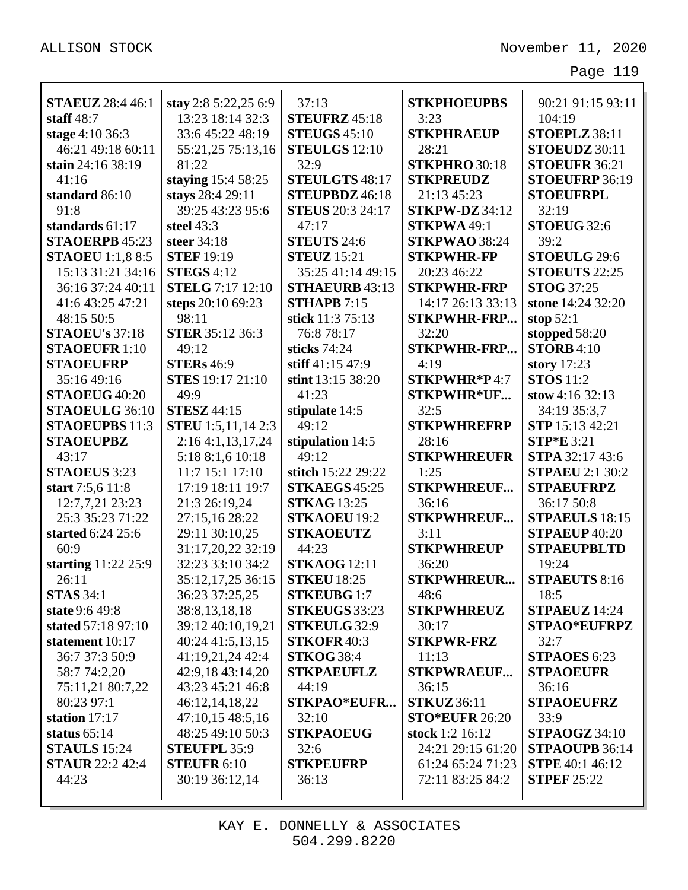| <b>STAEUZ</b> 28:4 46:1 | stay 2:8 5:22,25 6:9      | 37:13                   | <b>STKPHOEUPBS</b>    | 90:21 91:15 93:11      |
|-------------------------|---------------------------|-------------------------|-----------------------|------------------------|
| staff $48:7$            | 13:23 18:14 32:3          | <b>STEUFRZ 45:18</b>    | 3:23                  | 104:19                 |
| stage 4:10 36:3         | 33:6 45:22 48:19          | <b>STEUGS 45:10</b>     | <b>STKPHRAEUP</b>     | STOEPLZ 38:11          |
| 46:21 49:18 60:11       | 55:21,25 75:13,16         | <b>STEULGS</b> 12:10    | 28:21                 | STOEUDZ 30:11          |
| stain 24:16 38:19       | 81:22                     | 32:9                    | STKPHRO 30:18         | STOEUFR 36:21          |
| 41:16                   | staying 15:4 58:25        | STEULGTS 48:17          | <b>STKPREUDZ</b>      | STOEUFRP 36:19         |
| standard 86:10          | stays 28:4 29:11          | STEUPBDZ 46:18          | 21:13 45:23           | <b>STOEUFRPL</b>       |
| 91:8                    | 39:25 43:23 95:6          | <b>STEUS</b> 20:3 24:17 | <b>STKPW-DZ</b> 34:12 | 32:19                  |
| standards 61:17         | steel 43:3                | 47:17                   | STKPWA 49:1           | STOEUG 32:6            |
| STAOERPB 45:23          | steer 34:18               | <b>STEUTS 24:6</b>      | STKPWAO 38:24         | 39:2                   |
| <b>STAOEU</b> 1:1,8 8:5 | <b>STEF 19:19</b>         | <b>STEUZ</b> 15:21      | <b>STKPWHR-FP</b>     | STOEULG 29:6           |
| 15:13 31:21 34:16       | <b>STEGS 4:12</b>         | 35:25 41:14 49:15       | 20:23 46:22           | STOEUTS 22:25          |
| 36:16 37:24 40:11       | <b>STELG</b> 7:17 12:10   | <b>STHAEURB 43:13</b>   | <b>STKPWHR-FRP</b>    | <b>STOG</b> 37:25      |
| 41:6 43:25 47:21        | steps 20:10 69:23         | <b>STHAPB</b> 7:15      | 14:17 26:13 33:13     | stone 14:24 32:20      |
| 48:15 50:5              | 98:11                     | stick 11:3 75:13        | <b>STKPWHR-FRP</b>    | stop $52:1$            |
| <b>STAOEU's 37:18</b>   | <b>STER 35:12 36:3</b>    | 76:8 78:17              | 32:20                 | stopped 58:20          |
| <b>STAOEUFR 1:10</b>    | 49:12                     | sticks 74:24            | <b>STKPWHR-FRP</b>    | <b>STORB</b> 4:10      |
| <b>STAOEUFRP</b>        | <b>STERs</b> 46:9         | stiff 41:15 47:9        | 4:19                  | story 17:23            |
| 35:16 49:16             | <b>STES</b> 19:17 21:10   | stint 13:15 38:20       | STKPWHR*P4:7          | <b>STOS</b> 11:2       |
| STAOEUG 40:20           | 49:9                      | 41:23                   | <b>STKPWHR*UF</b>     | stow 4:16 32:13        |
| STAOEULG 36:10          | <b>STESZ 44:15</b>        | stipulate 14:5          | 32:5                  | 34:19 35:3,7           |
| <b>STAOEUPBS</b> 11:3   | <b>STEU</b> 1:5,11,14 2:3 | 49:12                   | <b>STKPWHREFRP</b>    | STP 15:13 42:21        |
| <b>STAOEUPBZ</b>        | 2:164:1,13,17,24          | stipulation 14:5        | 28:16                 | <b>STP*E</b> 3:21      |
| 43:17                   | 5:18 8:1,6 10:18          | 49:12                   | <b>STKPWHREUFR</b>    | STPA 32:17 43:6        |
| <b>STAOEUS</b> 3:23     | 11:7 15:1 17:10           | stitch 15:22 29:22      | 1:25                  | <b>STPAEU 2:1 30:2</b> |
| start 7:5,6 11:8        | 17:19 18:11 19:7          | <b>STKAEGS</b> 45:25    | <b>STKPWHREUF</b>     | <b>STPAEUFRPZ</b>      |
| 12:7,7,21 23:23         | 21:3 26:19,24             | <b>STKAG 13:25</b>      | 36:16                 | 36:17 50:8             |
| 25:3 35:23 71:22        | 27:15,16 28:22            | <b>STKAOEU 19:2</b>     | <b>STKPWHREUF</b>     | <b>STPAEULS</b> 18:15  |
| started 6:24 25:6       | 29:11 30:10,25            | <b>STKAOEUTZ</b>        | 3:11                  | STPAEUP 40:20          |
| 60:9                    | 31:17,20,22 32:19         | 44:23                   | <b>STKPWHREUP</b>     | <b>STPAEUPBLTD</b>     |
| starting 11:22 25:9     | 32:23 33:10 34:2          | <b>STKAOG</b> 12:11     | 36:20                 | 19:24                  |
| 26:11                   | 35:12,17,25 36:15         | <b>STKEU 18:25</b>      | <b>STKPWHREUR</b>     | <b>STPAEUTS 8:16</b>   |
| <b>STAS</b> 34:1        | 36:23 37:25,25            | <b>STKEUBG1:7</b>       | 48:6                  | 18:5                   |
| state 9:6 49:8          | 38:8,13,18,18             | <b>STKEUGS</b> 33:23    | <b>STKPWHREUZ</b>     | STPAEUZ 14:24          |
| stated 57:18 97:10      | 39:12 40:10,19,21         | <b>STKEULG 32:9</b>     | 30:17                 | <b>STPAO*EUFRPZ</b>    |
| statement 10:17         | 40:24 41:5,13,15          | <b>STKOFR40:3</b>       | <b>STKPWR-FRZ</b>     | 32:7                   |
| 36:7 37:3 50:9          | 41:19,21,24 42:4          | <b>STKOG 38:4</b>       | 11:13                 | <b>STPAOES</b> 6:23    |
| 58:7 74:2,20            | 42:9,18 43:14,20          | <b>STKPAEUFLZ</b>       | <b>STKPWRAEUF</b>     | <b>STPAOEUFR</b>       |
| 75:11,21 80:7,22        | 43:23 45:21 46:8          | 44:19                   | 36:15                 | 36:16                  |
| 80:23 97:1              | 46:12,14,18,22            | <b>STKPAO*EUFR</b>      | <b>STKUZ</b> 36:11    | <b>STPAOEUFRZ</b>      |
| station 17:17           | 47:10,15 48:5,16          | 32:10                   | <b>STO*EUFR 26:20</b> | 33:9                   |
| status $65:14$          | 48:25 49:10 50:3          | <b>STKPAOEUG</b>        | stock 1:2 16:12       | <b>STPAOGZ</b> 34:10   |
| <b>STAULS</b> 15:24     | <b>STEUFPL 35:9</b>       | 32:6                    | 24:21 29:15 61:20     | STPAOUPB 36:14         |
| <b>STAUR</b> 22:2 42:4  | <b>STEUFR 6:10</b>        | <b>STKPEUFRP</b>        | 61:24 65:24 71:23     | <b>STPE</b> 40:1 46:12 |
| 44:23                   | 30:19 36:12,14            | 36:13                   | 72:11 83:25 84:2      | <b>STPEF 25:22</b>     |
|                         |                           |                         |                       |                        |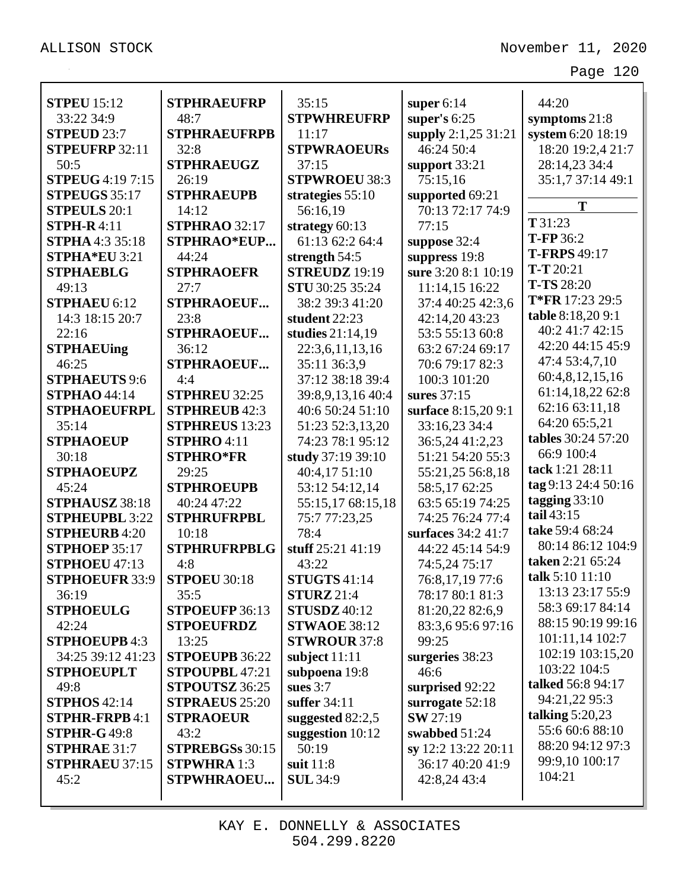| <b>STPEU</b> 15:12      | <b>STPHRAEUFRP</b>    | 35:15                |                     | 44:20               |
|-------------------------|-----------------------|----------------------|---------------------|---------------------|
| 33:22 34:9              | 48:7                  | <b>STPWHREUFRP</b>   | super $6:14$        |                     |
| <b>STPEUD 23:7</b>      |                       |                      | super's $6:25$      | symptoms $21:8$     |
|                         | <b>STPHRAEUFRPB</b>   | 11:17                | supply 2:1,25 31:21 | system 6:20 18:19   |
| STPEUFRP 32:11          | 32:8                  | <b>STPWRAOEURs</b>   | 46:24 50:4          | 18:20 19:2,4 21:7   |
| 50:5                    | <b>STPHRAEUGZ</b>     | 37:15                | support $33:21$     | 28:14,23 34:4       |
| <b>STPEUG</b> 4:19 7:15 | 26:19                 | <b>STPWROEU 38:3</b> | 75:15,16            | 35:1,7 37:14 49:1   |
| <b>STPEUGS</b> 35:17    | <b>STPHRAEUPB</b>     | strategies $55:10$   | supported 69:21     | T                   |
| <b>STPEULS 20:1</b>     | 14:12                 | 56:16,19             | 70:13 72:17 74:9    | T 31:23             |
| <b>STPH-R4:11</b>       | <b>STPHRAO</b> 32:17  | strategy 60:13       | 77:15               | T-FP 36:2           |
| <b>STPHA</b> 4:3 35:18  | STPHRAO*EUP           | 61:13 62:2 64:4      | suppose 32:4        | <b>T-FRPS</b> 49:17 |
| STPHA*EU 3:21           | 44:24                 | strength $54:5$      | suppress 19:8       | $T-T 20:21$         |
| <b>STPHAEBLG</b>        | <b>STPHRAOEFR</b>     | <b>STREUDZ</b> 19:19 | sure 3:20 8:1 10:19 |                     |
| 49:13                   | 27:7                  | STU 30:25 35:24      | 11:14,15 16:22      | <b>T-TS</b> 28:20   |
| <b>STPHAEU 6:12</b>     | <b>STPHRAOEUF</b>     | 38:2 39:3 41:20      | 37:4 40:25 42:3,6   | T*FR 17:23 29:5     |
| 14:3 18:15 20:7         | 23:8                  | student 22:23        | 42:14,20 43:23      | table 8:18,20 9:1   |
| 22:16                   | <b>STPHRAOEUF</b>     | studies 21:14,19     | 53:5 55:13 60:8     | 40:2 41:7 42:15     |
| <b>STPHAEUing</b>       | 36:12                 | 22:3,6,11,13,16      | 63:2 67:24 69:17    | 42:20 44:15 45:9    |
| 46:25                   | <b>STPHRAOEUF</b>     | 35:11 36:3,9         | 70:6 79:17 82:3     | 47:4 53:4,7,10      |
| <b>STPHAEUTS 9:6</b>    | 4:4                   | 37:12 38:18 39:4     | 100:3 101:20        | 60:4,8,12,15,16     |
| <b>STPHAO 44:14</b>     | <b>STPHREU 32:25</b>  | 39:8,9,13,16 40:4    | sures 37:15         | 61:14,18,22 62:8    |
| <b>STPHAOEUFRPL</b>     | <b>STPHREUB 42:3</b>  | 40:6 50:24 51:10     | surface 8:15,20 9:1 | 62:16 63:11,18      |
| 35:14                   | <b>STPHREUS</b> 13:23 | 51:23 52:3,13,20     | 33:16,23 34:4       | 64:20 65:5,21       |
| <b>STPHAOEUP</b>        | STPHRO 4:11           | 74:23 78:1 95:12     | 36:5,24 41:2,23     | tables 30:24 57:20  |
| 30:18                   | <b>STPHRO*FR</b>      | study 37:19 39:10    | 51:21 54:20 55:3    | 66:9 100:4          |
| <b>STPHAOEUPZ</b>       | 29:25                 | 40:4,17 51:10        | 55:21,25 56:8,18    | tack 1:21 28:11     |
| 45:24                   | <b>STPHROEUPB</b>     | 53:12 54:12,14       | 58:5,17 62:25       | tag 9:13 24:4 50:16 |
| STPHAUSZ 38:18          | 40:24 47:22           | 55:15,17 68:15,18    | 63:5 65:19 74:25    | tagging $33:10$     |
| <b>STPHEUPBL 3:22</b>   | <b>STPHRUFRPBL</b>    | 75:7 77:23,25        | 74:25 76:24 77:4    | tail $43:15$        |
| <b>STPHEURB</b> 4:20    | 10:18                 | 78:4                 | surfaces 34:2 41:7  | take 59:4 68:24     |
| <b>STPHOEP 35:17</b>    | <b>STPHRUFRPBLG</b>   | stuff 25:21 41:19    | 44:22 45:14 54:9    | 80:14 86:12 104:9   |
| STPHOEU 47:13           | 4:8                   | 43:22                | 74:5,24 75:17       | taken 2:21 65:24    |
| <b>STPHOEUFR 33:9</b>   | <b>STPOEU 30:18</b>   | <b>STUGTS</b> 41:14  | 76:8,17,19 77:6     | talk 5:10 11:10     |
| 36:19                   | 35:5                  | <b>STURZ</b> 21:4    | 78:17 80:1 81:3     | 13:13 23:17 55:9    |
| <b>STPHOEULG</b>        | STPOEUFP 36:13        | <b>STUSDZ</b> 40:12  | 81:20,22 82:6,9     | 58:3 69:17 84:14    |
| 42:24                   | <b>STPOEUFRDZ</b>     | <b>STWAOE 38:12</b>  | 83:3,695:697:16     | 88:15 90:19 99:16   |
| <b>STPHOEUPB 4:3</b>    | 13:25                 | <b>STWROUR 37:8</b>  | 99:25               | 101:11,14 102:7     |
| 34:25 39:12 41:23       | STPOEUPB 36:22        | subject $11:11$      | surgeries 38:23     | 102:19 103:15,20    |
| <b>STPHOEUPLT</b>       | STPOUPBL 47:21        | subpoena 19:8        | 46:6                | 103:22 104:5        |
| 49:8                    | STPOUTSZ 36:25        | sues $3:7$           | surprised 92:22     | talked 56:8 94:17   |
| <b>STPHOS</b> 42:14     | <b>STPRAEUS</b> 25:20 | suffer $34:11$       | surrogate $52:18$   | 94:21,22 95:3       |
| <b>STPHR-FRPB 4:1</b>   | <b>STPRAOEUR</b>      | suggested $82:2,5$   | <b>SW</b> 27:19     | talking $5:20,23$   |
| <b>STPHR-G49:8</b>      | 43:2                  | suggestion $10:12$   | swabbed 51:24       | 55:6 60:6 88:10     |
| <b>STPHRAE 31:7</b>     | STPREBGSs 30:15       | 50:19                | sy 12:2 13:22 20:11 | 88:20 94:12 97:3    |
| <b>STPHRAEU 37:15</b>   | <b>STPWHRA</b> 1:3    | suit $11:8$          | 36:17 40:20 41:9    | 99:9,10 100:17      |
| 45:2                    | <b>STPWHRAOEU</b>     | <b>SUL 34:9</b>      | 42:8,24 43:4        | 104:21              |
|                         |                       |                      |                     |                     |
|                         |                       |                      |                     |                     |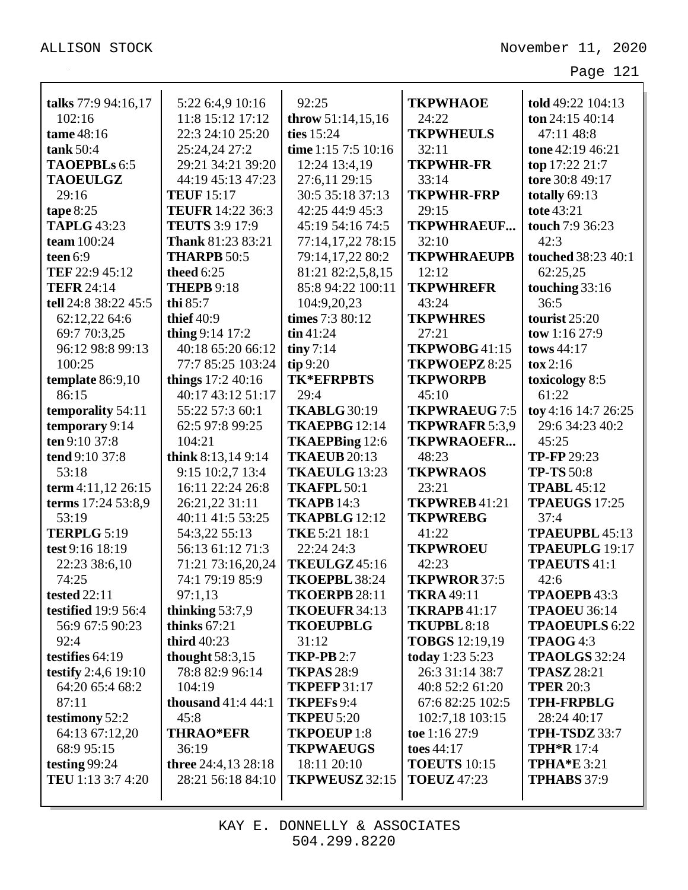|                            |                                      |                                   |                          | told 49:22 104:13                |
|----------------------------|--------------------------------------|-----------------------------------|--------------------------|----------------------------------|
| talks 77:9 94:16,17        | 5:22 6:4,9 10:16<br>11:8 15:12 17:12 | 92:25                             | <b>TKPWHAOE</b><br>24:22 |                                  |
| 102:16<br>tame 48:16       | 22:3 24:10 25:20                     | throw $51:14,15,16$<br>ties 15:24 | <b>TKPWHEULS</b>         | ton $24:15\,40:14$<br>47:11 48:8 |
| tank 50:4                  | 25:24,24 27:2                        | time 1:15 7:5 10:16               | 32:11                    | tone 42:19 46:21                 |
| <b>TAOEPBLs 6:5</b>        | 29:21 34:21 39:20                    |                                   | <b>TKPWHR-FR</b>         |                                  |
|                            |                                      | 12:24 13:4,19                     |                          | top 17:22 21:7                   |
| <b>TAOEULGZ</b>            | 44:19 45:13 47:23                    | 27:6,11 29:15                     | 33:14                    | tore 30:8 49:17                  |
| 29:16                      | <b>TEUF 15:17</b>                    | 30:5 35:18 37:13                  | <b>TKPWHR-FRP</b>        | totally 69:13                    |
| tape $8:25$                | <b>TEUFR</b> 14:22 36:3              | 42:25 44:9 45:3                   | 29:15                    | tote 43:21                       |
| <b>TAPLG 43:23</b>         | <b>TEUTS</b> 3:9 17:9                | 45:19 54:16 74:5                  | <b>TKPWHRAEUF</b>        | touch 7:9 36:23                  |
| team 100:24                | Thank 81:23 83:21                    | 77:14,17,22 78:15                 | 32:10                    | 42:3                             |
| teen $6:9$                 | <b>THARPB 50:5</b>                   | 79:14,17,22 80:2                  | <b>TKPWHRAEUPB</b>       | <b>touched</b> 38:23 40:1        |
| TEF 22:9 45:12             | theed $6:25$                         | 81:21 82:2,5,8,15                 | 12:12                    | 62:25,25                         |
| <b>TEFR 24:14</b>          | <b>THEPB 9:18</b>                    | 85:8 94:22 100:11                 | <b>TKPWHREFR</b>         | touching 33:16                   |
| tell 24:8 38:22 45:5       | thi 85:7                             | 104:9,20,23                       | 43:24                    | 36:5                             |
| 62:12,22 64:6              | thief $40:9$                         | times 7:3 80:12                   | <b>TKPWHRES</b>          | tourist 25:20                    |
| 69:7 70:3,25               | thing $9:14$ 17:2                    | $\sin 41:24$                      | 27:21                    | tow 1:16 27:9                    |
| 96:12 98:8 99:13           | 40:18 65:20 66:12                    | $\lim_{7 \cdot 14}$               | TKPWOBG41:15             | tows 44:17                       |
| 100:25                     | 77:7 85:25 103:24                    | tip9:20                           | TKPWOEPZ 8:25            | $\cos 2:16$                      |
| template 86:9,10           | things $17:240:16$                   | <b>TK*EFRPBTS</b>                 | <b>TKPWORPB</b>          | toxicology 8:5                   |
| 86:15                      | 40:17 43:12 51:17                    | 29:4                              | 45:10                    | 61:22                            |
| temporality 54:11          | 55:22 57:3 60:1                      | <b>TKABLG 30:19</b>               | <b>TKPWRAEUG 7:5</b>     | toy 4:16 14:7 26:25              |
| temporary 9:14             | 62:5 97:8 99:25                      | TKAEPBG 12:14                     | TKPWRAFR 5:3,9           | 29:6 34:23 40:2                  |
| ten 9:10 37:8              | 104:21                               | TKAEPBing 12:6                    | <b>TKPWRAOEFR</b>        | 45:25                            |
| tend 9:10 37:8             | think 8:13,14 9:14                   | <b>TKAEUB</b> 20:13               | 48:23                    | <b>TP-FP</b> 29:23               |
| 53:18                      | 9:15 10:2,7 13:4                     | TKAEULG 13:23                     | <b>TKPWRAOS</b>          | <b>TP-TS 50:8</b>                |
| term 4:11,12 26:15         | 16:11 22:24 26:8                     | <b>TKAFPL 50:1</b>                | 23:21                    | <b>TPABL</b> 45:12               |
| terms 17:24 53:8,9         | 26:21,22 31:11                       | <b>TKAPB 14:3</b>                 | TKPWREB41:21             | <b>TPAEUGS 17:25</b>             |
| 53:19                      | 40:11 41:5 53:25                     | TKAPBLG 12:12                     | <b>TKPWREBG</b>          | 37:4                             |
| <b>TERPLG 5:19</b>         | 54:3,22 55:13                        | <b>TKE 5:21 18:1</b>              | 41:22                    | TPAEUPBL 45:13                   |
| test 9:16 18:19            | 56:13 61:12 71:3                     | 22:24 24:3                        | <b>TKPWROEU</b>          | <b>TPAEUPLG</b> 19:17            |
| 22:23 38:6,10              | 71:21 73:16,20,24                    | <b>TKEULGZ</b> 45:16              | 42:23                    | <b>TPAEUTS 41:1</b>              |
| 74:25                      | 74:1 79:19 85:9                      | TKOEPBL 38:24                     | TKPWROR 37:5             | 42:6                             |
| <b>tested 22:11</b>        | 97:1,13                              | <b>TKOERPB 28:11</b>              | <b>TKRA 49:11</b>        | TPAOEPB 43:3                     |
| <b>testified</b> 19:9 56:4 | thinking $53:7,9$                    | TKOEUFR 34:13                     | <b>TKRAPB</b> 41:17      | <b>TPAOEU 36:14</b>              |
| 56:9 67:5 90:23            | thinks $67:21$                       | <b>TKOEUPBLG</b>                  | TKUPBL 8:18              | <b>TPAOEUPLS 6:22</b>            |
| 92:4                       | third 40:23                          | 31:12                             | <b>TOBGS</b> 12:19,19    | TPAOG 4:3                        |
| testifies $64:19$          | thought $58:3,15$                    | <b>TKP-PB</b> 2:7                 | today 1:23 5:23          | <b>TPAOLGS</b> 32:24             |
| testify 2:4,6 19:10        | 78:8 82:9 96:14                      | <b>TKPAS 28:9</b>                 | 26:3 31:14 38:7          | <b>TPASZ 28:21</b>               |
| 64:20 65:4 68:2            | 104:19                               | <b>TKPEFP 31:17</b>               | 40:8 52:2 61:20          | <b>TPER 20:3</b>                 |
| 87:11                      | thousand $41:444:1$                  | TKPEFs 9:4                        | 67:6 82:25 102:5         | <b>TPH-FRPBLG</b>                |
| testimony 52:2             | 45:8                                 | <b>TKPEU 5:20</b>                 | 102:7,18 103:15          | 28:24 40:17                      |
| 64:13 67:12,20             | <b>THRAO*EFR</b>                     | TKPOEUP1:8                        | toe 1:16 27:9            | <b>TPH-TSDZ</b> 33:7             |
| 68:9 95:15                 | 36:19                                | <b>TKPWAEUGS</b>                  | toes 44:17               | <b>TPH*R</b> 17:4                |
| testing $99:24$            | three 24:4,13 28:18                  | 18:11 20:10                       | <b>TOEUTS</b> 10:15      | <b>TPHA*E</b> 3:21               |
| TEU 1:13 3:7 4:20          | 28:21 56:18 84:10                    | TKPWEUSZ 32:15                    | <b>TOEUZ</b> 47:23       | <b>TPHABS</b> 37:9               |
|                            |                                      |                                   |                          |                                  |

KAY E. DONNELLY & ASSOCIATES 504.299.8220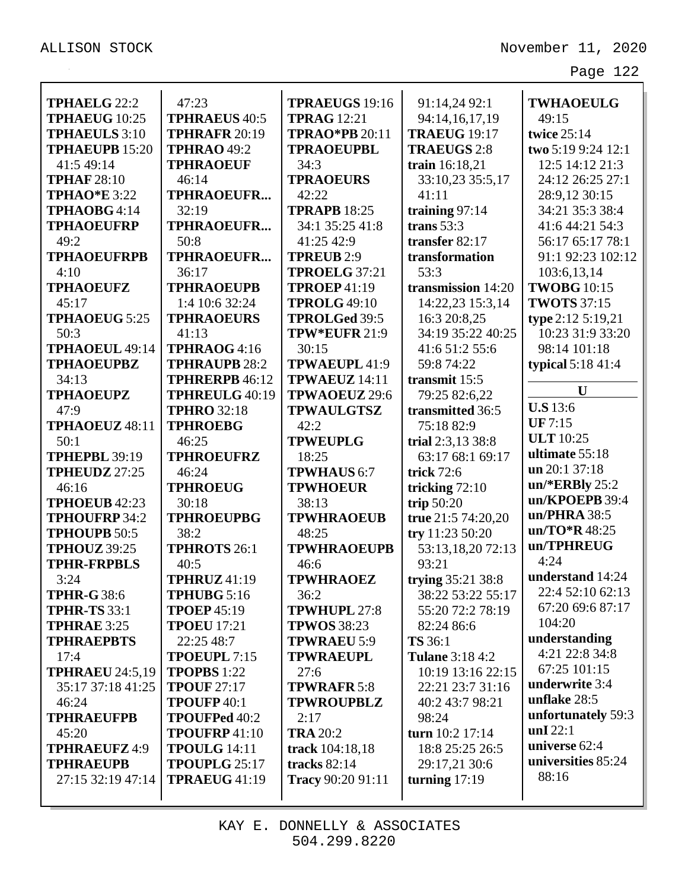| <b>TPHAELG 22:2</b>                          | 47:23                                        | <b>TPRAEUGS 19:16</b>                       | 91:14,24 92:1                         | <b>TWHAOEULG</b>   |
|----------------------------------------------|----------------------------------------------|---------------------------------------------|---------------------------------------|--------------------|
| <b>TPHAEUG</b> 10:25<br><b>TPHAEULS</b> 3:10 | <b>TPHRAEUS 40:5</b><br><b>TPHRAFR 20:19</b> | <b>TPRAG</b> 12:21<br><b>TPRAO*PB 20:11</b> | 94:14,16,17,19<br><b>TRAEUG 19:17</b> | 49:15              |
|                                              |                                              |                                             |                                       | twice 25:14        |
| <b>TPHAEUPB 15:20</b>                        | <b>TPHRAO 49:2</b>                           | <b>TPRAOEUPBL</b>                           | <b>TRAEUGS 2:8</b>                    | two 5:19 9:24 12:1 |
| 41:5 49:14                                   | <b>TPHRAOEUF</b>                             | 34:3                                        | train 16:18,21                        | 12:5 14:12 21:3    |
| <b>TPHAF 28:10</b>                           | 46:14                                        | <b>TPRAOEURS</b>                            | 33:10,23 35:5,17                      | 24:12 26:25 27:1   |
| <b>TPHAO*E</b> 3:22                          | TPHRAOEUFR                                   | 42:22                                       | 41:11                                 | 28:9,12 30:15      |
| TPHAOBG4:14                                  | 32:19                                        | <b>TPRAPB 18:25</b>                         | training $97:14$                      | 34:21 35:3 38:4    |
| <b>TPHAOEUFRP</b>                            | TPHRAOEUFR                                   | 34:1 35:25 41:8                             | trans $53:3$                          | 41:6 44:21 54:3    |
| 49:2                                         | 50:8                                         | 41:25 42:9                                  | transfer 82:17                        | 56:17 65:17 78:1   |
| <b>TPHAOEUFRPB</b>                           | <b>TPHRAOEUFR</b>                            | <b>TPREUB</b> 2:9                           | transformation                        | 91:1 92:23 102:12  |
| 4:10                                         | 36:17                                        | <b>TPROELG 37:21</b>                        | 53:3                                  | 103:6,13,14        |
| <b>TPHAOEUFZ</b>                             | <b>TPHRAOEUPB</b>                            | <b>TPROEP 41:19</b>                         | transmission 14:20                    | <b>TWOBG</b> 10:15 |
| 45:17                                        | 1:4 10:6 32:24                               | <b>TPROLG 49:10</b>                         | 14:22,23 15:3,14                      | <b>TWOTS</b> 37:15 |
| <b>TPHAOEUG 5:25</b>                         | <b>TPHRAOEURS</b>                            | <b>TPROLGed 39:5</b>                        | 16:3 20:8,25                          | type 2:12 5:19,21  |
| 50:3                                         | 41:13                                        | TPW*EUFR 21:9                               | 34:19 35:22 40:25                     | 10:23 31:9 33:20   |
| TPHAOEUL 49:14                               | TPHRAOG 4:16                                 | 30:15                                       | 41:6 51:2 55:6                        | 98:14 101:18       |
| <b>TPHAOEUPBZ</b>                            | <b>TPHRAUPB 28:2</b>                         | TPWAEUPL 41:9                               | 59:8 74:22                            | typical $5:1841:4$ |
| 34:13                                        | <b>TPHRERPB 46:12</b>                        | <b>TPWAEUZ</b> 14:11                        | transmit 15:5                         | $\mathbf{U}$       |
| <b>TPHAOEUPZ</b>                             | TPHREULG 40:19                               | TPWAOEUZ 29:6                               | 79:25 82:6,22                         |                    |
| 47:9                                         | <b>TPHRO 32:18</b>                           | <b>TPWAULGTSZ</b>                           | transmitted 36:5                      | <b>U.S</b> 13:6    |
| TPHAOEUZ 48:11                               | <b>TPHROEBG</b>                              | 42:2                                        | 75:18 82:9                            | <b>UF</b> 7:15     |
| 50:1                                         | 46:25                                        | <b>TPWEUPLG</b>                             | trial 2:3,13 38:8                     | <b>ULT</b> 10:25   |
| <b>TPHEPBL 39:19</b>                         | <b>TPHROEUFRZ</b>                            | 18:25                                       | 63:17 68:1 69:17                      | ultimate 55:18     |
| TPHEUDZ 27:25                                | 46:24                                        | <b>TPWHAUS 6:7</b>                          | trick 72:6                            | un 20:1 37:18      |
| 46:16                                        | <b>TPHROEUG</b>                              | <b>TPWHOEUR</b>                             | tricking 72:10                        | $un/*ERBly 25:2$   |
| TPHOEUB 42:23                                | 30:18                                        | 38:13                                       | trip $50:20$                          | un/KPOEPB 39:4     |
| <b>TPHOUFRP 34:2</b>                         | <b>TPHROEUPBG</b>                            | <b>TPWHRAOEUB</b>                           | true 21:5 74:20,20                    | un/PHRA 38:5       |
| <b>TPHOUPB 50:5</b>                          | 38:2                                         | 48:25                                       | try 11:23 50:20                       | $un/TO$ *R 48:25   |
| <b>TPHOUZ</b> 39:25                          | <b>TPHROTS 26:1</b>                          | <b>TPWHRAOEUPB</b>                          | 53:13,18,20 72:13                     | un/TPHREUG         |
| <b>TPHR-FRPBLS</b>                           | 40:5                                         | 46:6                                        | 93:21                                 | 4:24               |
| 3:24                                         | <b>TPHRUZ</b> 41:19                          | <b>TPWHRAOEZ</b>                            | trying 35:21 38:8                     | understand 14:24   |
| <b>TPHR-G 38:6</b>                           | TPHUBG 5:16                                  | 36:2                                        | 38:22 53:22 55:17                     | 22:4 52:10 62:13   |
| <b>TPHR-TS 33:1</b>                          | <b>TPOEP</b> 45:19                           | TPWHUPL 27:8                                | 55:20 72:2 78:19                      | 67:20 69:6 87:17   |
| <b>TPHRAE 3:25</b>                           | <b>TPOEU</b> 17:21                           | <b>TPWOS</b> 38:23                          | 82:24 86:6                            | 104:20             |
| <b>TPHRAEPBTS</b>                            | 22:25 48:7                                   | <b>TPWRAEU 5:9</b>                          | <b>TS</b> 36:1                        | understanding      |
| 17:4                                         | TPOEUPL 7:15                                 | <b>TPWRAEUPL</b>                            | <b>Tulane 3:18 4:2</b>                | 4:21 22:8 34:8     |
| <b>TPHRAEU 24:5,19</b>                       | <b>TPOPBS</b> 1:22                           | 27:6                                        | 10:19 13:16 22:15                     | 67:25 101:15       |
| 35:17 37:18 41:25                            | <b>TPOUF 27:17</b>                           | <b>TPWRAFR 5:8</b>                          | 22:21 23:7 31:16                      | underwrite 3:4     |
| 46:24                                        | TPOUFP 40:1                                  | <b>TPWROUPBLZ</b>                           | 40:2 43:7 98:21                       | unflake 28:5       |
| <b>TPHRAEUFPB</b>                            | <b>TPOUFPed 40:2</b>                         | 2:17                                        | 98:24                                 | unfortunately 59:3 |
| 45:20                                        | TPOUFRP41:10                                 | <b>TRA 20:2</b>                             | turn 10:2 17:14                       | unI $22:1$         |
| <b>TPHRAEUFZ 4:9</b>                         | <b>TPOULG</b> 14:11                          | track 104:18,18                             | 18:8 25:25 26:5                       | universe 62:4      |
| <b>TPHRAEUPB</b>                             | TPOUPLG 25:17                                | tracks 82:14                                | 29:17,21 30:6                         | universities 85:24 |
| 27:15 32:19 47:14                            | <b>TPRAEUG 41:19</b>                         | Tracy 90:20 91:11                           | turning $17:19$                       | 88:16              |
|                                              |                                              |                                             |                                       |                    |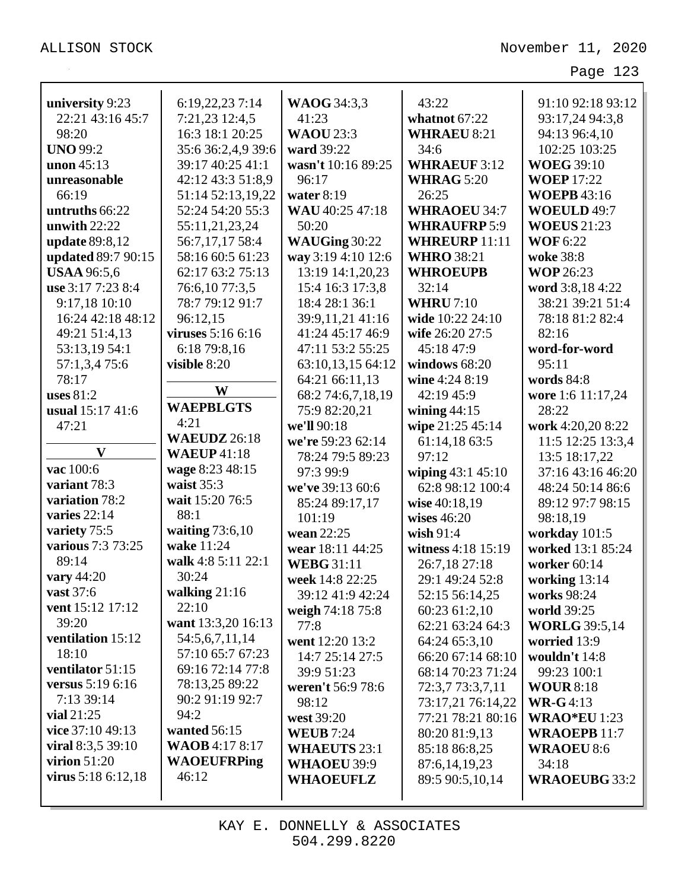| university 9:23       | 6:19,22,23 7:14       | <b>WAOG</b> 34:3,3  | 43:22                | 91:10 92:18 93:12    |
|-----------------------|-----------------------|---------------------|----------------------|----------------------|
| 22:21 43:16 45:7      | 7:21,23 12:4,5        | 41:23               | whatnot 67:22        | 93:17,24 94:3,8      |
| 98:20                 | 16:3 18:1 20:25       | <b>WAOU 23:3</b>    | <b>WHRAEU 8:21</b>   | 94:13 96:4,10        |
| <b>UNO 99:2</b>       | 35:6 36:2,4,9 39:6    | ward 39:22          | 34:6                 | 102:25 103:25        |
| unon $45:13$          | 39:17 40:25 41:1      | wasn't 10:16 89:25  | <b>WHRAEUF 3:12</b>  | <b>WOEG 39:10</b>    |
| unreasonable          | 42:12 43:3 51:8,9     | 96:17               | <b>WHRAG 5:20</b>    | <b>WOEP</b> 17:22    |
| 66:19                 | 51:14 52:13,19,22     | water $8:19$        | 26:25                | <b>WOEPB</b> 43:16   |
| untruths 66:22        | 52:24 54:20 55:3      | WAU 40:25 47:18     | <b>WHRAOEU 34:7</b>  | WOEULD 49:7          |
| unwith $22:22$        | 55:11,21,23,24        | 50:20               | <b>WHRAUFRP5:9</b>   | <b>WOEUS</b> 21:23   |
| <b>update</b> 89:8,12 | 56:7,17,17 58:4       | WAUGing 30:22       | <b>WHREURP 11:11</b> | <b>WOF</b> 6:22      |
| updated 89:7 90:15    | 58:16 60:5 61:23      | way 3:19 4:10 12:6  | <b>WHRO 38:21</b>    | woke 38:8            |
| <b>USAA</b> 96:5,6    | 62:17 63:2 75:13      | 13:19 14:1,20,23    | <b>WHROEUPB</b>      | <b>WOP 26:23</b>     |
| use 3:17 7:23 8:4     | 76:6,10 77:3,5        | 15:4 16:3 17:3,8    | 32:14                | word 3:8,184:22      |
| 9:17,18 10:10         | 78:7 79:12 91:7       | 18:4 28:1 36:1      | <b>WHRU</b> 7:10     | 38:21 39:21 51:4     |
| 16:24 42:18 48:12     | 96:12,15              | 39:9,11,21 41:16    | wide 10:22 24:10     | 78:18 81:2 82:4      |
| 49:21 51:4,13         | viruses 5:16 6:16     | 41:24 45:17 46:9    | wife 26:20 27:5      | 82:16                |
| 53:13,19 54:1         | 6:18 79:8,16          | 47:11 53:2 55:25    | 45:18 47:9           | word-for-word        |
| 57:1,3,4 75:6         | visible 8:20          | 63:10,13,15 64:12   | windows 68:20        | 95:11                |
| 78:17                 |                       | 64:21 66:11,13      | wine $4:248:19$      | words $84:8$         |
| uses $81:2$           | W                     | 68:2 74:6,7,18,19   | 42:19 45:9           | wore 1:6 11:17,24    |
| usual 15:17 41:6      | <b>WAEPBLGTS</b>      | 75:9 82:20,21       | wining $44:15$       | 28:22                |
| 47:21                 | 4:21                  | we'll 90:18         | wipe 21:25 45:14     | work 4:20,20 8:22    |
|                       | <b>WAEUDZ</b> 26:18   | we're 59:23 62:14   | 61:14,18 63:5        | 11:5 12:25 13:3,4    |
| $\mathbf{V}$          | <b>WAEUP</b> 41:18    | 78:24 79:5 89:23    | 97:12                | 13:5 18:17,22        |
| vac 100:6             | wage 8:23 48:15       | 97:3 99:9           | wiping 43:1 45:10    | 37:16 43:16 46:20    |
| variant 78:3          | waist $35:3$          | we've 39:13 60:6    | 62:8 98:12 100:4     | 48:24 50:14 86:6     |
| variation 78:2        | wait 15:20 76:5       | 85:24 89:17,17      | wise 40:18,19        | 89:12 97:7 98:15     |
| varies $22:14$        | 88:1                  | 101:19              | wises $46:20$        | 98:18,19             |
| variety 75:5          | waiting $73:6,10$     | wean 22:25          | wish 91:4            | workday 101:5        |
| various 7:3 73:25     | wake 11:24            | wear 18:11 44:25    | witness 4:18 15:19   | worked 13:1 85:24    |
| 89:14                 | walk 4:8 5:11 22:1    | <b>WEBG 31:11</b>   | 26:7,18 27:18        | worker 60:14         |
| vary 44:20            | 30:24                 | week 14:8 22:25     | 29:1 49:24 52:8      | working 13:14        |
| vast 37:6             | walking $21:16$       | 39:12 41:9 42:24    | 52:15 56:14,25       | works 98:24          |
| vent 15:12 17:12      | 22:10                 | weigh 74:18 75:8    | 60:23 61:2,10        | world 39:25          |
| 39:20                 | want 13:3,20 16:13    | 77:8                | 62:21 63:24 64:3     | <b>WORLG</b> 39:5,14 |
| ventilation 15:12     | 54:5,6,7,11,14        | went 12:20 13:2     | 64:24 65:3,10        | worried 13:9         |
| 18:10                 | 57:10 65:7 67:23      | 14:7 25:14 27:5     | 66:20 67:14 68:10    | wouldn't 14:8        |
| ventilator 51:15      | 69:16 72:14 77:8      | 39:9 51:23          | 68:14 70:23 71:24    | 99:23 100:1          |
| versus 5:19 6:16      | 78:13,25 89:22        | weren't 56:9 78:6   | 72:3,7 73:3,7,11     | <b>WOUR 8:18</b>     |
| 7:13 39:14            | 90:2 91:19 92:7       | 98:12               | 73:17,21 76:14,22    | <b>WR-G</b> 4:13     |
| vial $21:25$          | 94:2                  | west 39:20          | 77:21 78:21 80:16    | <b>WRAO*EU</b> 1:23  |
| vice 37:10 49:13      | wanted $56:15$        | <b>WEUB</b> 7:24    | 80:20 81:9,13        | <b>WRAOEPB 11:7</b>  |
| viral $8:3,5,39:10$   | <b>WAOB</b> 4:17 8:17 | <b>WHAEUTS 23:1</b> | 85:18 86:8,25        | <b>WRAOEU 8:6</b>    |
| virion $51:20$        | <b>WAOEUFRPing</b>    | WHAOEU 39:9         | 87:6, 14, 19, 23     | 34:18                |
| virus $5:186:12,18$   | 46:12                 | <b>WHAOEUFLZ</b>    | 89:5 90:5,10,14      | <b>WRAOEUBG 33:2</b> |
|                       |                       |                     |                      |                      |
|                       |                       |                     |                      |                      |

KAY E. DONNELLY & ASSOCIATES 504.299.8220